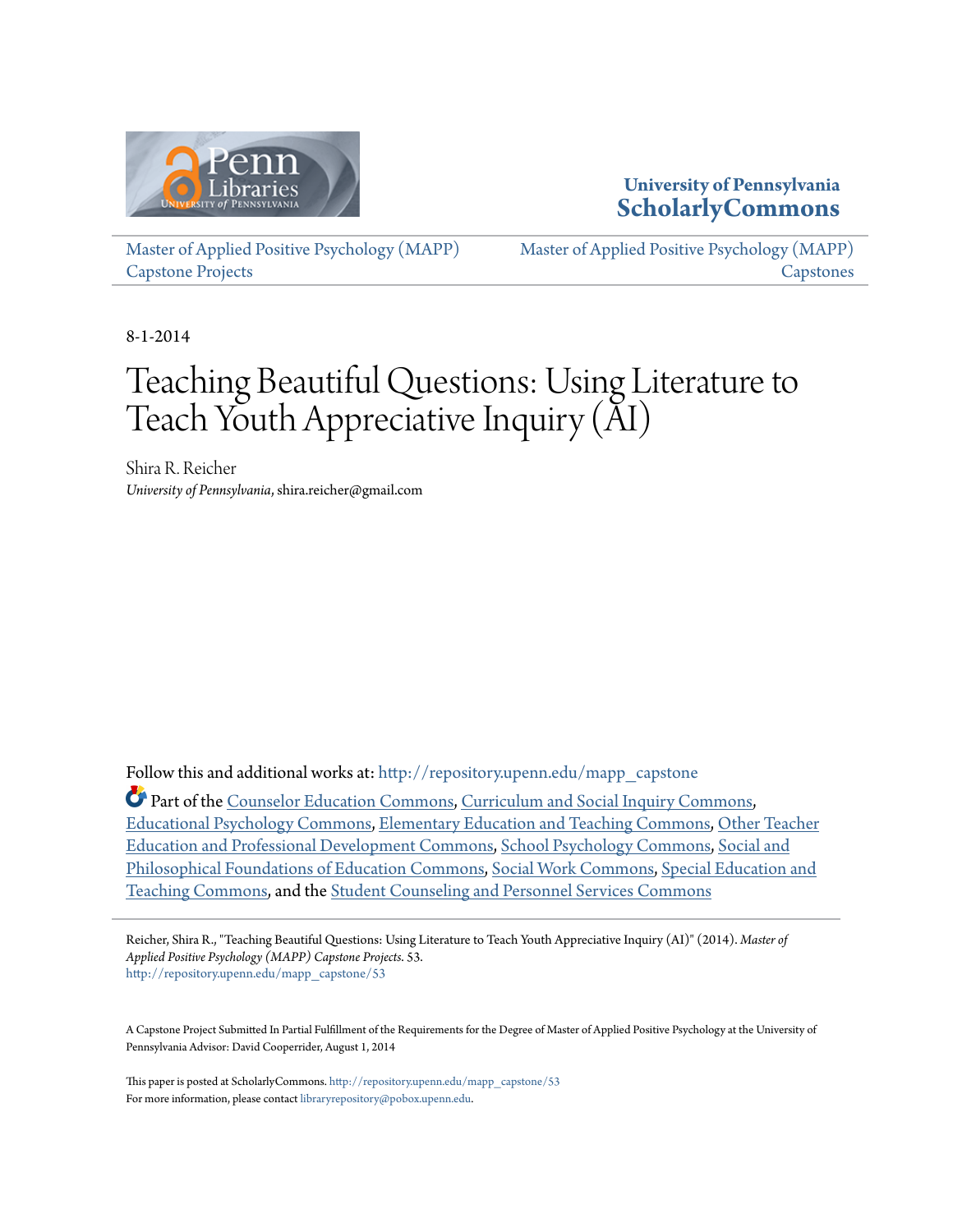

### **University of Pennsylvania [ScholarlyCommons](http://repository.upenn.edu?utm_source=repository.upenn.edu%2Fmapp_capstone%2F53&utm_medium=PDF&utm_campaign=PDFCoverPages)**

[Master of Applied Positive Psychology \(MAPP\)](http://repository.upenn.edu/mapp_capstone?utm_source=repository.upenn.edu%2Fmapp_capstone%2F53&utm_medium=PDF&utm_campaign=PDFCoverPages) [Capstone Projects](http://repository.upenn.edu/mapp_capstone?utm_source=repository.upenn.edu%2Fmapp_capstone%2F53&utm_medium=PDF&utm_campaign=PDFCoverPages)

[Master of Applied Positive Psychology \(MAPP\)](http://repository.upenn.edu/mapp_capstones?utm_source=repository.upenn.edu%2Fmapp_capstone%2F53&utm_medium=PDF&utm_campaign=PDFCoverPages) **[Capstones](http://repository.upenn.edu/mapp_capstones?utm_source=repository.upenn.edu%2Fmapp_capstone%2F53&utm_medium=PDF&utm_campaign=PDFCoverPages)** 

8-1-2014

# Teaching Beautiful Questions: Using Literature to Teach Youth Appreciative Inquiry (AI)

Shira R. Reicher *University of Pennsylvania*, shira.reicher@gmail.com

Follow this and additional works at: [http://repository.upenn.edu/mapp\\_capstone](http://repository.upenn.edu/mapp_capstone?utm_source=repository.upenn.edu%2Fmapp_capstone%2F53&utm_medium=PDF&utm_campaign=PDFCoverPages)

Part of the [Counselor Education Commons,](http://network.bepress.com/hgg/discipline/1278?utm_source=repository.upenn.edu%2Fmapp_capstone%2F53&utm_medium=PDF&utm_campaign=PDFCoverPages) [Curriculum and Social Inquiry Commons,](http://network.bepress.com/hgg/discipline/1038?utm_source=repository.upenn.edu%2Fmapp_capstone%2F53&utm_medium=PDF&utm_campaign=PDFCoverPages) [Educational Psychology Commons,](http://network.bepress.com/hgg/discipline/798?utm_source=repository.upenn.edu%2Fmapp_capstone%2F53&utm_medium=PDF&utm_campaign=PDFCoverPages) [Elementary Education and Teaching Commons,](http://network.bepress.com/hgg/discipline/805?utm_source=repository.upenn.edu%2Fmapp_capstone%2F53&utm_medium=PDF&utm_campaign=PDFCoverPages) [Other Teacher](http://network.bepress.com/hgg/discipline/810?utm_source=repository.upenn.edu%2Fmapp_capstone%2F53&utm_medium=PDF&utm_campaign=PDFCoverPages) [Education and Professional Development Commons](http://network.bepress.com/hgg/discipline/810?utm_source=repository.upenn.edu%2Fmapp_capstone%2F53&utm_medium=PDF&utm_campaign=PDFCoverPages), [School Psychology Commons,](http://network.bepress.com/hgg/discipline/1072?utm_source=repository.upenn.edu%2Fmapp_capstone%2F53&utm_medium=PDF&utm_campaign=PDFCoverPages) [Social and](http://network.bepress.com/hgg/discipline/799?utm_source=repository.upenn.edu%2Fmapp_capstone%2F53&utm_medium=PDF&utm_campaign=PDFCoverPages) [Philosophical Foundations of Education Commons](http://network.bepress.com/hgg/discipline/799?utm_source=repository.upenn.edu%2Fmapp_capstone%2F53&utm_medium=PDF&utm_campaign=PDFCoverPages), [Social Work Commons](http://network.bepress.com/hgg/discipline/713?utm_source=repository.upenn.edu%2Fmapp_capstone%2F53&utm_medium=PDF&utm_campaign=PDFCoverPages), [Special Education and](http://network.bepress.com/hgg/discipline/801?utm_source=repository.upenn.edu%2Fmapp_capstone%2F53&utm_medium=PDF&utm_campaign=PDFCoverPages) [Teaching Commons,](http://network.bepress.com/hgg/discipline/801?utm_source=repository.upenn.edu%2Fmapp_capstone%2F53&utm_medium=PDF&utm_campaign=PDFCoverPages) and the [Student Counseling and Personnel Services Commons](http://network.bepress.com/hgg/discipline/802?utm_source=repository.upenn.edu%2Fmapp_capstone%2F53&utm_medium=PDF&utm_campaign=PDFCoverPages)

Reicher, Shira R., "Teaching Beautiful Questions: Using Literature to Teach Youth Appreciative Inquiry (AI)" (2014). *Master of Applied Positive Psychology (MAPP) Capstone Projects*. 53. [http://repository.upenn.edu/mapp\\_capstone/53](http://repository.upenn.edu/mapp_capstone/53?utm_source=repository.upenn.edu%2Fmapp_capstone%2F53&utm_medium=PDF&utm_campaign=PDFCoverPages)

A Capstone Project Submitted In Partial Fulfillment of the Requirements for the Degree of Master of Applied Positive Psychology at the University of Pennsylvania Advisor: David Cooperrider, August 1, 2014

This paper is posted at ScholarlyCommons. [http://repository.upenn.edu/mapp\\_capstone/53](http://repository.upenn.edu/mapp_capstone/53) For more information, please contact [libraryrepository@pobox.upenn.edu.](mailto:libraryrepository@pobox.upenn.edu)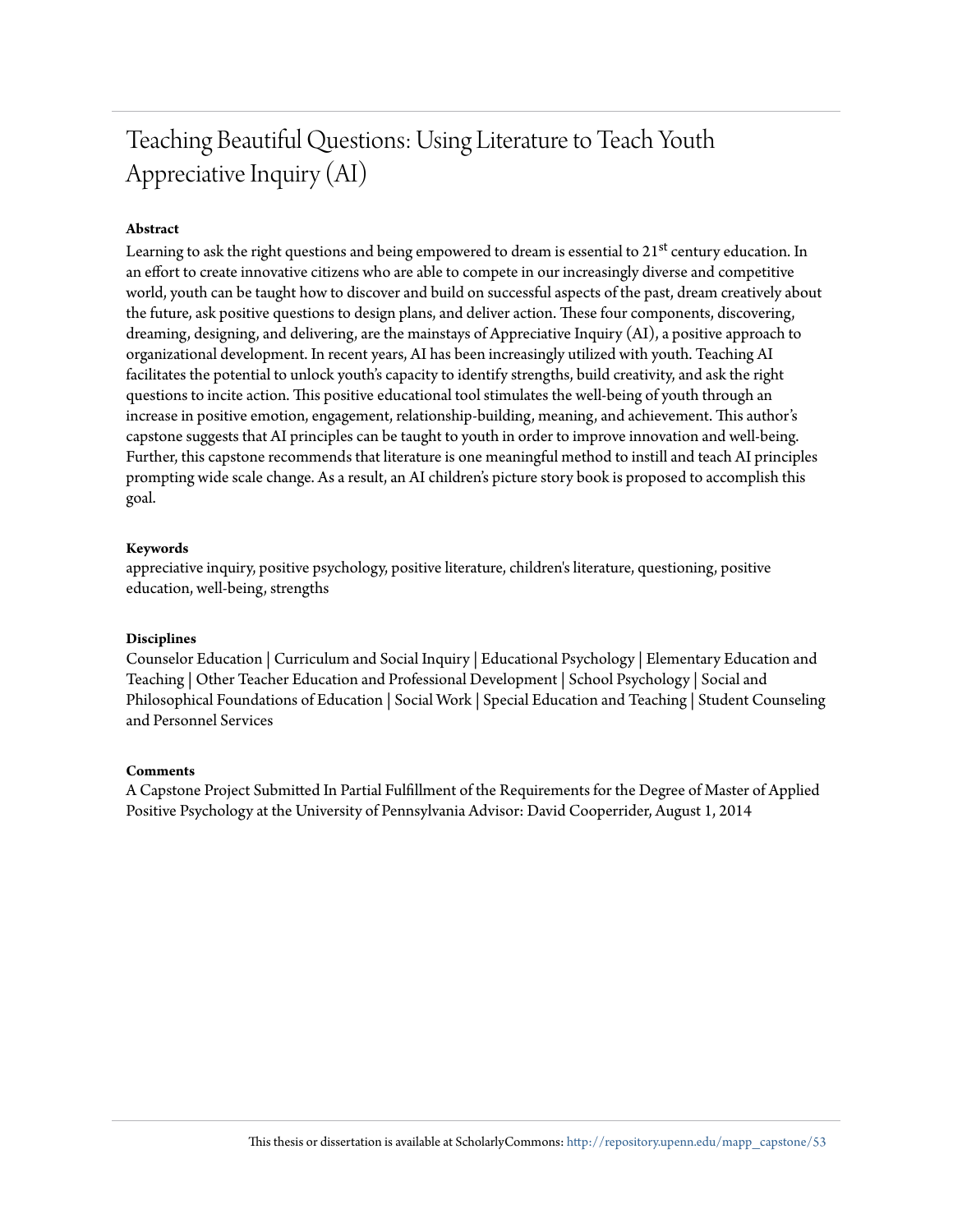## Teaching Beautiful Questions: Using Literature to Teach Youth Appreciative Inquiry (AI)

#### **Abstract**

Learning to ask the right questions and being empowered to dream is essential to 21<sup>st</sup> century education. In an effort to create innovative citizens who are able to compete in our increasingly diverse and competitive world, youth can be taught how to discover and build on successful aspects of the past, dream creatively about the future, ask positive questions to design plans, and deliver action. These four components, discovering, dreaming, designing, and delivering, are the mainstays of Appreciative Inquiry (AI), a positive approach to organizational development. In recent years, AI has been increasingly utilized with youth. Teaching AI facilitates the potential to unlock youth's capacity to identify strengths, build creativity, and ask the right questions to incite action. This positive educational tool stimulates the well-being of youth through an increase in positive emotion, engagement, relationship-building, meaning, and achievement. This author's capstone suggests that AI principles can be taught to youth in order to improve innovation and well-being. Further, this capstone recommends that literature is one meaningful method to instill and teach AI principles prompting wide scale change. As a result, an AI children's picture story book is proposed to accomplish this goal.

#### **Keywords**

appreciative inquiry, positive psychology, positive literature, children's literature, questioning, positive education, well-being, strengths

#### **Disciplines**

Counselor Education | Curriculum and Social Inquiry | Educational Psychology | Elementary Education and Teaching | Other Teacher Education and Professional Development | School Psychology | Social and Philosophical Foundations of Education | Social Work | Special Education and Teaching | Student Counseling and Personnel Services

#### **Comments**

A Capstone Project Submitted In Partial Fulfillment of the Requirements for the Degree of Master of Applied Positive Psychology at the University of Pennsylvania Advisor: David Cooperrider, August 1, 2014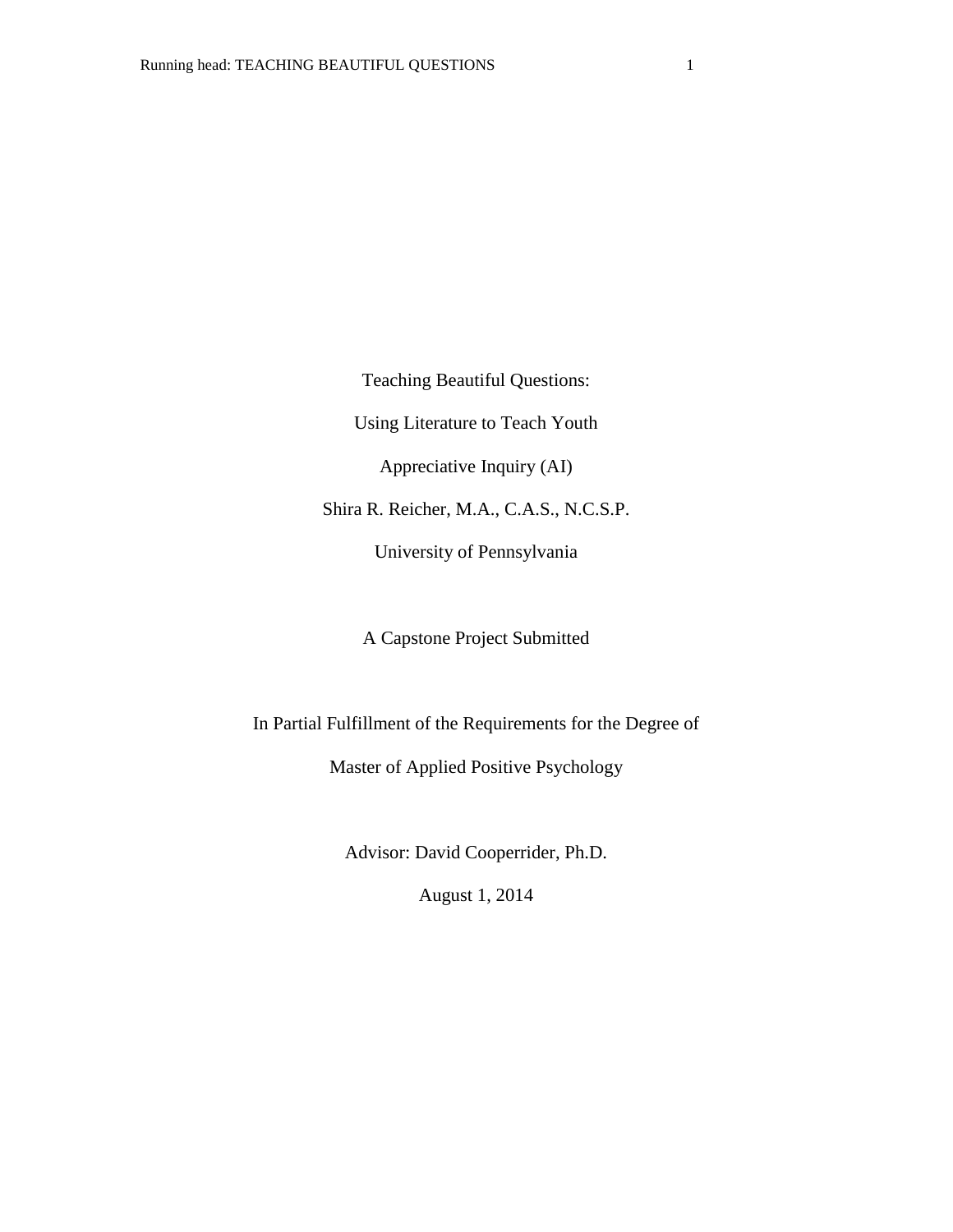Teaching Beautiful Questions:

Using Literature to Teach Youth

Appreciative Inquiry (AI)

Shira R. Reicher, M.A., C.A.S., N.C.S.P.

University of Pennsylvania

A Capstone Project Submitted

In Partial Fulfillment of the Requirements for the Degree of

Master of Applied Positive Psychology

Advisor: David Cooperrider, Ph.D.

August 1, 2014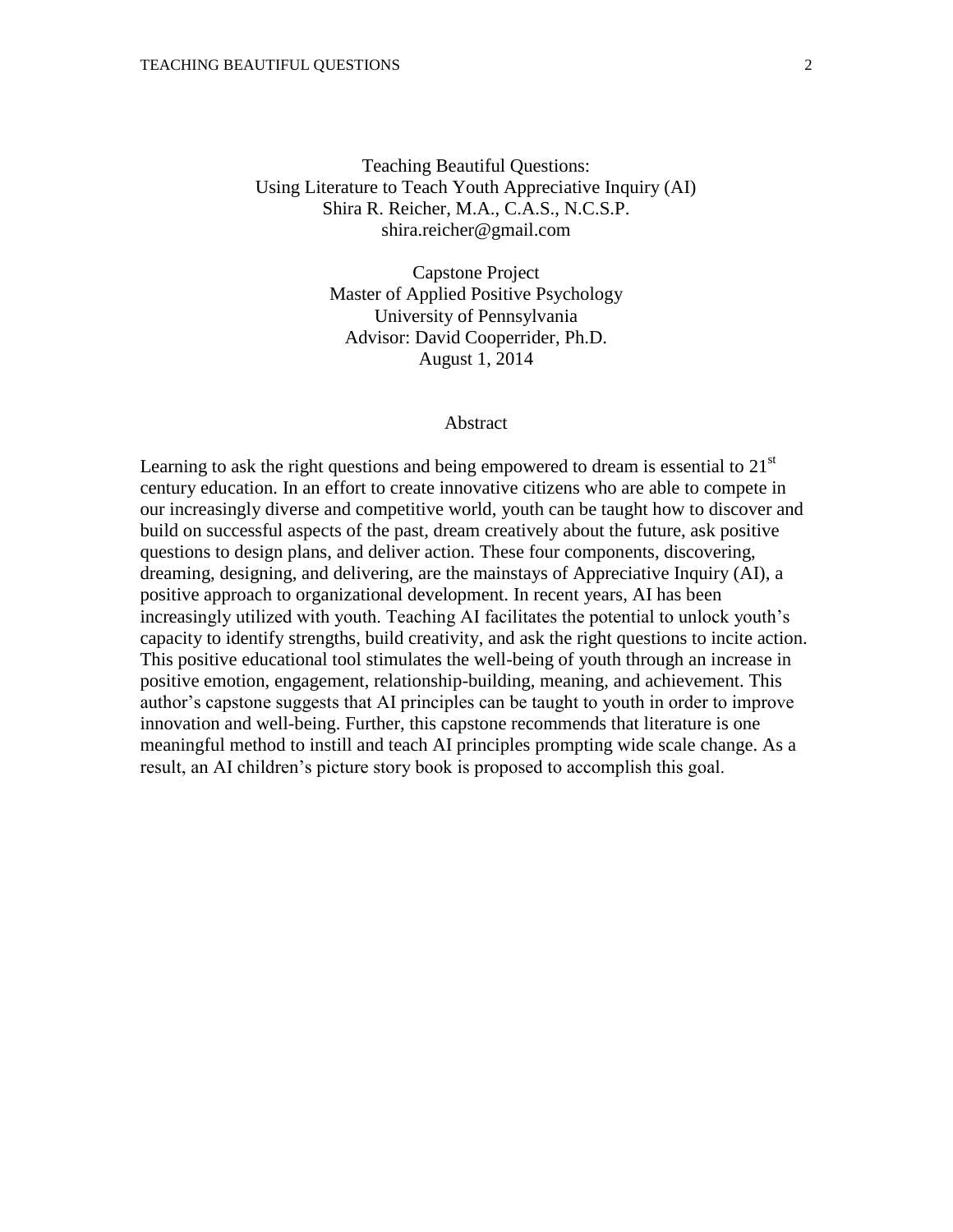Teaching Beautiful Questions: Using Literature to Teach Youth Appreciative Inquiry (AI) Shira R. Reicher, M.A., C.A.S., N.C.S.P. shira.reicher@gmail.com

> Capstone Project Master of Applied Positive Psychology University of Pennsylvania Advisor: David Cooperrider, Ph.D. August 1, 2014

#### Abstract

Learning to ask the right questions and being empowered to dream is essential to  $21<sup>st</sup>$ century education. In an effort to create innovative citizens who are able to compete in our increasingly diverse and competitive world, youth can be taught how to discover and build on successful aspects of the past, dream creatively about the future, ask positive questions to design plans, and deliver action. These four components, discovering, dreaming, designing, and delivering, are the mainstays of Appreciative Inquiry (AI), a positive approach to organizational development. In recent years, AI has been increasingly utilized with youth. Teaching AI facilitates the potential to unlock youth's capacity to identify strengths, build creativity, and ask the right questions to incite action. This positive educational tool stimulates the well-being of youth through an increase in positive emotion, engagement, relationship-building, meaning, and achievement. This author's capstone suggests that AI principles can be taught to youth in order to improve innovation and well-being. Further, this capstone recommends that literature is one meaningful method to instill and teach AI principles prompting wide scale change. As a result, an AI children's picture story book is proposed to accomplish this goal.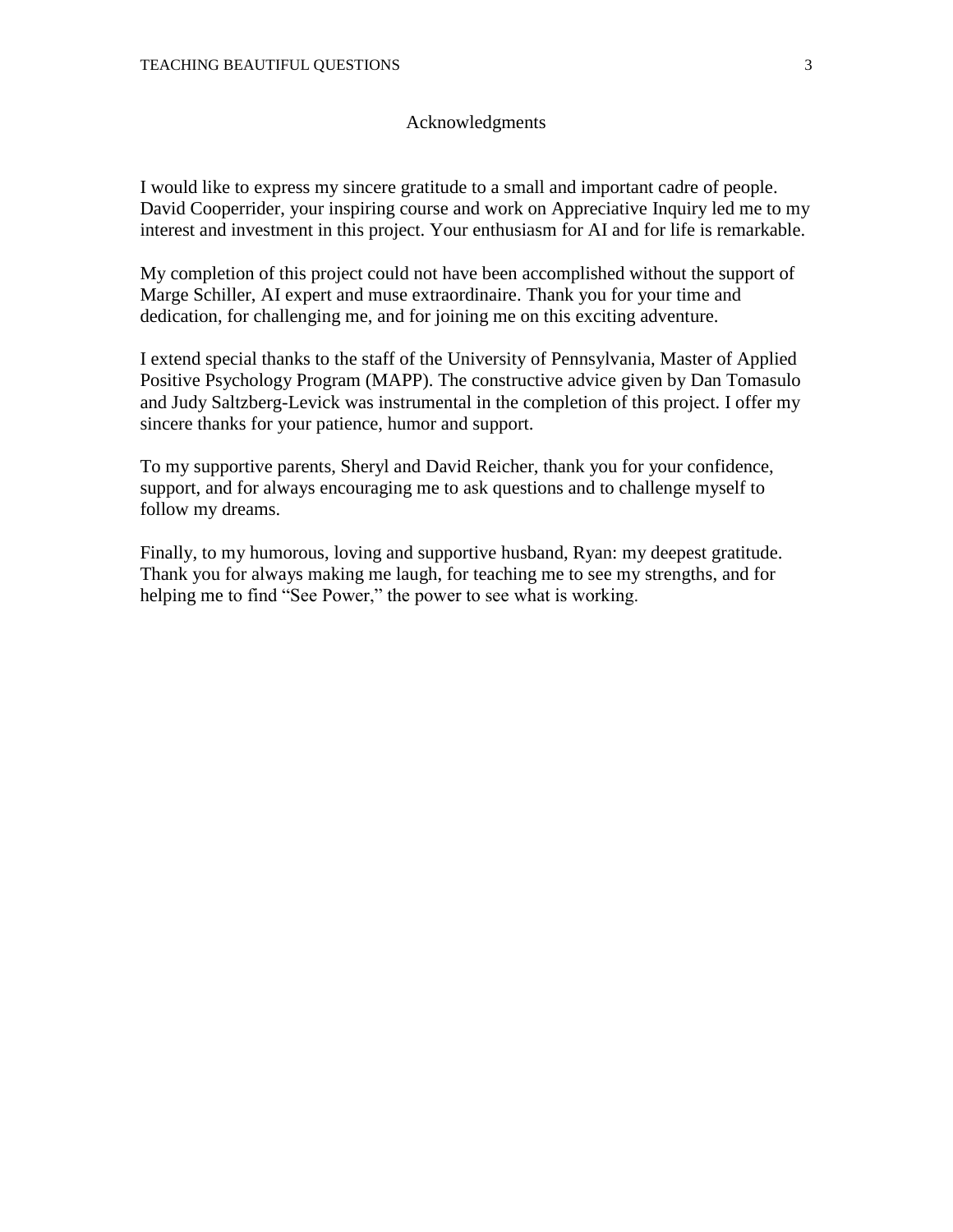#### Acknowledgments

I would like to express my sincere gratitude to a small and important cadre of people. David Cooperrider, your inspiring course and work on Appreciative Inquiry led me to my interest and investment in this project. Your enthusiasm for AI and for life is remarkable.

My completion of this project could not have been accomplished without the support of Marge Schiller, AI expert and muse extraordinaire. Thank you for your time and dedication, for challenging me, and for joining me on this exciting adventure.

I extend special thanks to the staff of the University of Pennsylvania, Master of Applied Positive Psychology Program (MAPP). The constructive advice given by Dan Tomasulo and Judy Saltzberg-Levick was instrumental in the completion of this project. I offer my sincere thanks for your patience, humor and support.

To my supportive parents, Sheryl and David Reicher, thank you for your confidence, support, and for always encouraging me to ask questions and to challenge myself to follow my dreams.

Finally, to my humorous, loving and supportive husband, Ryan: my deepest gratitude. Thank you for always making me laugh, for teaching me to see my strengths, and for helping me to find "See Power," the power to see what is working.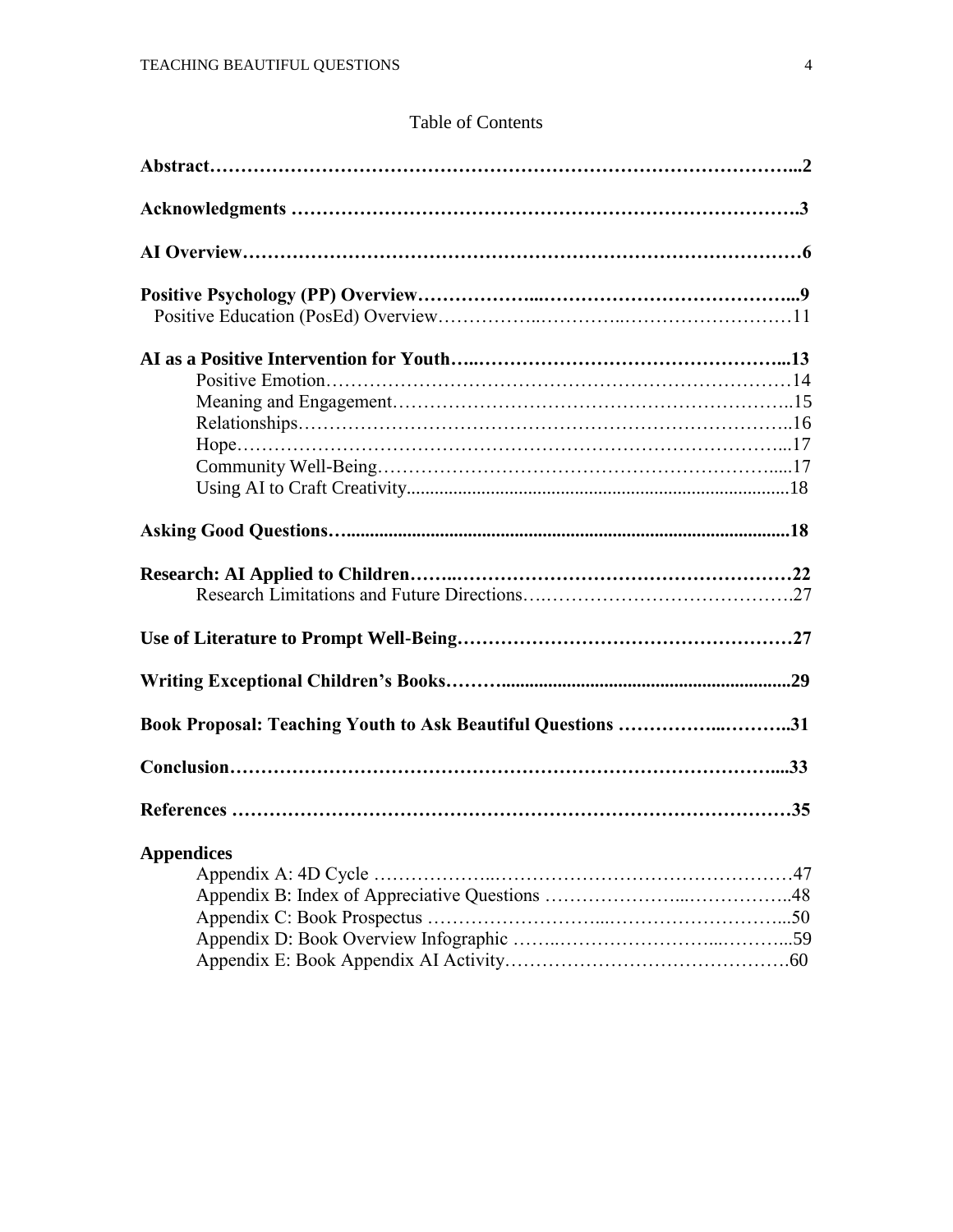#### Table of Contents

| Book Proposal: Teaching Youth to Ask Beautiful Questions 31 |  |
|-------------------------------------------------------------|--|
|                                                             |  |
|                                                             |  |
| <b>Appendices</b>                                           |  |
|                                                             |  |
|                                                             |  |
|                                                             |  |
|                                                             |  |
|                                                             |  |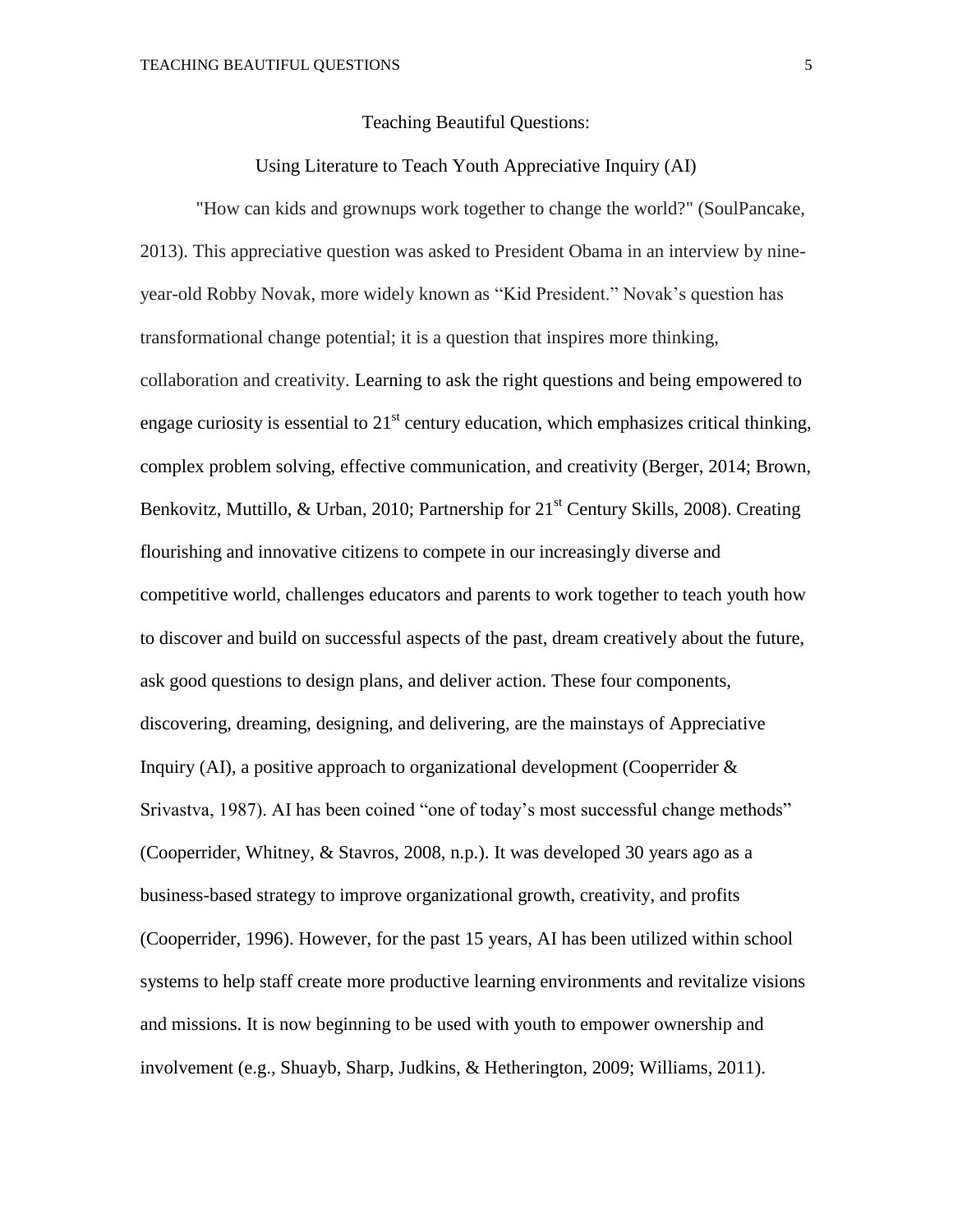#### Teaching Beautiful Questions:

#### Using Literature to Teach Youth Appreciative Inquiry (AI)

"How can kids and grownups work together to change the world?" (SoulPancake, 2013). This appreciative question was asked to President Obama in an interview by nineyear-old Robby Novak, more widely known as "Kid President." Novak's question has transformational change potential; it is a question that inspires more thinking, collaboration and creativity. Learning to ask the right questions and being empowered to engage curiosity is essential to  $21<sup>st</sup>$  century education, which emphasizes critical thinking, complex problem solving, effective communication, and creativity (Berger, 2014; Brown, Benkovitz, Muttillo, & Urban, 2010; Partnership for 21<sup>st</sup> Century Skills, 2008). Creating flourishing and innovative citizens to compete in our increasingly diverse and competitive world, challenges educators and parents to work together to teach youth how to discover and build on successful aspects of the past, dream creatively about the future, ask good questions to design plans, and deliver action. These four components, discovering, dreaming, designing, and delivering, are the mainstays of Appreciative Inquiry (AI), a positive approach to organizational development (Cooperrider  $\&$ Srivastva, 1987). AI has been coined "one of today's most successful change methods" (Cooperrider, Whitney, & Stavros, 2008, n.p.). It was developed 30 years ago as a business-based strategy to improve organizational growth, creativity, and profits (Cooperrider, 1996). However, for the past 15 years, AI has been utilized within school systems to help staff create more productive learning environments and revitalize visions and missions. It is now beginning to be used with youth to empower ownership and involvement (e.g., Shuayb, Sharp, Judkins, & Hetherington, 2009; Williams, 2011).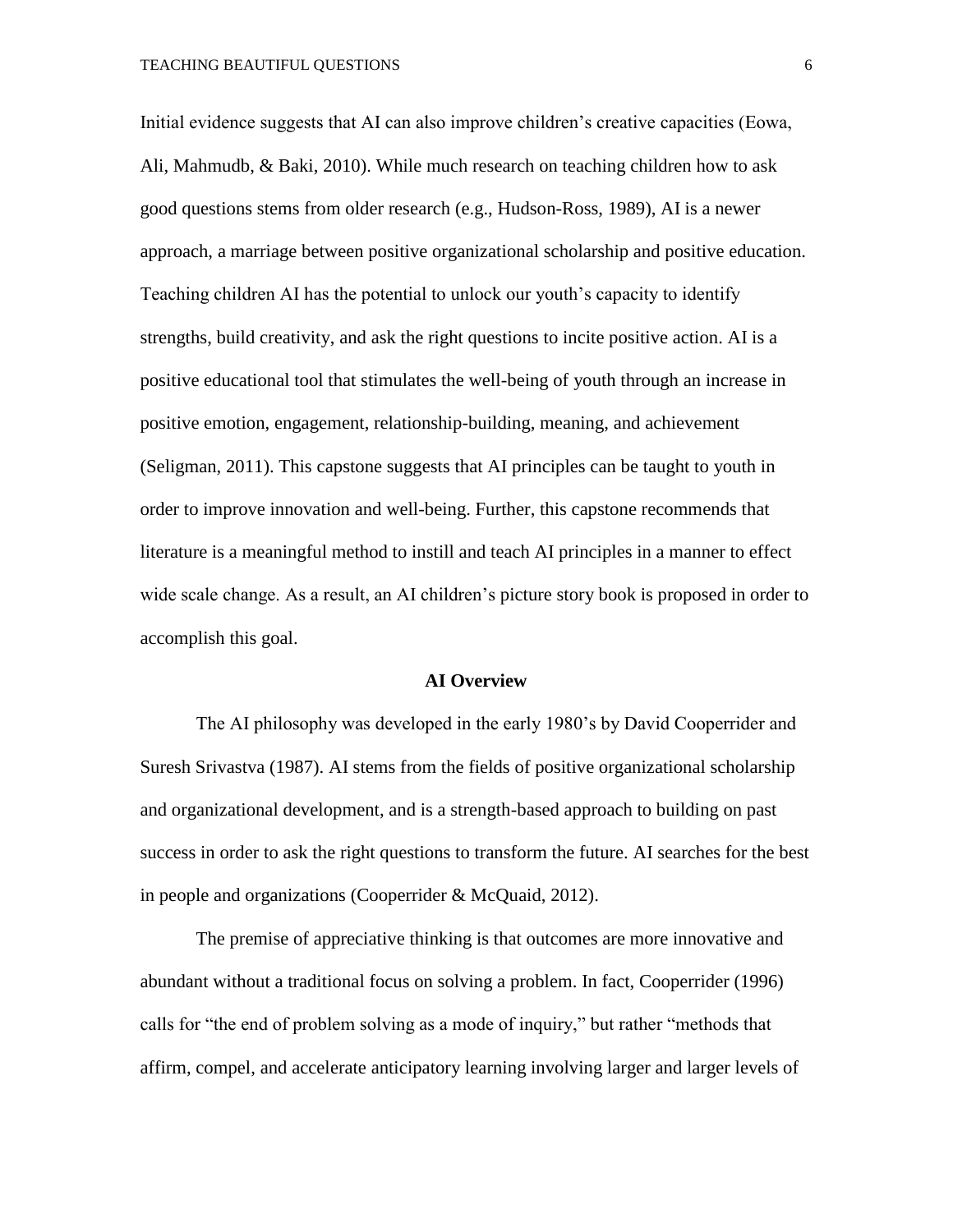Initial evidence suggests that AI can also improve children's creative capacities (Eowa, Ali, Mahmudb, & Baki, 2010). While much research on teaching children how to ask good questions stems from older research (e.g., Hudson-Ross, 1989), AI is a newer approach, a marriage between positive organizational scholarship and positive education. Teaching children AI has the potential to unlock our youth's capacity to identify strengths, build creativity, and ask the right questions to incite positive action. AI is a positive educational tool that stimulates the well-being of youth through an increase in positive emotion, engagement, relationship-building, meaning, and achievement (Seligman, 2011). This capstone suggests that AI principles can be taught to youth in order to improve innovation and well-being. Further, this capstone recommends that literature is a meaningful method to instill and teach AI principles in a manner to effect wide scale change. As a result, an AI children's picture story book is proposed in order to accomplish this goal.

#### **AI Overview**

The AI philosophy was developed in the early 1980's by David Cooperrider and Suresh Srivastva (1987). AI stems from the fields of positive organizational scholarship and organizational development, and is a strength-based approach to building on past success in order to ask the right questions to transform the future. AI searches for the best in people and organizations (Cooperrider & McQuaid, 2012).

The premise of appreciative thinking is that outcomes are more innovative and abundant without a traditional focus on solving a problem. In fact, Cooperrider (1996) calls for "the end of problem solving as a mode of inquiry," but rather "methods that affirm, compel, and accelerate anticipatory learning involving larger and larger levels of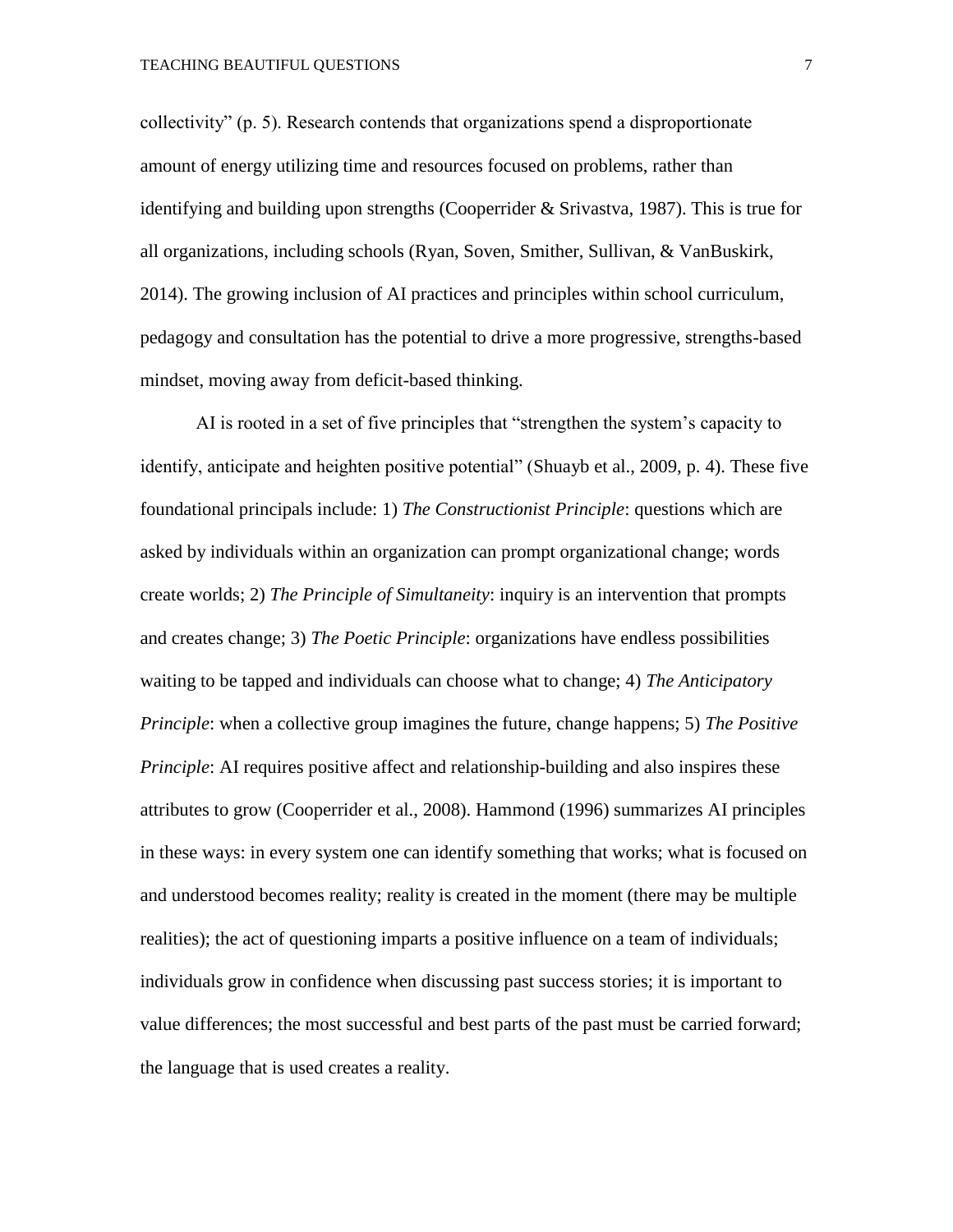collectivity" (p. 5). Research contends that organizations spend a disproportionate amount of energy utilizing time and resources focused on problems, rather than identifying and building upon strengths (Cooperrider & Srivastva, 1987). This is true for all organizations, including schools (Ryan, Soven, Smither, Sullivan, & VanBuskirk, 2014). The growing inclusion of AI practices and principles within school curriculum, pedagogy and consultation has the potential to drive a more progressive, strengths-based mindset, moving away from deficit-based thinking.

AI is rooted in a set of five principles that "strengthen the system's capacity to identify, anticipate and heighten positive potential" (Shuayb et al., 2009, p. 4). These five foundational principals include: 1) *The Constructionist Principle*: questions which are asked by individuals within an organization can prompt organizational change; words create worlds; 2) *The Principle of Simultaneity*: inquiry is an intervention that prompts and creates change; 3) *The Poetic Principle*: organizations have endless possibilities waiting to be tapped and individuals can choose what to change; 4) *The Anticipatory Principle*: when a collective group imagines the future, change happens; 5) *The Positive Principle*: AI requires positive affect and relationship-building and also inspires these attributes to grow (Cooperrider et al., 2008). Hammond (1996) summarizes AI principles in these ways: in every system one can identify something that works; what is focused on and understood becomes reality; reality is created in the moment (there may be multiple realities); the act of questioning imparts a positive influence on a team of individuals; individuals grow in confidence when discussing past success stories; it is important to value differences; the most successful and best parts of the past must be carried forward; the language that is used creates a reality.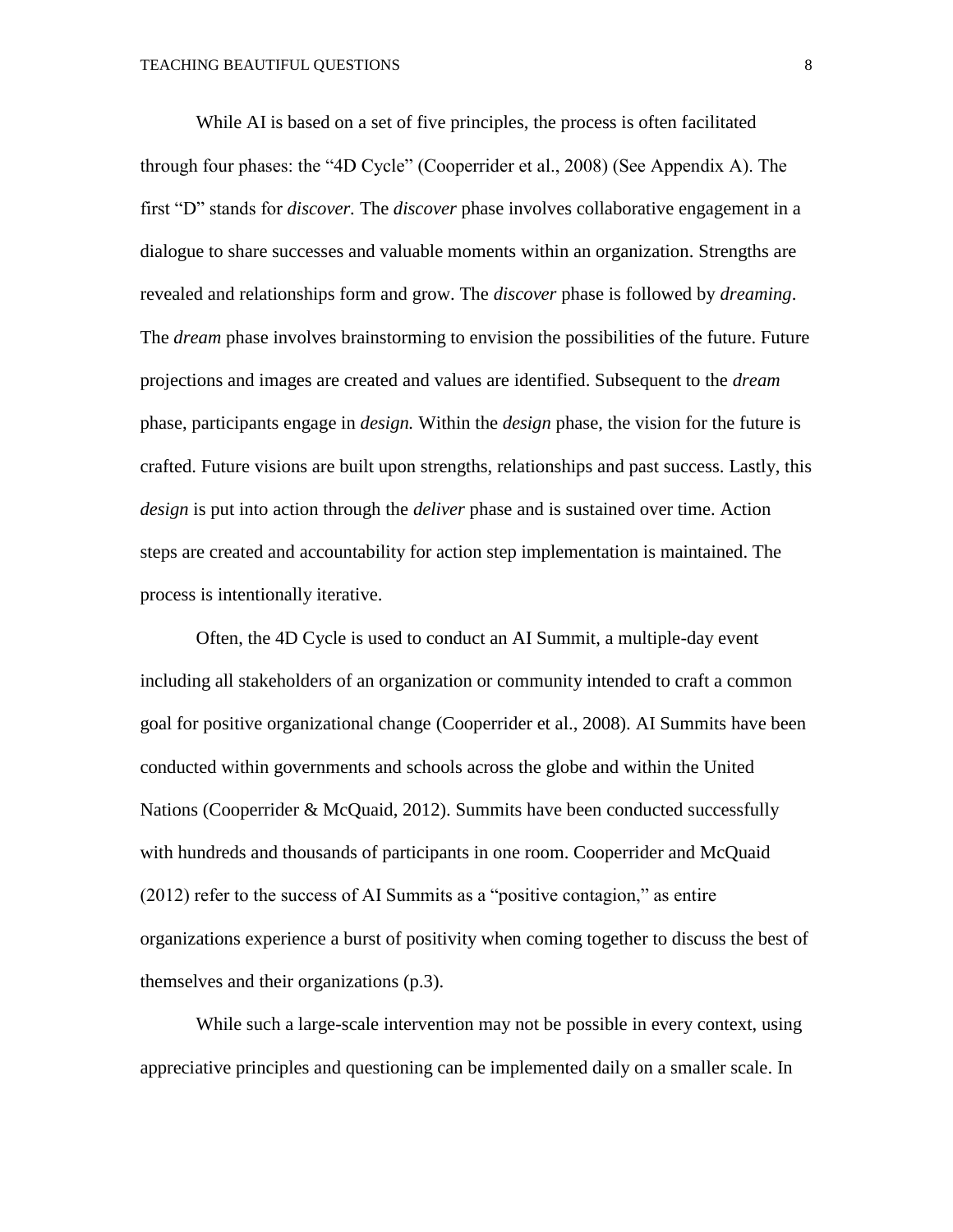While AI is based on a set of five principles, the process is often facilitated through four phases: the "4D Cycle" (Cooperrider et al., 2008) (See Appendix A). The first "D" stands for *discover.* The *discover* phase involves collaborative engagement in a dialogue to share successes and valuable moments within an organization. Strengths are revealed and relationships form and grow. The *discover* phase is followed by *dreaming*. The *dream* phase involves brainstorming to envision the possibilities of the future. Future projections and images are created and values are identified. Subsequent to the *dream*  phase, participants engage in *design.* Within the *design* phase, the vision for the future is crafted. Future visions are built upon strengths, relationships and past success. Lastly, this *design* is put into action through the *deliver* phase and is sustained over time. Action steps are created and accountability for action step implementation is maintained. The process is intentionally iterative.

Often, the 4D Cycle is used to conduct an AI Summit, a multiple-day event including all stakeholders of an organization or community intended to craft a common goal for positive organizational change (Cooperrider et al., 2008). AI Summits have been conducted within governments and schools across the globe and within the United Nations (Cooperrider & McQuaid, 2012). Summits have been conducted successfully with hundreds and thousands of participants in one room. Cooperrider and McQuaid (2012) refer to the success of AI Summits as a "positive contagion," as entire organizations experience a burst of positivity when coming together to discuss the best of themselves and their organizations (p.3).

While such a large-scale intervention may not be possible in every context, using appreciative principles and questioning can be implemented daily on a smaller scale. In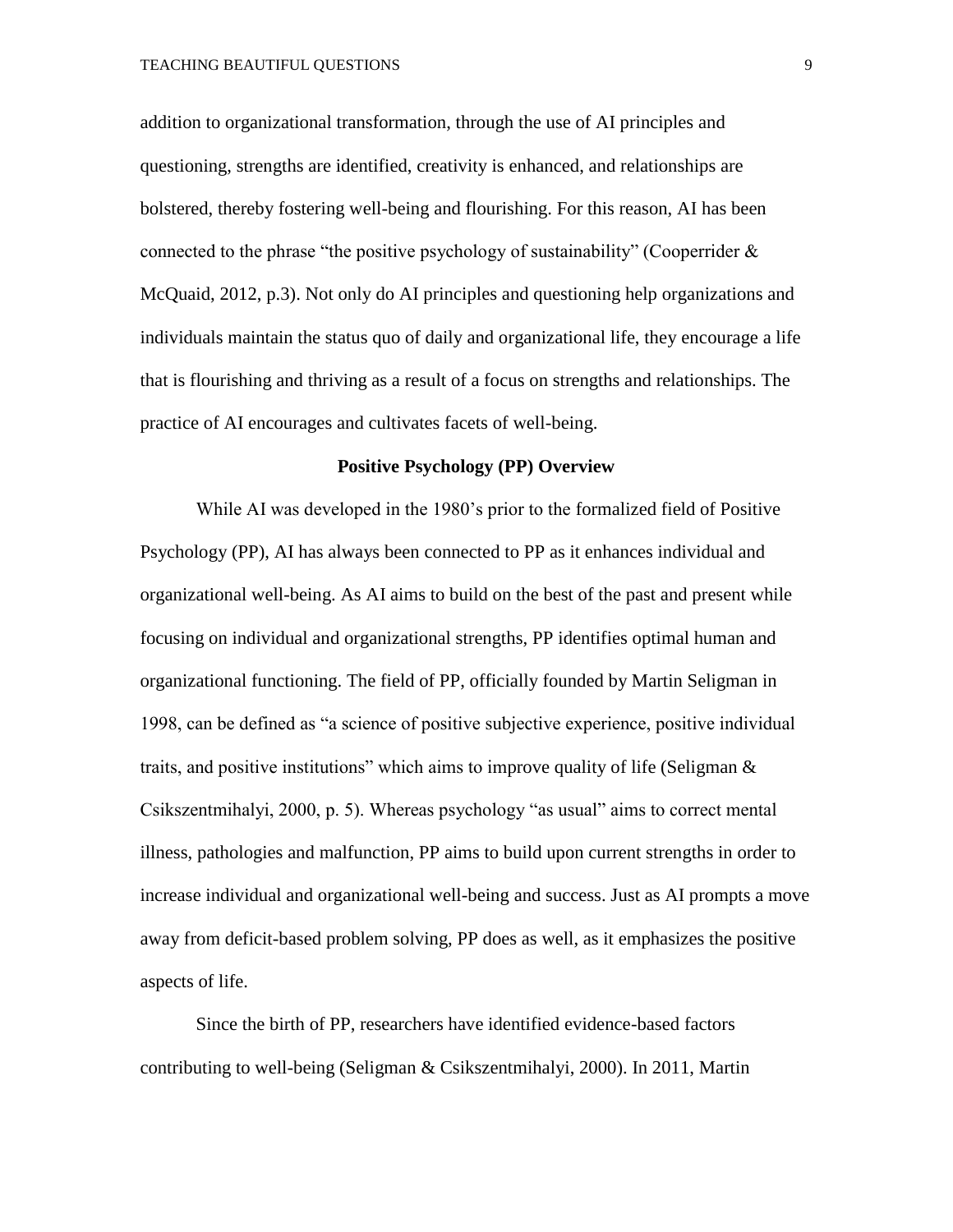addition to organizational transformation, through the use of AI principles and questioning, strengths are identified, creativity is enhanced, and relationships are bolstered, thereby fostering well-being and flourishing. For this reason, AI has been connected to the phrase "the positive psychology of sustainability" (Cooperrider  $\&$ McQuaid, 2012, p.3). Not only do AI principles and questioning help organizations and individuals maintain the status quo of daily and organizational life, they encourage a life that is flourishing and thriving as a result of a focus on strengths and relationships. The practice of AI encourages and cultivates facets of well-being.

#### **Positive Psychology (PP) Overview**

While AI was developed in the 1980's prior to the formalized field of Positive Psychology (PP), AI has always been connected to PP as it enhances individual and organizational well-being. As AI aims to build on the best of the past and present while focusing on individual and organizational strengths, PP identifies optimal human and organizational functioning. The field of PP, officially founded by Martin Seligman in 1998, can be defined as "a science of positive subjective experience, positive individual traits, and positive institutions" which aims to improve quality of life (Seligman & Csikszentmihalyi, 2000, p. 5). Whereas psychology "as usual" aims to correct mental illness, pathologies and malfunction, PP aims to build upon current strengths in order to increase individual and organizational well-being and success. Just as AI prompts a move away from deficit-based problem solving, PP does as well, as it emphasizes the positive aspects of life.

Since the birth of PP, researchers have identified evidence-based factors contributing to well-being (Seligman & Csikszentmihalyi, 2000). In 2011, Martin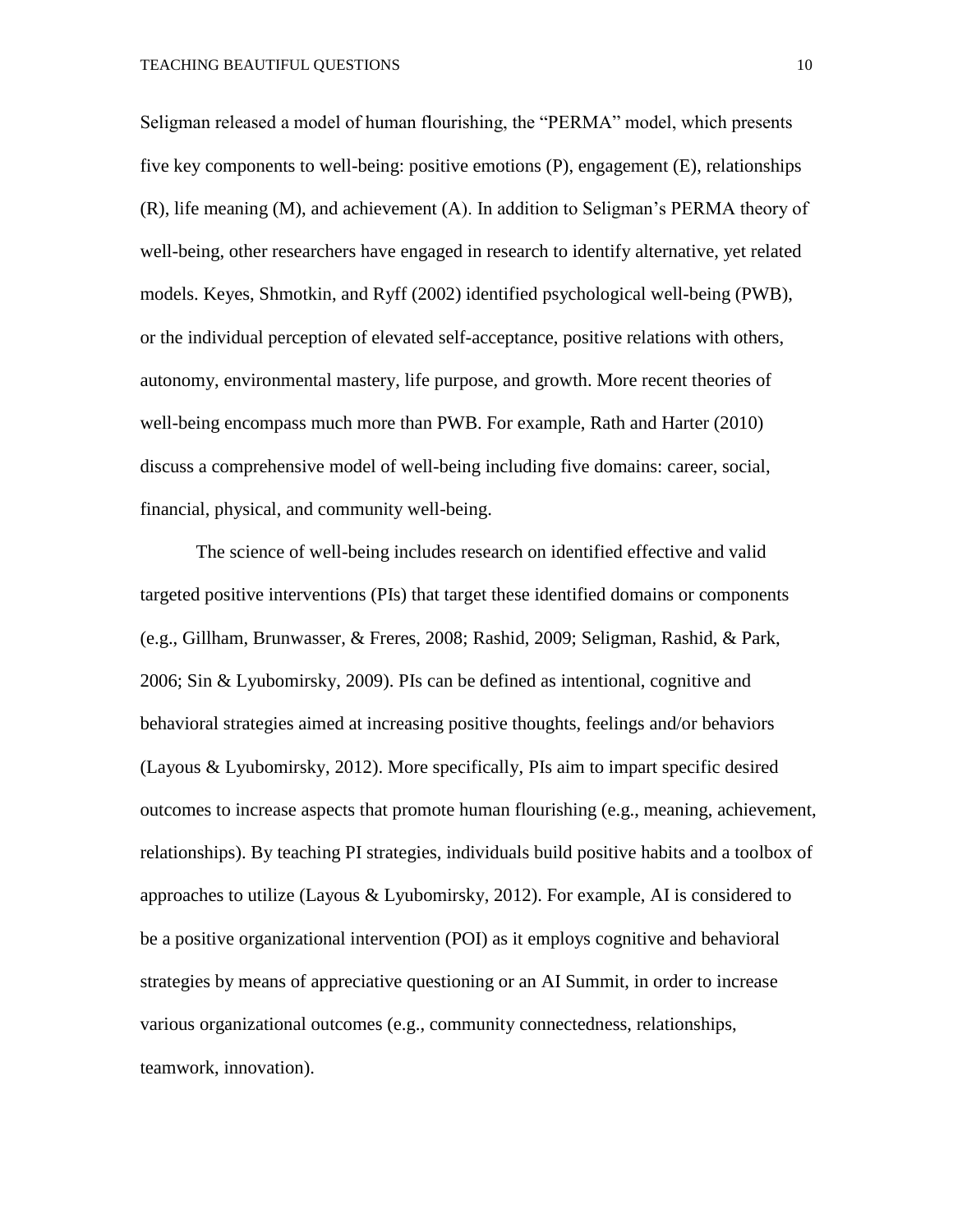Seligman released a model of human flourishing, the "PERMA" model, which presents five key components to well-being: positive emotions (P), engagement (E), relationships (R), life meaning (M), and achievement (A). In addition to Seligman's PERMA theory of well-being, other researchers have engaged in research to identify alternative, yet related models. Keyes, Shmotkin, and Ryff (2002) identified psychological well-being (PWB), or the individual perception of elevated self-acceptance, positive relations with others, autonomy, environmental mastery, life purpose, and growth. More recent theories of well-being encompass much more than PWB. For example, Rath and Harter (2010) discuss a comprehensive model of well-being including five domains: career, social, financial, physical, and community well-being.

The science of well-being includes research on identified effective and valid targeted positive interventions (PIs) that target these identified domains or components (e.g., Gillham, Brunwasser, & Freres, 2008; Rashid, 2009; Seligman, Rashid, & Park, 2006; Sin & Lyubomirsky, 2009). PIs can be defined as intentional, cognitive and behavioral strategies aimed at increasing positive thoughts, feelings and/or behaviors (Layous & Lyubomirsky, 2012). More specifically, PIs aim to impart specific desired outcomes to increase aspects that promote human flourishing (e.g., meaning, achievement, relationships). By teaching PI strategies, individuals build positive habits and a toolbox of approaches to utilize (Layous & Lyubomirsky, 2012). For example, AI is considered to be a positive organizational intervention (POI) as it employs cognitive and behavioral strategies by means of appreciative questioning or an AI Summit, in order to increase various organizational outcomes (e.g., community connectedness, relationships, teamwork, innovation).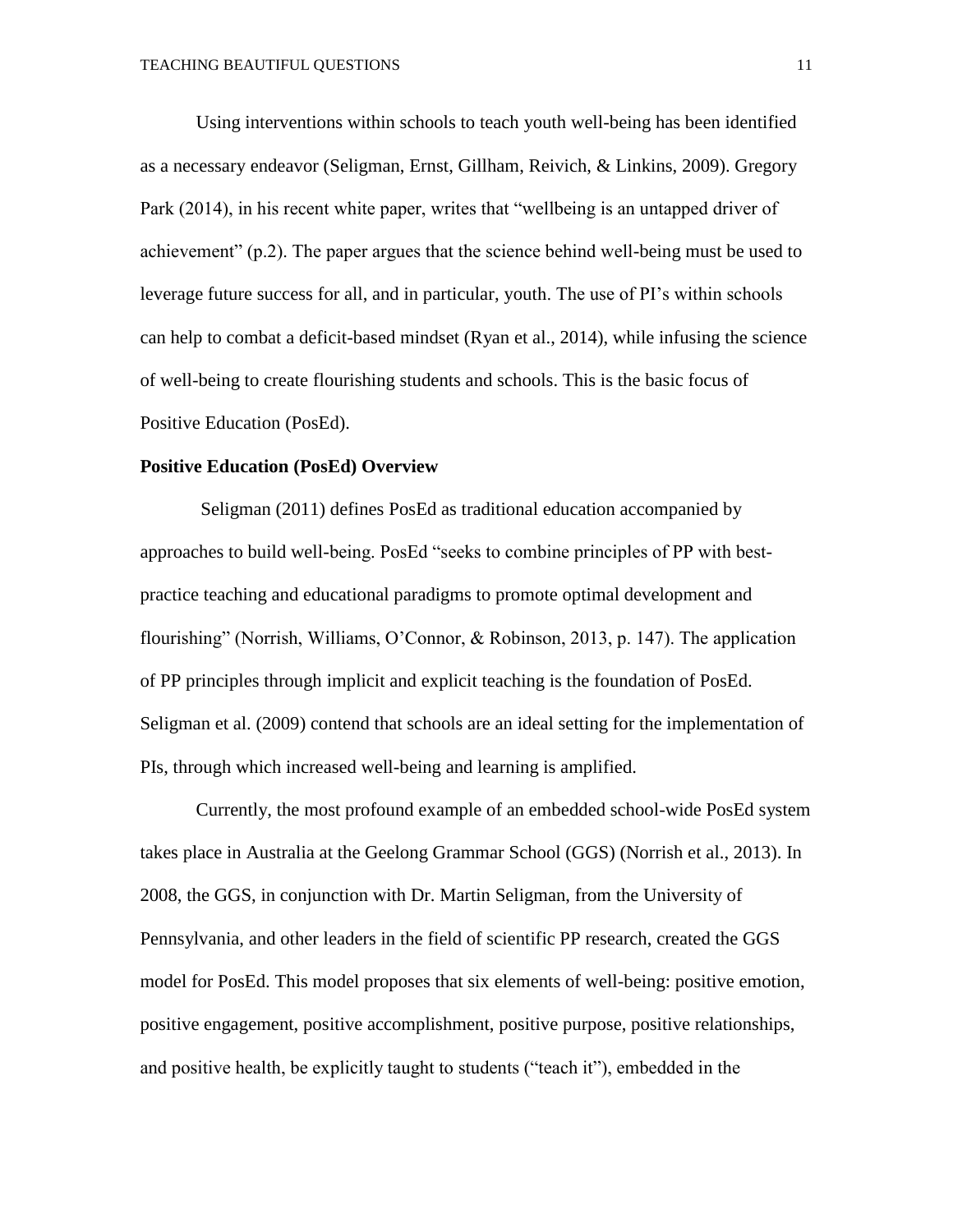Using interventions within schools to teach youth well-being has been identified as a necessary endeavor (Seligman, Ernst, Gillham, Reivich, & Linkins, 2009). Gregory Park (2014), in his recent white paper, writes that "wellbeing is an untapped driver of achievement" (p.2). The paper argues that the science behind well-being must be used to leverage future success for all, and in particular, youth. The use of PI's within schools can help to combat a deficit-based mindset (Ryan et al., 2014), while infusing the science of well-being to create flourishing students and schools. This is the basic focus of Positive Education (PosEd).

#### **Positive Education (PosEd) Overview**

Seligman (2011) defines PosEd as traditional education accompanied by approaches to build well-being. PosEd "seeks to combine principles of PP with bestpractice teaching and educational paradigms to promote optimal development and flourishing" (Norrish, Williams, O'Connor, & Robinson, 2013, p. 147). The application of PP principles through implicit and explicit teaching is the foundation of PosEd. Seligman et al. (2009) contend that schools are an ideal setting for the implementation of PIs, through which increased well-being and learning is amplified.

Currently, the most profound example of an embedded school-wide PosEd system takes place in Australia at the Geelong Grammar School (GGS) (Norrish et al., 2013). In 2008, the GGS, in conjunction with Dr. Martin Seligman, from the University of Pennsylvania, and other leaders in the field of scientific PP research, created the GGS model for PosEd. This model proposes that six elements of well-being: positive emotion, positive engagement, positive accomplishment, positive purpose, positive relationships, and positive health, be explicitly taught to students ("teach it"), embedded in the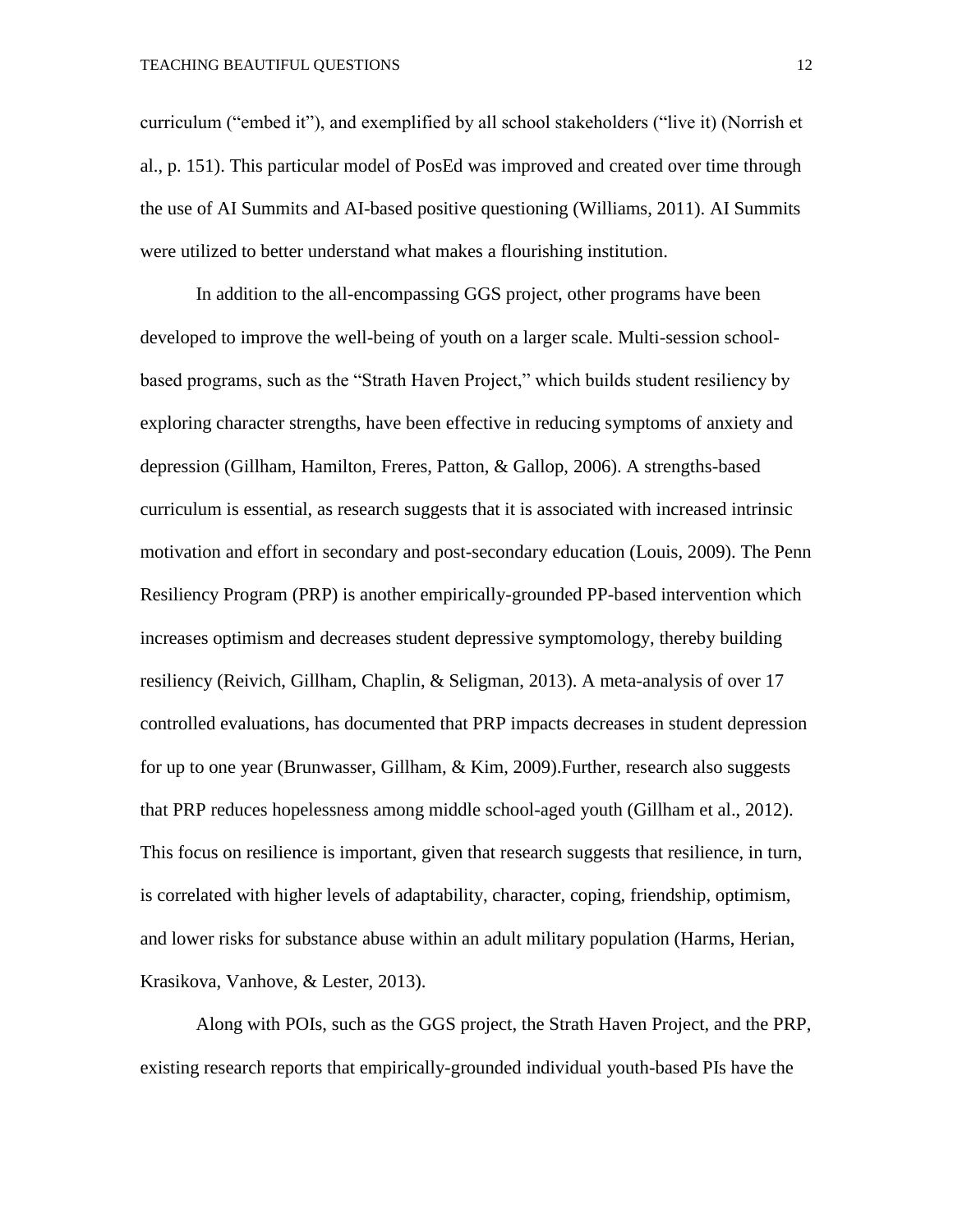curriculum ("embed it"), and exemplified by all school stakeholders ("live it) (Norrish et al., p. 151). This particular model of PosEd was improved and created over time through the use of AI Summits and AI-based positive questioning (Williams, 2011). AI Summits were utilized to better understand what makes a flourishing institution.

In addition to the all-encompassing GGS project, other programs have been developed to improve the well-being of youth on a larger scale. Multi-session schoolbased programs, such as the "Strath Haven Project," which builds student resiliency by exploring character strengths, have been effective in reducing symptoms of anxiety and depression (Gillham, Hamilton, Freres, Patton, & Gallop, 2006). A strengths-based curriculum is essential, as research suggests that it is associated with increased intrinsic motivation and effort in secondary and post-secondary education (Louis, 2009). The Penn Resiliency Program (PRP) is another empirically-grounded PP-based intervention which increases optimism and decreases student depressive symptomology, thereby building resiliency (Reivich, Gillham, Chaplin, & Seligman, 2013). A meta-analysis of over 17 controlled evaluations, has documented that PRP impacts decreases in student depression for up to one year (Brunwasser, Gillham, & Kim, 2009).Further, research also suggests that PRP reduces hopelessness among middle school-aged youth (Gillham et al., 2012). This focus on resilience is important, given that research suggests that resilience, in turn, is correlated with higher levels of adaptability, character, coping, friendship, optimism, and lower risks for substance abuse within an adult military population (Harms, Herian, Krasikova, Vanhove, & Lester, 2013).

Along with POIs, such as the GGS project, the Strath Haven Project, and the PRP, existing research reports that empirically-grounded individual youth-based PIs have the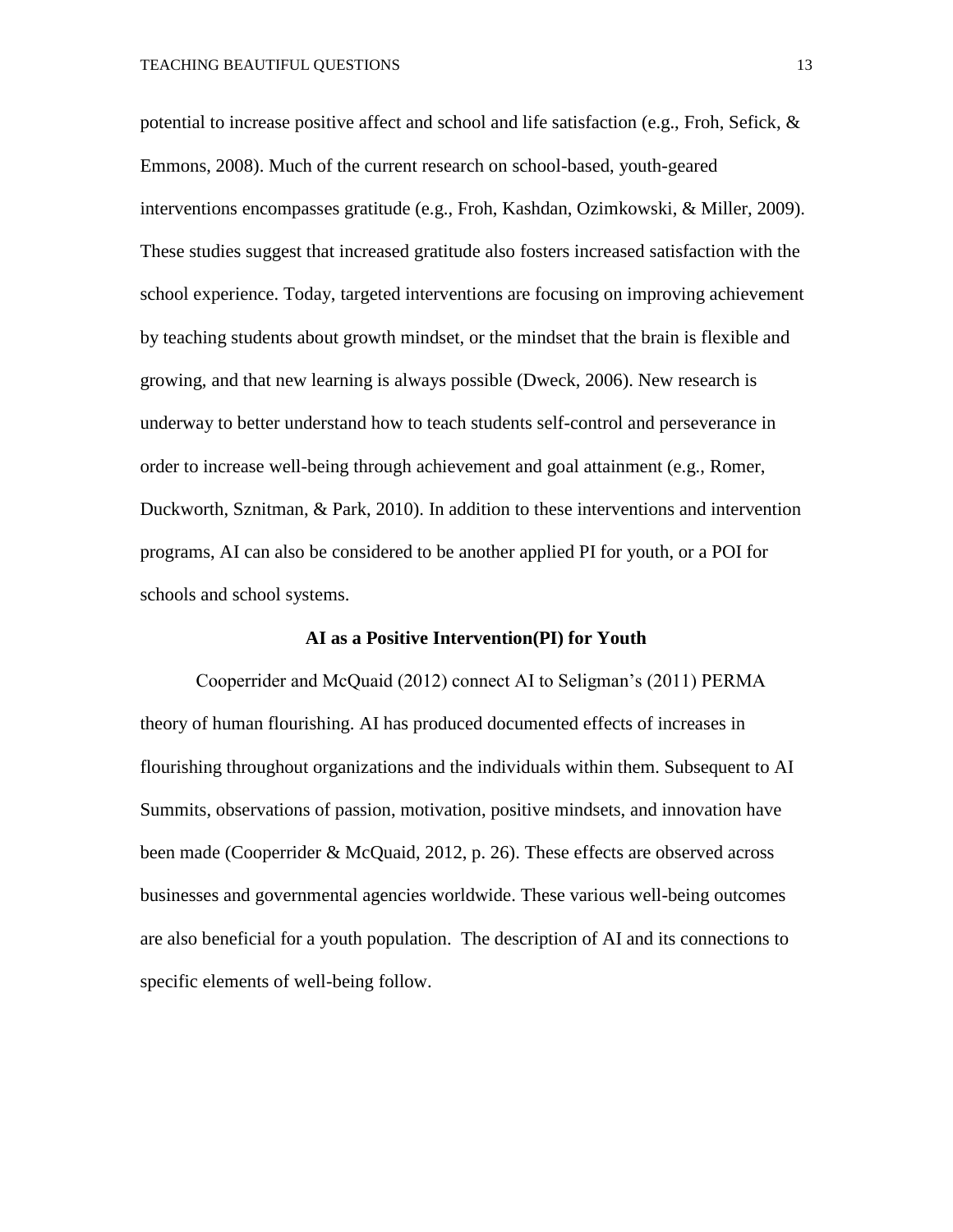potential to increase positive affect and school and life satisfaction (e.g., Froh, Sefick, & Emmons, 2008). Much of the current research on school-based, youth-geared interventions encompasses gratitude (e.g., Froh, Kashdan, Ozimkowski, & Miller, 2009). These studies suggest that increased gratitude also fosters increased satisfaction with the school experience. Today, targeted interventions are focusing on improving achievement by teaching students about growth mindset, or the mindset that the brain is flexible and growing, and that new learning is always possible (Dweck, 2006). New research is underway to better understand how to teach students self-control and perseverance in order to increase well-being through achievement and goal attainment (e.g., Romer, Duckworth, Sznitman, & Park, 2010). In addition to these interventions and intervention programs, AI can also be considered to be another applied PI for youth, or a POI for schools and school systems.

#### **AI as a Positive Intervention(PI) for Youth**

Cooperrider and McQuaid (2012) connect AI to Seligman's (2011) PERMA theory of human flourishing. AI has produced documented effects of increases in flourishing throughout organizations and the individuals within them. Subsequent to AI Summits, observations of passion, motivation, positive mindsets, and innovation have been made (Cooperrider & McQuaid, 2012, p. 26). These effects are observed across businesses and governmental agencies worldwide. These various well-being outcomes are also beneficial for a youth population. The description of AI and its connections to specific elements of well-being follow.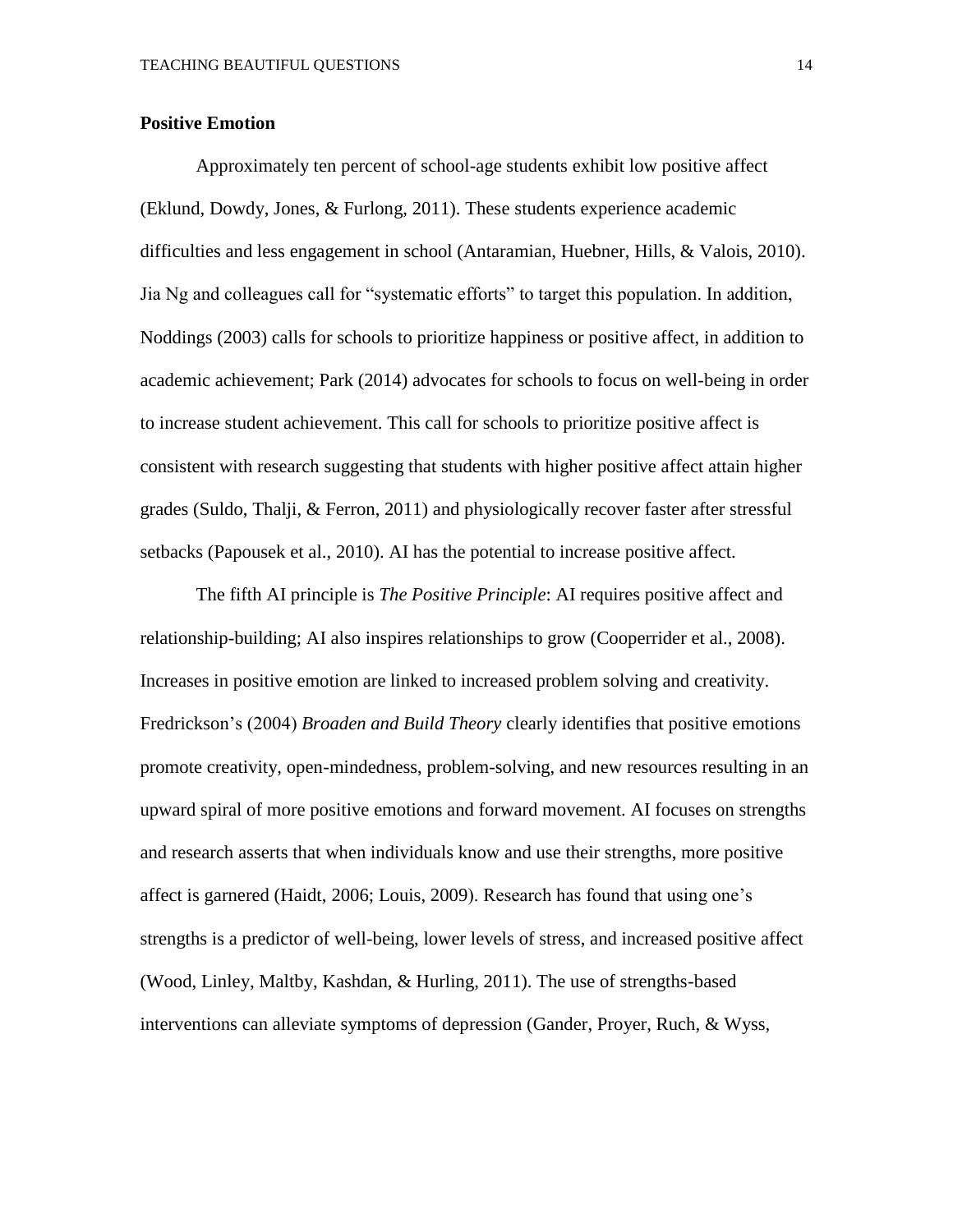#### **Positive Emotion**

Approximately ten percent of school-age students exhibit low positive affect (Eklund, Dowdy, Jones, & Furlong, 2011). These students experience academic difficulties and less engagement in school (Antaramian, Huebner, Hills, & Valois, 2010). Jia Ng and colleagues call for "systematic efforts" to target this population. In addition, Noddings (2003) calls for schools to prioritize happiness or positive affect, in addition to academic achievement; Park (2014) advocates for schools to focus on well-being in order to increase student achievement. This call for schools to prioritize positive affect is consistent with research suggesting that students with higher positive affect attain higher grades (Suldo, Thalji, & Ferron, 2011) and physiologically recover faster after stressful setbacks (Papousek et al., 2010). AI has the potential to increase positive affect.

The fifth AI principle is *The Positive Principle*: AI requires positive affect and relationship-building; AI also inspires relationships to grow (Cooperrider et al., 2008). Increases in positive emotion are linked to increased problem solving and creativity. Fredrickson's (2004) *Broaden and Build Theory* clearly identifies that positive emotions promote creativity, open-mindedness, problem-solving, and new resources resulting in an upward spiral of more positive emotions and forward movement. AI focuses on strengths and research asserts that when individuals know and use their strengths, more positive affect is garnered (Haidt, 2006; Louis, 2009). Research has found that using one's strengths is a predictor of well-being, lower levels of stress, and increased positive affect (Wood, Linley, Maltby, Kashdan, & Hurling, 2011). The use of strengths-based interventions can alleviate symptoms of depression (Gander, Proyer, Ruch, & Wyss,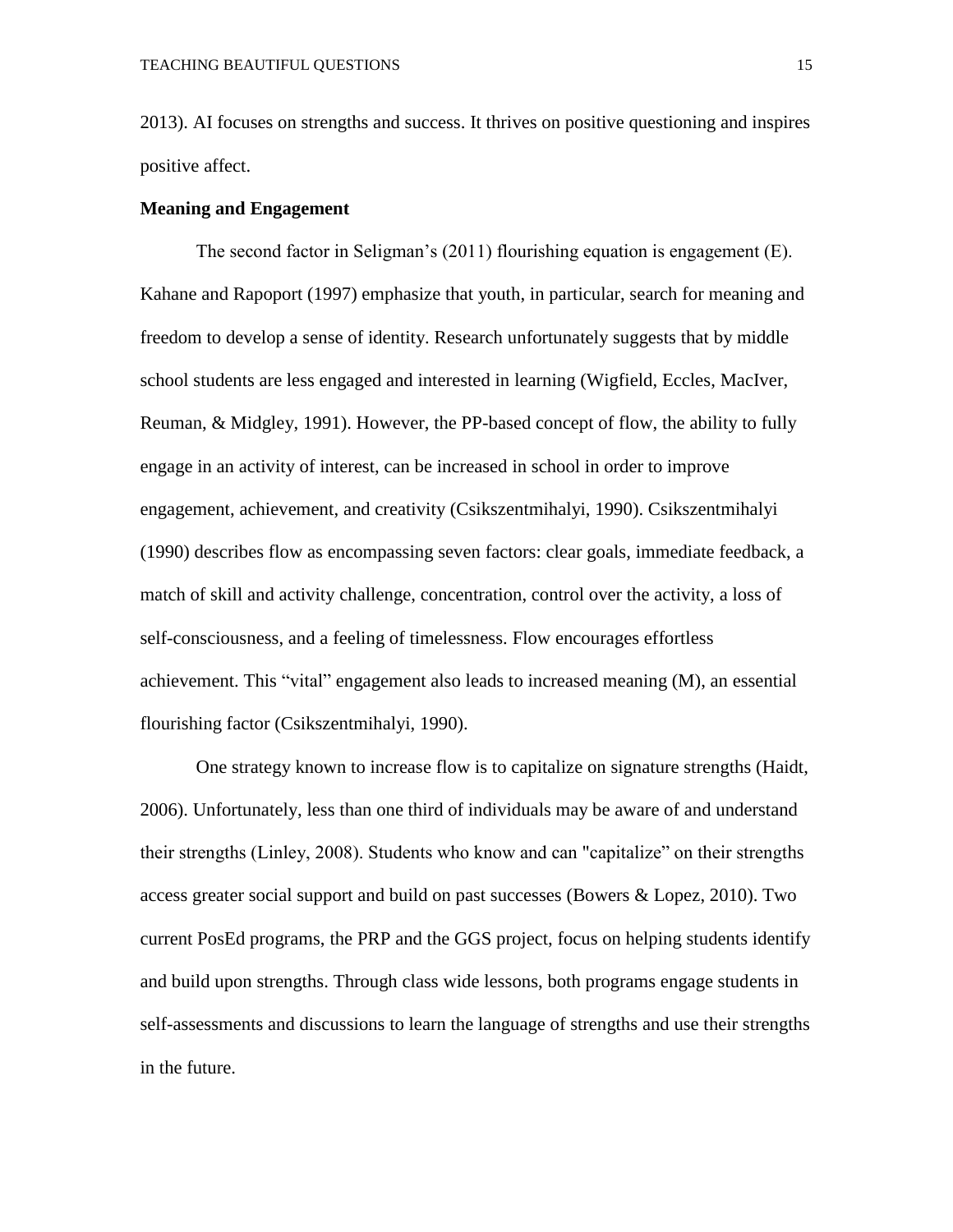2013). AI focuses on strengths and success. It thrives on positive questioning and inspires positive affect.

#### **Meaning and Engagement**

The second factor in Seligman's (2011) flourishing equation is engagement (E). Kahane and Rapoport (1997) emphasize that youth, in particular, search for meaning and freedom to develop a sense of identity. Research unfortunately suggests that by middle school students are less engaged and interested in learning (Wigfield, Eccles, MacIver, Reuman, & Midgley, 1991). However, the PP-based concept of flow, the ability to fully engage in an activity of interest, can be increased in school in order to improve engagement, achievement, and creativity (Csikszentmihalyi, 1990). Csikszentmihalyi (1990) describes flow as encompassing seven factors: clear goals, immediate feedback, a match of skill and activity challenge, concentration, control over the activity, a loss of self-consciousness, and a feeling of timelessness. Flow encourages effortless achievement. This "vital" engagement also leads to increased meaning (M), an essential flourishing factor (Csikszentmihalyi, 1990).

One strategy known to increase flow is to capitalize on signature strengths (Haidt, 2006). Unfortunately, less than one third of individuals may be aware of and understand their strengths (Linley, 2008). Students who know and can "capitalize" on their strengths access greater social support and build on past successes (Bowers & Lopez, 2010). Two current PosEd programs, the PRP and the GGS project, focus on helping students identify and build upon strengths. Through class wide lessons, both programs engage students in self-assessments and discussions to learn the language of strengths and use their strengths in the future.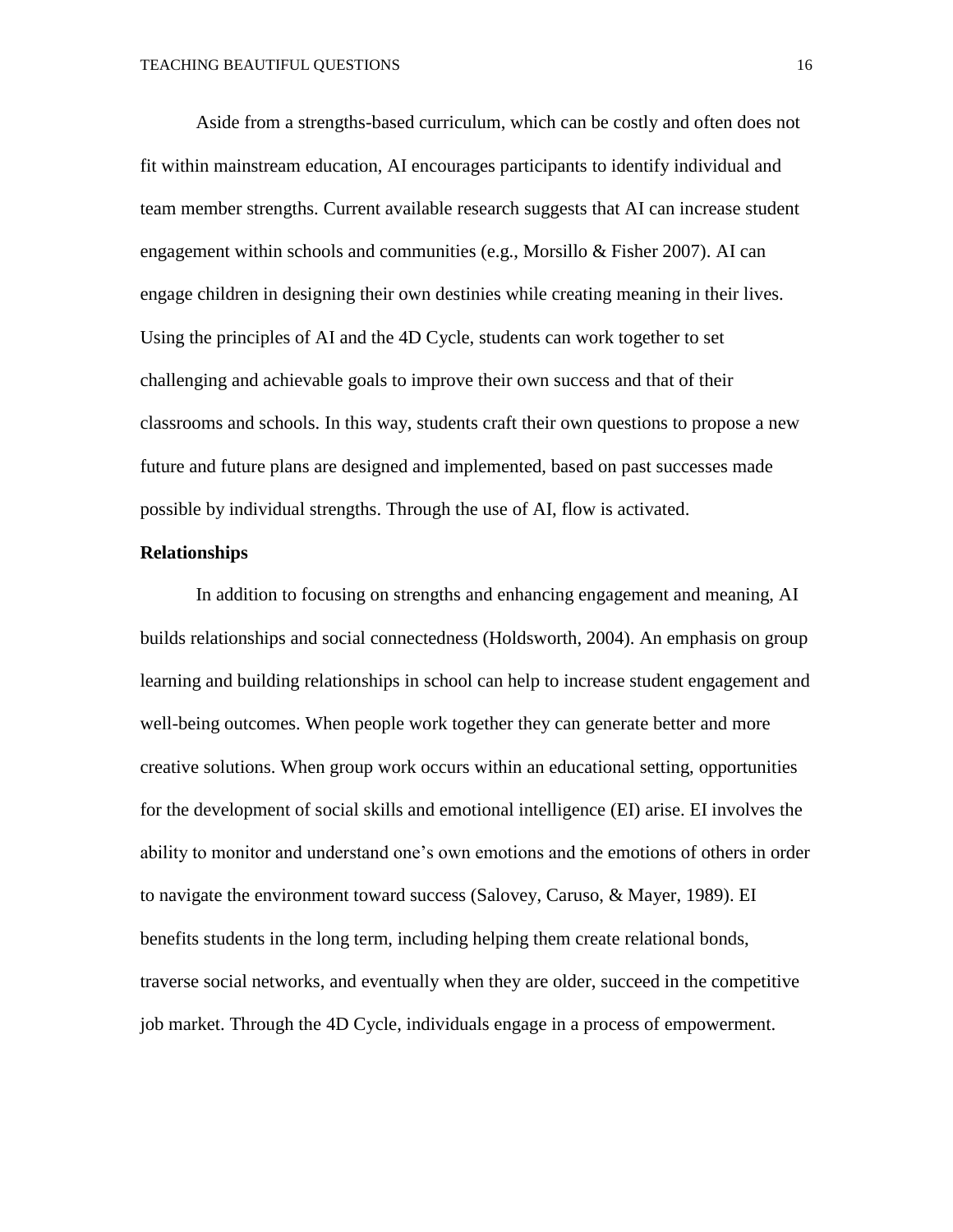Aside from a strengths-based curriculum, which can be costly and often does not fit within mainstream education, AI encourages participants to identify individual and team member strengths. Current available research suggests that AI can increase student engagement within schools and communities (e.g., Morsillo & Fisher 2007). AI can engage children in designing their own destinies while creating meaning in their lives. Using the principles of AI and the 4D Cycle, students can work together to set challenging and achievable goals to improve their own success and that of their classrooms and schools. In this way, students craft their own questions to propose a new future and future plans are designed and implemented, based on past successes made possible by individual strengths. Through the use of AI, flow is activated.

#### **Relationships**

In addition to focusing on strengths and enhancing engagement and meaning, AI builds relationships and social connectedness (Holdsworth, 2004). An emphasis on group learning and building relationships in school can help to increase student engagement and well-being outcomes. When people work together they can generate better and more creative solutions. When group work occurs within an educational setting, opportunities for the development of social skills and emotional intelligence (EI) arise. EI involves the ability to monitor and understand one's own emotions and the emotions of others in order to navigate the environment toward success (Salovey, Caruso, & Mayer, 1989). EI benefits students in the long term, including helping them create relational bonds, traverse social networks, and eventually when they are older, succeed in the competitive job market. Through the 4D Cycle, individuals engage in a process of empowerment.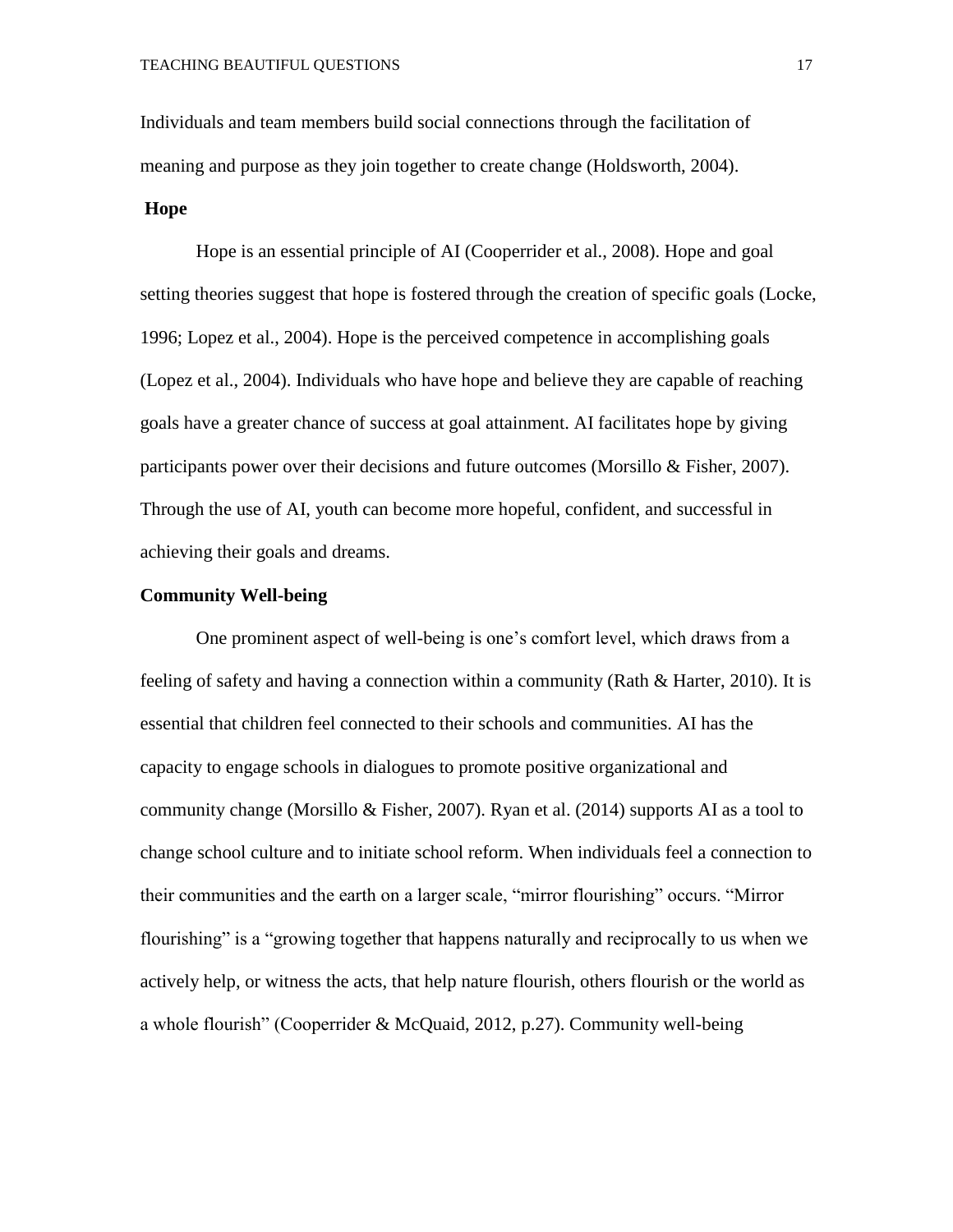Individuals and team members build social connections through the facilitation of meaning and purpose as they join together to create change (Holdsworth, 2004).

#### **Hope**

Hope is an essential principle of AI (Cooperrider et al., 2008). Hope and goal setting theories suggest that hope is fostered through the creation of specific goals (Locke, 1996; Lopez et al., 2004). Hope is the perceived competence in accomplishing goals (Lopez et al., 2004). Individuals who have hope and believe they are capable of reaching goals have a greater chance of success at goal attainment. AI facilitates hope by giving participants power over their decisions and future outcomes (Morsillo & Fisher, 2007). Through the use of AI, youth can become more hopeful, confident, and successful in achieving their goals and dreams.

#### **Community Well-being**

One prominent aspect of well-being is one's comfort level, which draws from a feeling of safety and having a connection within a community (Rath & Harter, 2010). It is essential that children feel connected to their schools and communities. AI has the capacity to engage schools in dialogues to promote positive organizational and community change (Morsillo & Fisher, 2007). Ryan et al. (2014) supports AI as a tool to change school culture and to initiate school reform. When individuals feel a connection to their communities and the earth on a larger scale, "mirror flourishing" occurs. "Mirror flourishing" is a "growing together that happens naturally and reciprocally to us when we actively help, or witness the acts, that help nature flourish, others flourish or the world as a whole flourish" (Cooperrider & McQuaid, 2012, p.27). Community well-being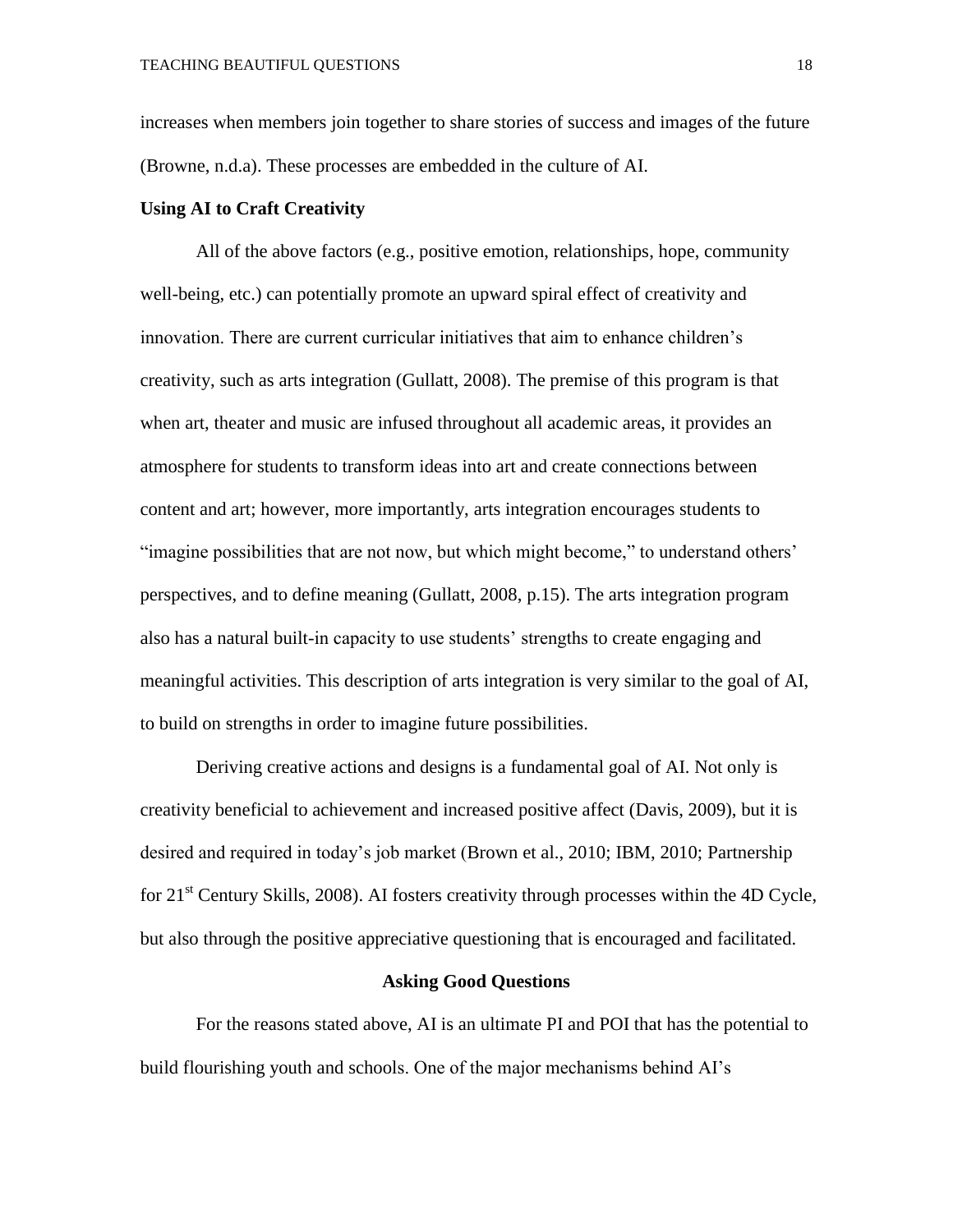increases when members join together to share stories of success and images of the future (Browne, n.d.a). These processes are embedded in the culture of AI.

#### **Using AI to Craft Creativity**

All of the above factors (e.g., positive emotion, relationships, hope, community well-being, etc.) can potentially promote an upward spiral effect of creativity and innovation. There are current curricular initiatives that aim to enhance children's creativity, such as arts integration (Gullatt, 2008). The premise of this program is that when art, theater and music are infused throughout all academic areas, it provides an atmosphere for students to transform ideas into art and create connections between content and art; however, more importantly, arts integration encourages students to "imagine possibilities that are not now, but which might become," to understand others' perspectives, and to define meaning (Gullatt, 2008, p.15). The arts integration program also has a natural built-in capacity to use students' strengths to create engaging and meaningful activities. This description of arts integration is very similar to the goal of AI, to build on strengths in order to imagine future possibilities.

Deriving creative actions and designs is a fundamental goal of AI. Not only is creativity beneficial to achievement and increased positive affect (Davis, 2009), but it is desired and required in today's job market (Brown et al., 2010; IBM, 2010; Partnership for  $21<sup>st</sup>$  Century Skills, 2008). AI fosters creativity through processes within the 4D Cycle, but also through the positive appreciative questioning that is encouraged and facilitated.

#### **Asking Good Questions**

For the reasons stated above, AI is an ultimate PI and POI that has the potential to build flourishing youth and schools. One of the major mechanisms behind AI's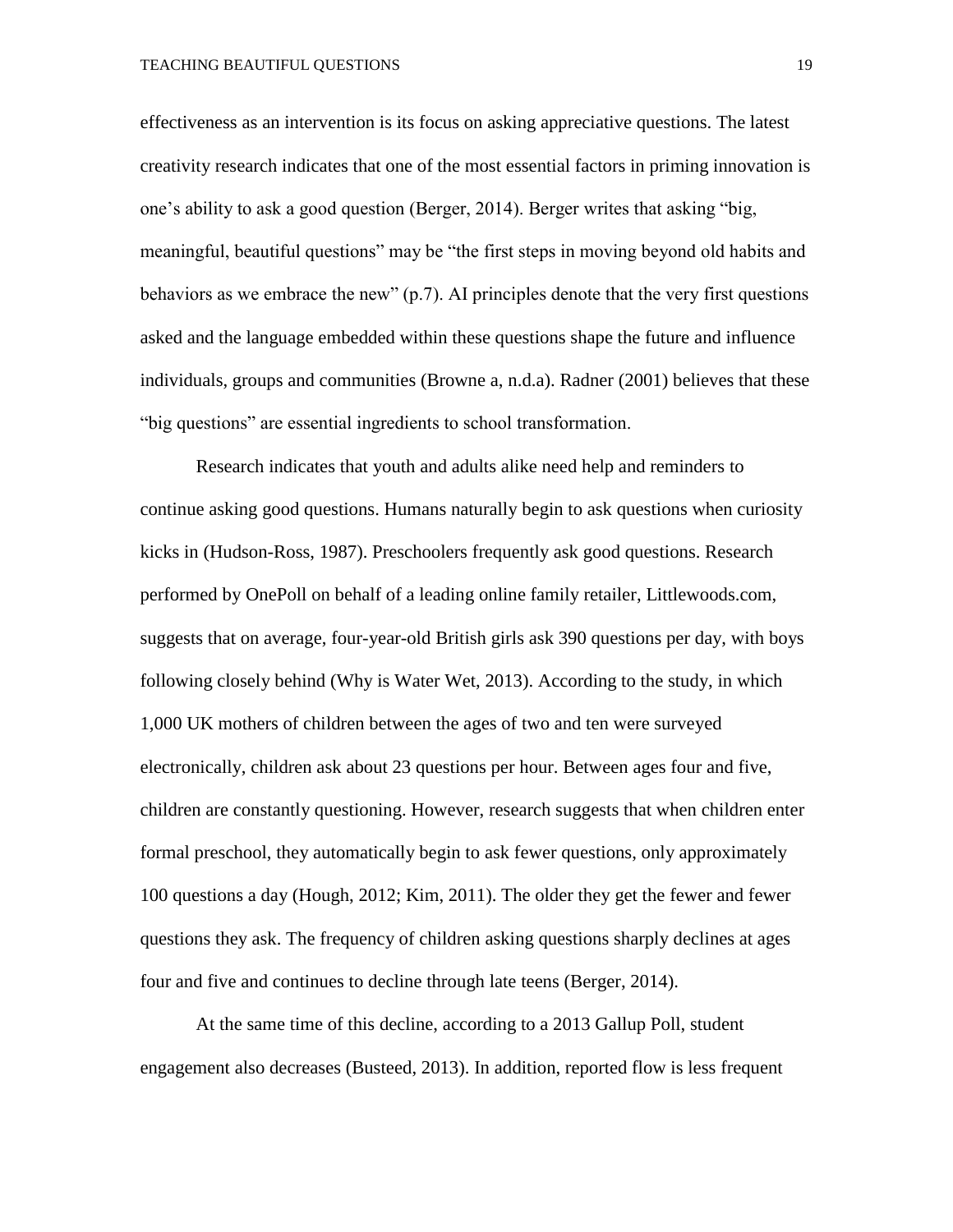TEACHING BEAUTIFUL QUESTIONS 19

effectiveness as an intervention is its focus on asking appreciative questions. The latest creativity research indicates that one of the most essential factors in priming innovation is one's ability to ask a good question (Berger, 2014). Berger writes that asking "big, meaningful, beautiful questions" may be "the first steps in moving beyond old habits and behaviors as we embrace the new" (p.7). AI principles denote that the very first questions asked and the language embedded within these questions shape the future and influence individuals, groups and communities (Browne a, n.d.a). Radner (2001) believes that these "big questions" are essential ingredients to school transformation.

Research indicates that youth and adults alike need help and reminders to continue asking good questions. Humans naturally begin to ask questions when curiosity kicks in (Hudson-Ross, 1987). Preschoolers frequently ask good questions. Research performed by OnePoll on behalf of a leading online family retailer, Littlewoods.com, suggests that on average, four-year-old British girls ask 390 questions per day, with boys following closely behind (Why is Water Wet, 2013). According to the study, in which 1,000 UK mothers of children between the ages of two and ten were surveyed electronically, children ask about 23 questions per hour. Between ages four and five, children are constantly questioning. However, research suggests that when children enter formal preschool, they automatically begin to ask fewer questions, only approximately 100 questions a day (Hough, 2012; Kim, 2011). The older they get the fewer and fewer questions they ask. The frequency of children asking questions sharply declines at ages four and five and continues to decline through late teens (Berger, 2014).

At the same time of this decline, according to a 2013 Gallup Poll, student engagement also decreases (Busteed, 2013). In addition, reported flow is less frequent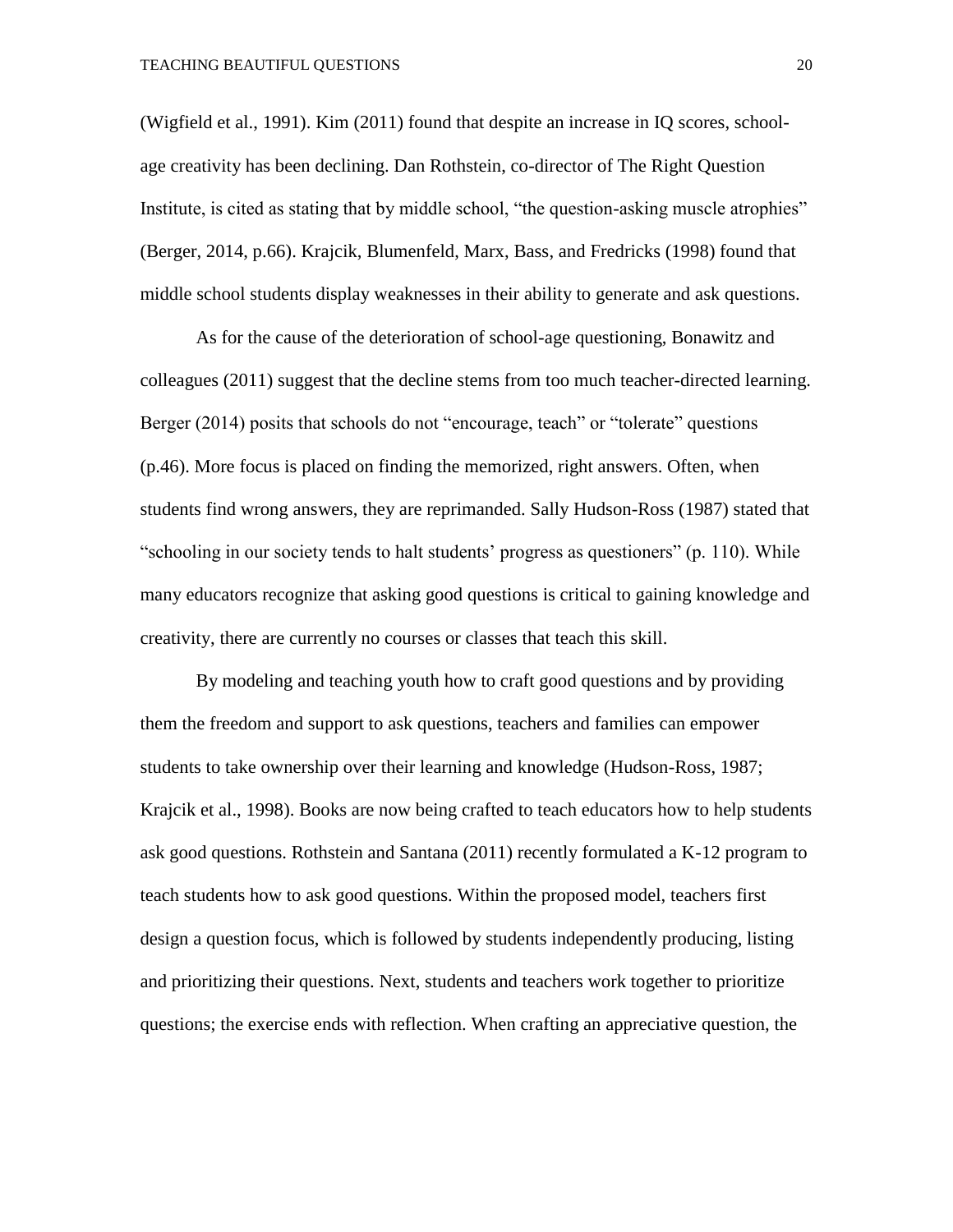(Wigfield et al., 1991). Kim (2011) found that despite an increase in IQ scores, schoolage creativity has been declining. Dan Rothstein, co-director of The Right Question Institute, is cited as stating that by middle school, "the question-asking muscle atrophies" (Berger, 2014, p.66). Krajcik, Blumenfeld, Marx, Bass, and Fredricks (1998) found that middle school students display weaknesses in their ability to generate and ask questions.

As for the cause of the deterioration of school-age questioning, Bonawitz and colleagues (2011) suggest that the decline stems from too much teacher-directed learning. Berger (2014) posits that schools do not "encourage, teach" or "tolerate" questions (p.46). More focus is placed on finding the memorized, right answers. Often, when students find wrong answers, they are reprimanded. Sally Hudson-Ross (1987) stated that "schooling in our society tends to halt students' progress as questioners" (p. 110). While many educators recognize that asking good questions is critical to gaining knowledge and creativity, there are currently no courses or classes that teach this skill.

By modeling and teaching youth how to craft good questions and by providing them the freedom and support to ask questions, teachers and families can empower students to take ownership over their learning and knowledge (Hudson-Ross, 1987; Krajcik et al., 1998). Books are now being crafted to teach educators how to help students ask good questions. Rothstein and Santana (2011) recently formulated a K-12 program to teach students how to ask good questions. Within the proposed model, teachers first design a question focus, which is followed by students independently producing, listing and prioritizing their questions. Next, students and teachers work together to prioritize questions; the exercise ends with reflection. When crafting an appreciative question, the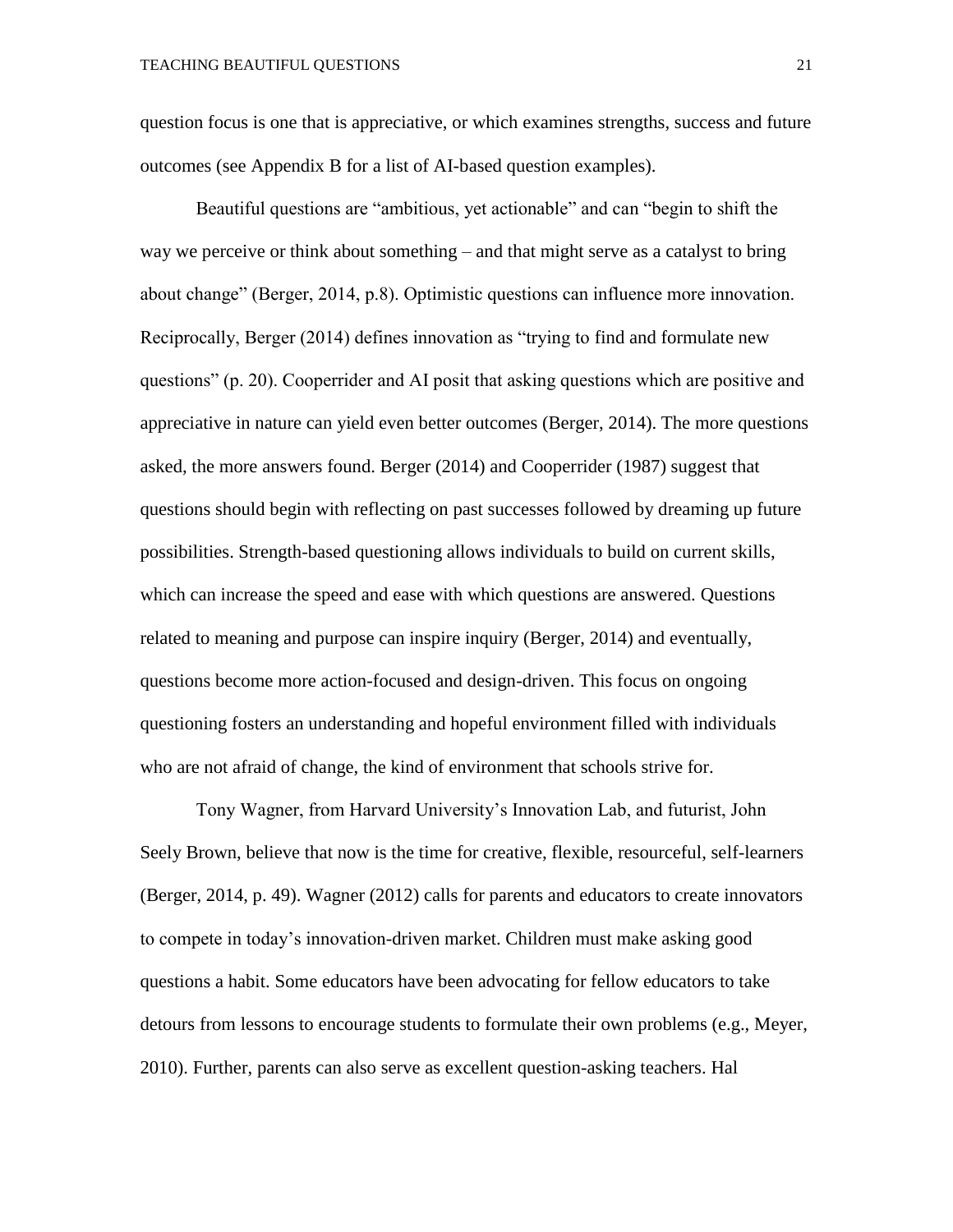question focus is one that is appreciative, or which examines strengths, success and future outcomes (see Appendix B for a list of AI-based question examples).

Beautiful questions are "ambitious, yet actionable" and can "begin to shift the way we perceive or think about something – and that might serve as a catalyst to bring about change" (Berger, 2014, p.8). Optimistic questions can influence more innovation. Reciprocally, Berger (2014) defines innovation as "trying to find and formulate new questions" (p. 20). Cooperrider and AI posit that asking questions which are positive and appreciative in nature can yield even better outcomes (Berger, 2014). The more questions asked, the more answers found. Berger (2014) and Cooperrider (1987) suggest that questions should begin with reflecting on past successes followed by dreaming up future possibilities. Strength-based questioning allows individuals to build on current skills, which can increase the speed and ease with which questions are answered. Questions related to meaning and purpose can inspire inquiry (Berger, 2014) and eventually, questions become more action-focused and design-driven. This focus on ongoing questioning fosters an understanding and hopeful environment filled with individuals who are not afraid of change, the kind of environment that schools strive for.

Tony Wagner, from Harvard University's Innovation Lab, and futurist, John Seely Brown, believe that now is the time for creative, flexible, resourceful, self-learners (Berger, 2014, p. 49). Wagner (2012) calls for parents and educators to create innovators to compete in today's innovation-driven market. Children must make asking good questions a habit. Some educators have been advocating for fellow educators to take detours from lessons to encourage students to formulate their own problems (e.g., Meyer, 2010). Further, parents can also serve as excellent question-asking teachers. Hal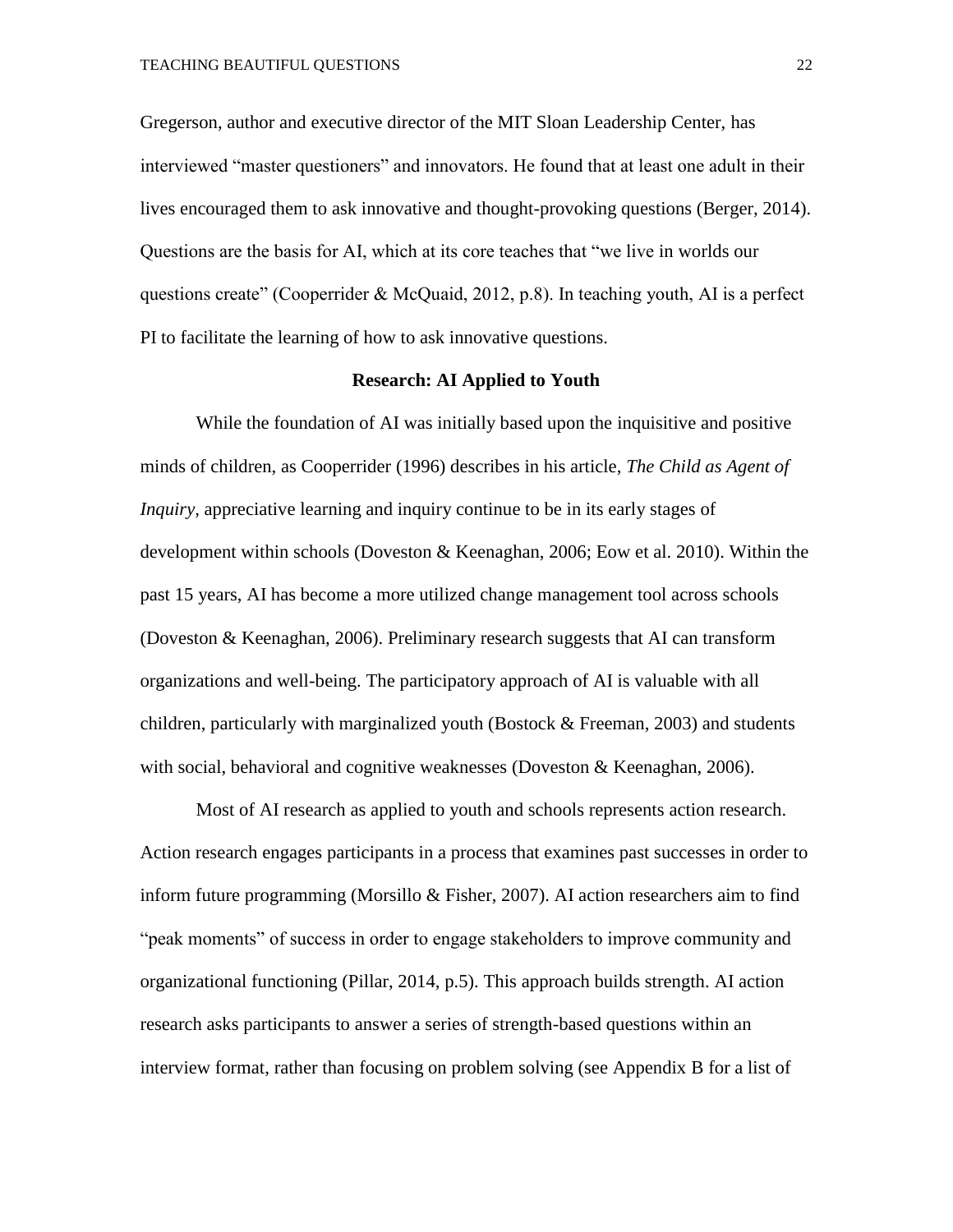Gregerson, author and executive director of the MIT Sloan Leadership Center, has interviewed "master questioners" and innovators. He found that at least one adult in their lives encouraged them to ask innovative and thought-provoking questions (Berger, 2014). Questions are the basis for AI, which at its core teaches that "we live in worlds our questions create" (Cooperrider & McQuaid, 2012, p.8). In teaching youth, AI is a perfect PI to facilitate the learning of how to ask innovative questions.

#### **Research: AI Applied to Youth**

While the foundation of AI was initially based upon the inquisitive and positive minds of children, as Cooperrider (1996) describes in his article, *The Child as Agent of Inquiry,* appreciative learning and inquiry continue to be in its early stages of development within schools (Doveston & Keenaghan, 2006; Eow et al. 2010). Within the past 15 years, AI has become a more utilized change management tool across schools (Doveston & Keenaghan, 2006). Preliminary research suggests that AI can transform organizations and well-being. The participatory approach of AI is valuable with all children, particularly with marginalized youth (Bostock & Freeman, 2003) and students with social, behavioral and cognitive weaknesses (Doveston & Keenaghan, 2006).

Most of AI research as applied to youth and schools represents action research. Action research engages participants in a process that examines past successes in order to inform future programming (Morsillo & Fisher, 2007). AI action researchers aim to find "peak moments" of success in order to engage stakeholders to improve community and organizational functioning (Pillar, 2014, p.5). This approach builds strength. AI action research asks participants to answer a series of strength-based questions within an interview format, rather than focusing on problem solving (see Appendix B for a list of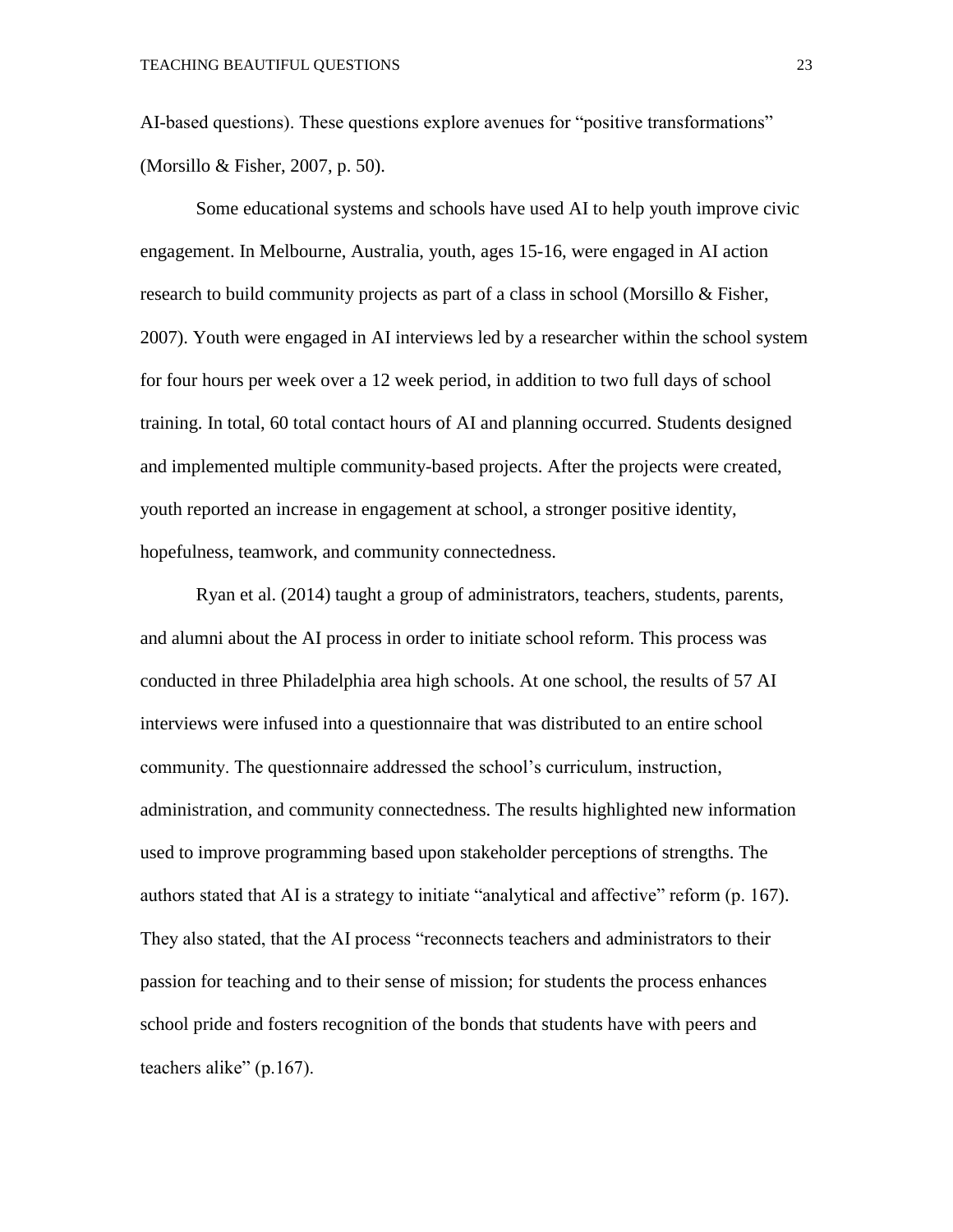AI-based questions). These questions explore avenues for "positive transformations" (Morsillo & Fisher, 2007, p. 50).

Some educational systems and schools have used AI to help youth improve civic engagement. In Melbourne, Australia, youth, ages 15-16, were engaged in AI action research to build community projects as part of a class in school (Morsillo & Fisher, 2007). Youth were engaged in AI interviews led by a researcher within the school system for four hours per week over a 12 week period, in addition to two full days of school training. In total, 60 total contact hours of AI and planning occurred. Students designed and implemented multiple community-based projects. After the projects were created, youth reported an increase in engagement at school, a stronger positive identity, hopefulness, teamwork, and community connectedness.

Ryan et al. (2014) taught a group of administrators, teachers, students, parents, and alumni about the AI process in order to initiate school reform. This process was conducted in three Philadelphia area high schools. At one school, the results of 57 AI interviews were infused into a questionnaire that was distributed to an entire school community. The questionnaire addressed the school's curriculum, instruction, administration, and community connectedness. The results highlighted new information used to improve programming based upon stakeholder perceptions of strengths. The authors stated that AI is a strategy to initiate "analytical and affective" reform (p. 167). They also stated, that the AI process "reconnects teachers and administrators to their passion for teaching and to their sense of mission; for students the process enhances school pride and fosters recognition of the bonds that students have with peers and teachers alike" (p.167).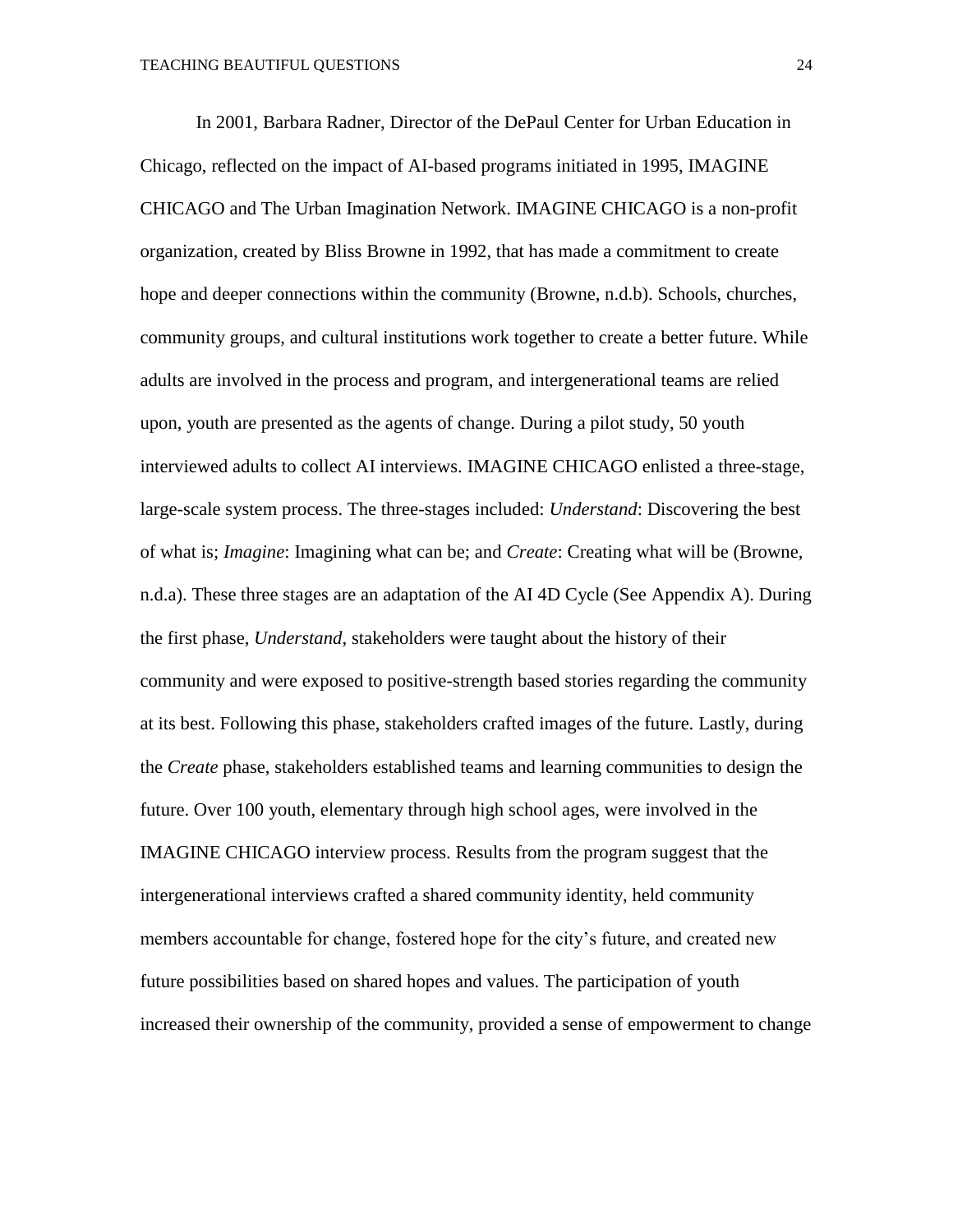In 2001, Barbara Radner, Director of the DePaul Center for Urban Education in Chicago, reflected on the impact of AI-based programs initiated in 1995, IMAGINE CHICAGO and The Urban Imagination Network. IMAGINE CHICAGO is a non-profit organization, created by Bliss Browne in 1992, that has made a commitment to create hope and deeper connections within the community (Browne, n.d.b). Schools, churches, community groups, and cultural institutions work together to create a better future. While adults are involved in the process and program, and intergenerational teams are relied upon, youth are presented as the agents of change. During a pilot study, 50 youth interviewed adults to collect AI interviews. IMAGINE CHICAGO enlisted a three-stage, large-scale system process. The three-stages included: *Understand*: Discovering the best of what is; *Imagine*: Imagining what can be; and *Create*: Creating what will be (Browne, n.d.a). These three stages are an adaptation of the AI 4D Cycle (See Appendix A). During the first phase, *Understand*, stakeholders were taught about the history of their community and were exposed to positive-strength based stories regarding the community at its best. Following this phase, stakeholders crafted images of the future. Lastly, during the *Create* phase, stakeholders established teams and learning communities to design the future. Over 100 youth, elementary through high school ages, were involved in the IMAGINE CHICAGO interview process. Results from the program suggest that the intergenerational interviews crafted a shared community identity, held community members accountable for change, fostered hope for the city's future, and created new future possibilities based on shared hopes and values. The participation of youth increased their ownership of the community, provided a sense of empowerment to change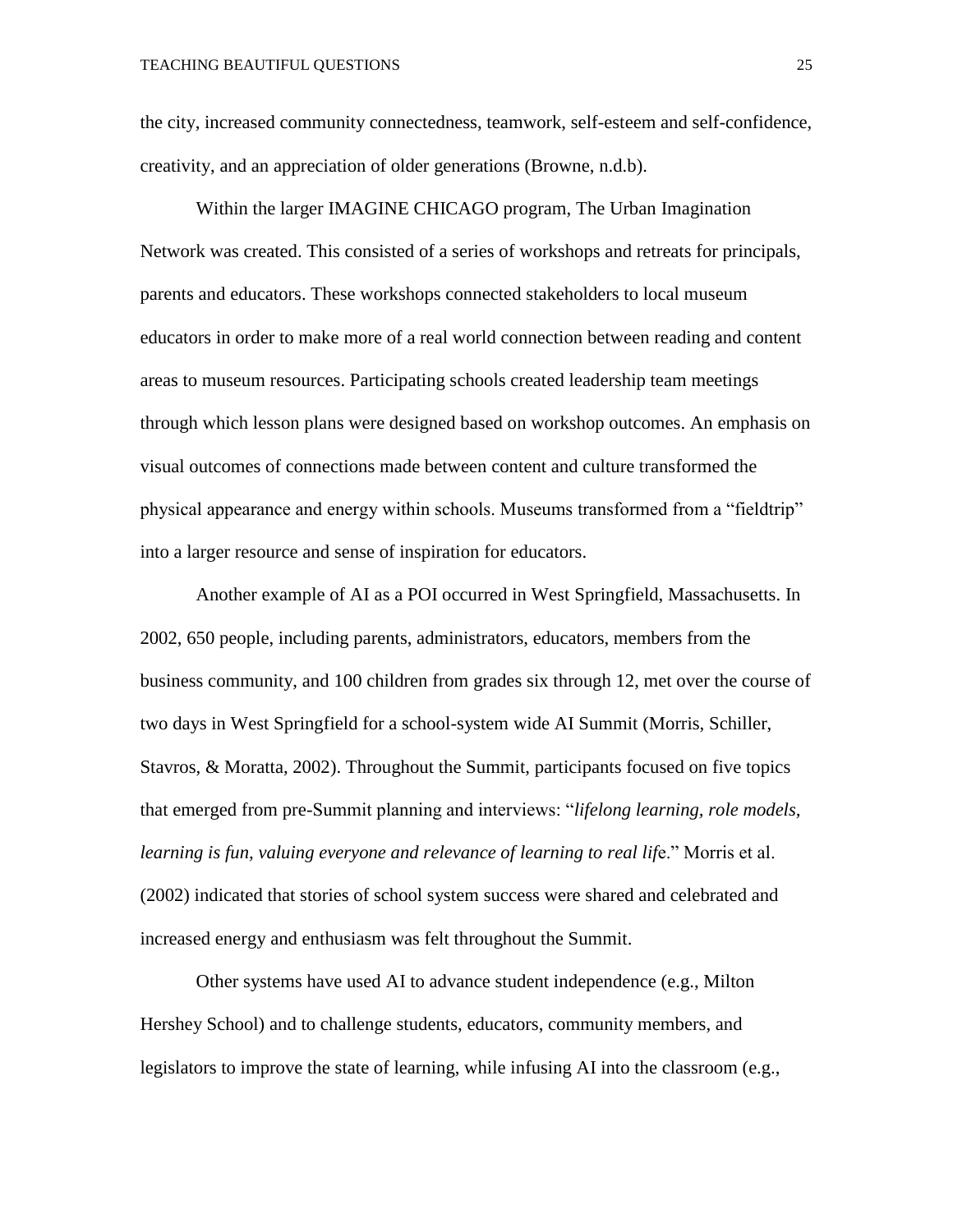the city, increased community connectedness, teamwork, self-esteem and self-confidence, creativity, and an appreciation of older generations (Browne, n.d.b).

Within the larger IMAGINE CHICAGO program, The Urban Imagination Network was created. This consisted of a series of workshops and retreats for principals, parents and educators. These workshops connected stakeholders to local museum educators in order to make more of a real world connection between reading and content areas to museum resources. Participating schools created leadership team meetings through which lesson plans were designed based on workshop outcomes. An emphasis on visual outcomes of connections made between content and culture transformed the physical appearance and energy within schools. Museums transformed from a "fieldtrip" into a larger resource and sense of inspiration for educators.

Another example of AI as a POI occurred in West Springfield, Massachusetts. In 2002, 650 people, including parents, administrators, educators, members from the business community, and 100 children from grades six through 12, met over the course of two days in West Springfield for a school-system wide AI Summit (Morris, Schiller, Stavros, & Moratta, 2002). Throughout the Summit, participants focused on five topics that emerged from pre-Summit planning and interviews: "*lifelong learning, role models, learning is fun, valuing everyone and relevance of learning to real lif*e." Morris et al. (2002) indicated that stories of school system success were shared and celebrated and increased energy and enthusiasm was felt throughout the Summit.

Other systems have used AI to advance student independence (e.g., Milton Hershey School) and to challenge students, educators, community members, and legislators to improve the state of learning, while infusing AI into the classroom (e.g.,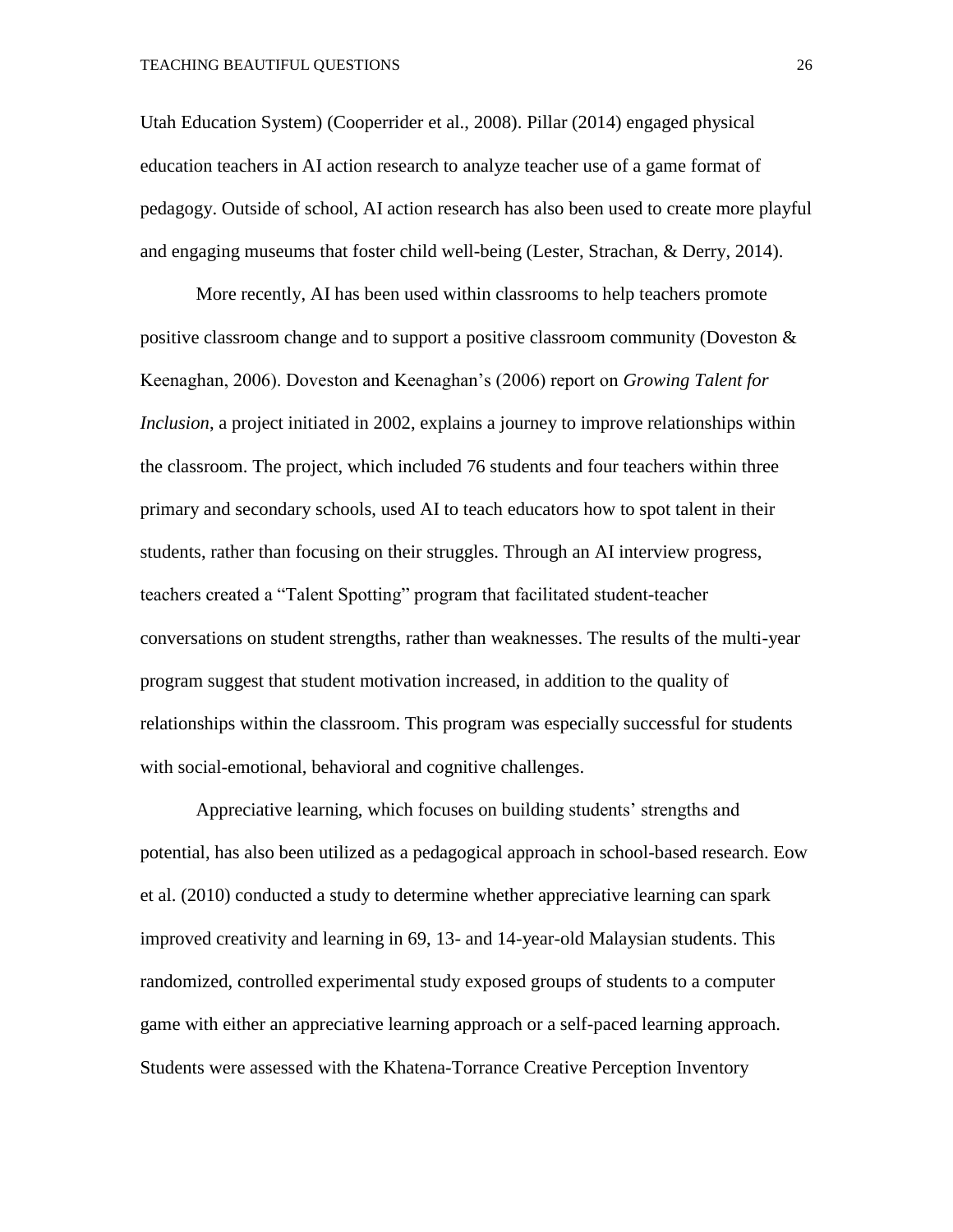Utah Education System) (Cooperrider et al., 2008). Pillar (2014) engaged physical education teachers in AI action research to analyze teacher use of a game format of pedagogy. Outside of school, AI action research has also been used to create more playful and engaging museums that foster child well-being (Lester, Strachan, & Derry, 2014).

More recently, AI has been used within classrooms to help teachers promote positive classroom change and to support a positive classroom community (Doveston & Keenaghan, 2006). Doveston and Keenaghan's (2006) report on *Growing Talent for Inclusion*, a project initiated in 2002, explains a journey to improve relationships within the classroom. The project, which included 76 students and four teachers within three primary and secondary schools, used AI to teach educators how to spot talent in their students, rather than focusing on their struggles. Through an AI interview progress, teachers created a "Talent Spotting" program that facilitated student-teacher conversations on student strengths, rather than weaknesses. The results of the multi-year program suggest that student motivation increased, in addition to the quality of relationships within the classroom. This program was especially successful for students with social-emotional, behavioral and cognitive challenges.

Appreciative learning, which focuses on building students' strengths and potential, has also been utilized as a pedagogical approach in school-based research. Eow et al. (2010) conducted a study to determine whether appreciative learning can spark improved creativity and learning in 69, 13- and 14-year-old Malaysian students. This randomized, controlled experimental study exposed groups of students to a computer game with either an appreciative learning approach or a self-paced learning approach. Students were assessed with the Khatena-Torrance Creative Perception Inventory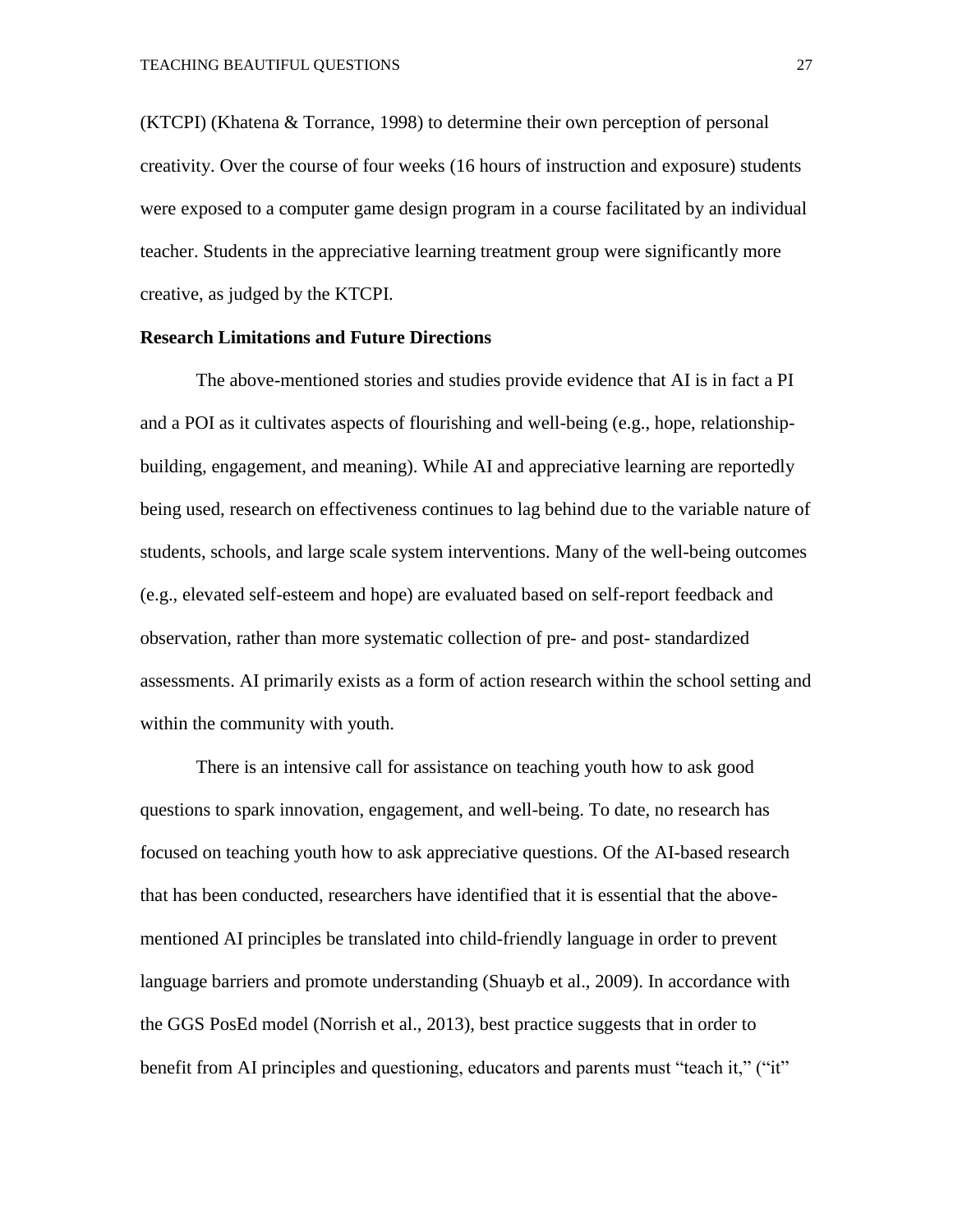(KTCPI) (Khatena & Torrance, 1998) to determine their own perception of personal creativity. Over the course of four weeks (16 hours of instruction and exposure) students were exposed to a computer game design program in a course facilitated by an individual teacher. Students in the appreciative learning treatment group were significantly more creative, as judged by the KTCPI.

#### **Research Limitations and Future Directions**

The above-mentioned stories and studies provide evidence that AI is in fact a PI and a POI as it cultivates aspects of flourishing and well-being (e.g., hope, relationshipbuilding, engagement, and meaning). While AI and appreciative learning are reportedly being used, research on effectiveness continues to lag behind due to the variable nature of students, schools, and large scale system interventions. Many of the well-being outcomes (e.g., elevated self-esteem and hope) are evaluated based on self-report feedback and observation, rather than more systematic collection of pre- and post- standardized assessments. AI primarily exists as a form of action research within the school setting and within the community with youth.

There is an intensive call for assistance on teaching youth how to ask good questions to spark innovation, engagement, and well-being. To date, no research has focused on teaching youth how to ask appreciative questions. Of the AI-based research that has been conducted, researchers have identified that it is essential that the abovementioned AI principles be translated into child-friendly language in order to prevent language barriers and promote understanding (Shuayb et al., 2009). In accordance with the GGS PosEd model (Norrish et al., 2013), best practice suggests that in order to benefit from AI principles and questioning, educators and parents must "teach it," ("it"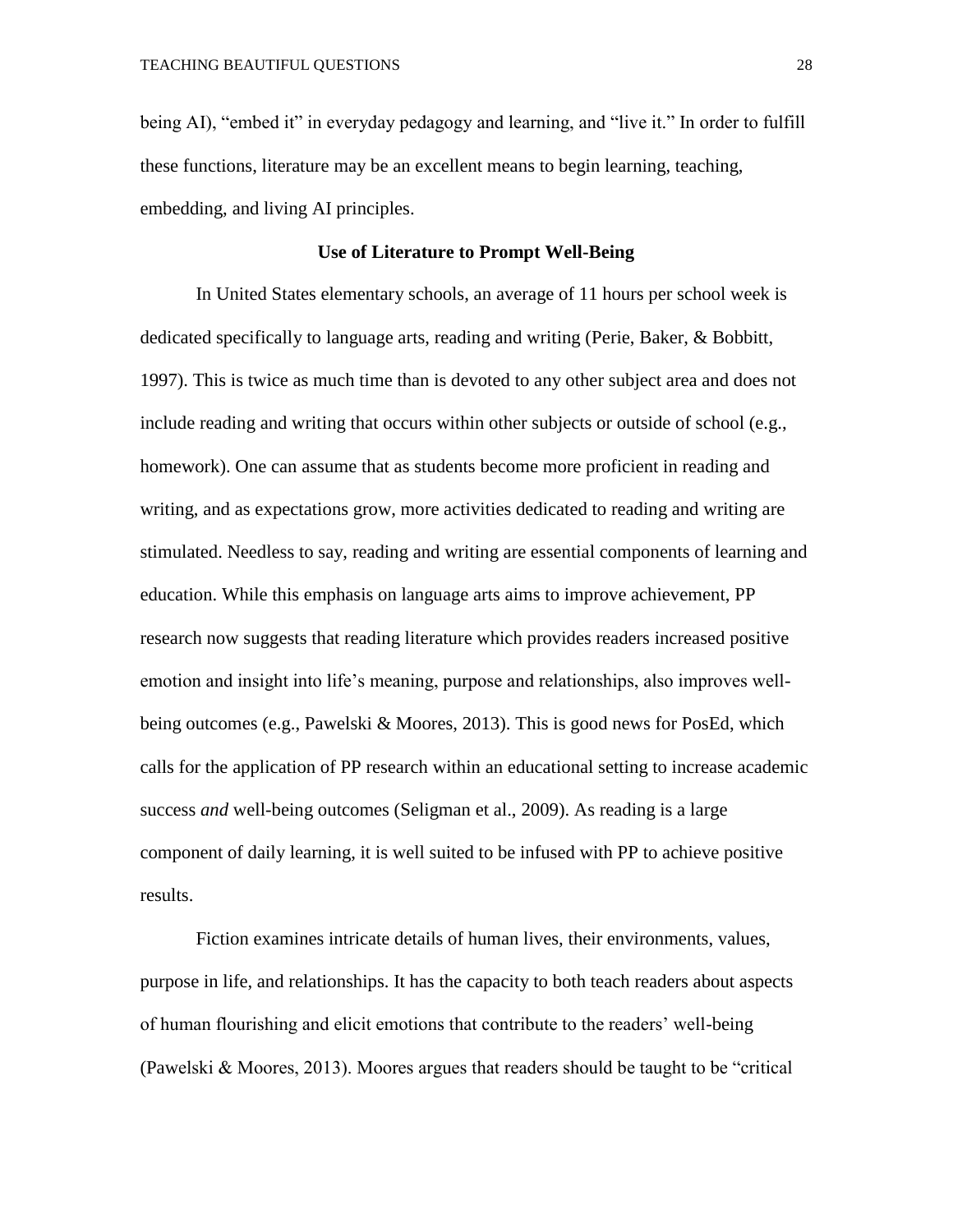being AI), "embed it" in everyday pedagogy and learning, and "live it." In order to fulfill these functions, literature may be an excellent means to begin learning, teaching, embedding, and living AI principles.

#### **Use of Literature to Prompt Well-Being**

In United States elementary schools, an average of 11 hours per school week is dedicated specifically to language arts, reading and writing (Perie, Baker, & Bobbitt, 1997). This is twice as much time than is devoted to any other subject area and does not include reading and writing that occurs within other subjects or outside of school (e.g., homework). One can assume that as students become more proficient in reading and writing, and as expectations grow, more activities dedicated to reading and writing are stimulated. Needless to say, reading and writing are essential components of learning and education. While this emphasis on language arts aims to improve achievement, PP research now suggests that reading literature which provides readers increased positive emotion and insight into life's meaning, purpose and relationships, also improves wellbeing outcomes (e.g., Pawelski & Moores, 2013). This is good news for PosEd, which calls for the application of PP research within an educational setting to increase academic success *and* well-being outcomes (Seligman et al., 2009). As reading is a large component of daily learning, it is well suited to be infused with PP to achieve positive results.

Fiction examines intricate details of human lives, their environments, values, purpose in life, and relationships. It has the capacity to both teach readers about aspects of human flourishing and elicit emotions that contribute to the readers' well-being (Pawelski & Moores, 2013). Moores argues that readers should be taught to be "critical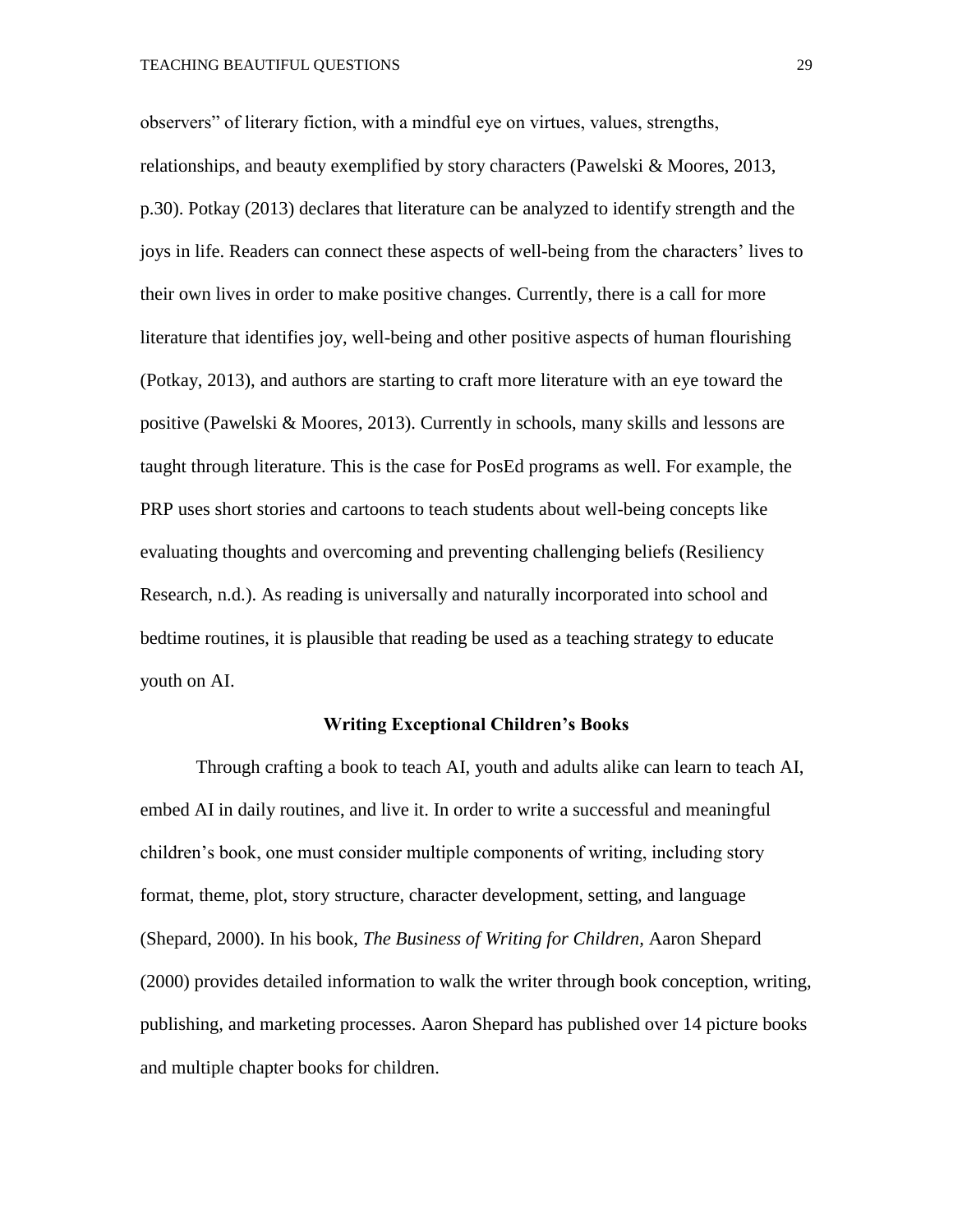observers" of literary fiction, with a mindful eye on virtues, values, strengths, relationships, and beauty exemplified by story characters (Pawelski & Moores, 2013, p.30). Potkay (2013) declares that literature can be analyzed to identify strength and the joys in life. Readers can connect these aspects of well-being from the characters' lives to their own lives in order to make positive changes. Currently, there is a call for more literature that identifies joy, well-being and other positive aspects of human flourishing (Potkay, 2013), and authors are starting to craft more literature with an eye toward the positive (Pawelski & Moores, 2013). Currently in schools, many skills and lessons are taught through literature. This is the case for PosEd programs as well. For example, the PRP uses short stories and cartoons to teach students about well-being concepts like evaluating thoughts and overcoming and preventing challenging beliefs (Resiliency Research, n.d.). As reading is universally and naturally incorporated into school and bedtime routines, it is plausible that reading be used as a teaching strategy to educate youth on AI.

#### **Writing Exceptional Children's Books**

Through crafting a book to teach AI, youth and adults alike can learn to teach AI, embed AI in daily routines, and live it. In order to write a successful and meaningful children's book, one must consider multiple components of writing, including story format, theme, plot, story structure, character development, setting, and language (Shepard, 2000). In his book, *The Business of Writing for Children,* Aaron Shepard (2000) provides detailed information to walk the writer through book conception, writing, publishing, and marketing processes. Aaron Shepard has published over 14 picture books and multiple chapter books for children.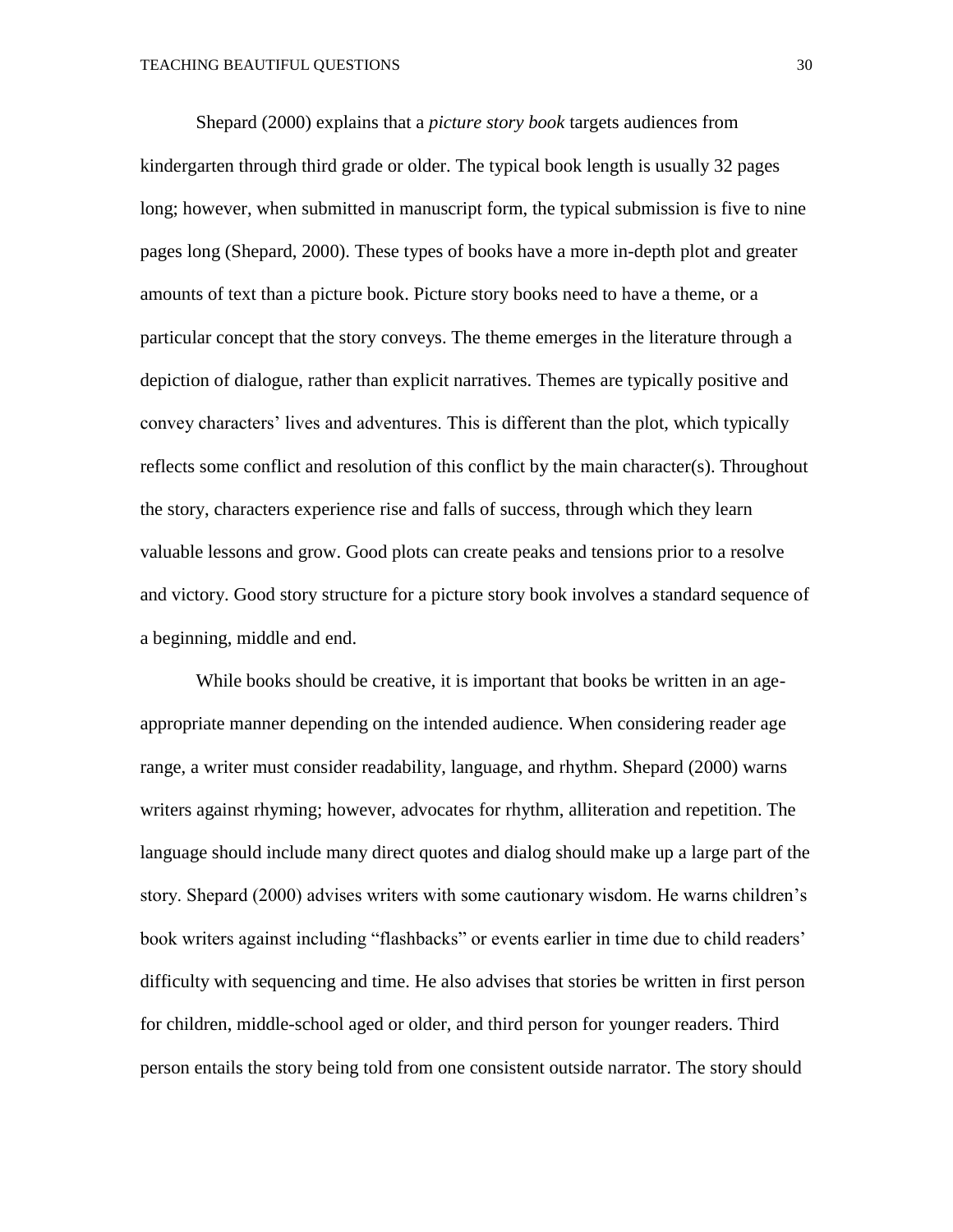Shepard (2000) explains that a *picture story book* targets audiences from kindergarten through third grade or older. The typical book length is usually 32 pages long; however, when submitted in manuscript form, the typical submission is five to nine pages long (Shepard, 2000). These types of books have a more in-depth plot and greater amounts of text than a picture book. Picture story books need to have a theme, or a particular concept that the story conveys. The theme emerges in the literature through a depiction of dialogue, rather than explicit narratives. Themes are typically positive and convey characters' lives and adventures. This is different than the plot, which typically reflects some conflict and resolution of this conflict by the main character(s). Throughout the story, characters experience rise and falls of success, through which they learn valuable lessons and grow. Good plots can create peaks and tensions prior to a resolve and victory. Good story structure for a picture story book involves a standard sequence of a beginning, middle and end.

While books should be creative, it is important that books be written in an ageappropriate manner depending on the intended audience. When considering reader age range, a writer must consider readability, language, and rhythm. Shepard (2000) warns writers against rhyming; however, advocates for rhythm, alliteration and repetition. The language should include many direct quotes and dialog should make up a large part of the story. Shepard (2000) advises writers with some cautionary wisdom. He warns children's book writers against including "flashbacks" or events earlier in time due to child readers' difficulty with sequencing and time. He also advises that stories be written in first person for children, middle-school aged or older, and third person for younger readers. Third person entails the story being told from one consistent outside narrator. The story should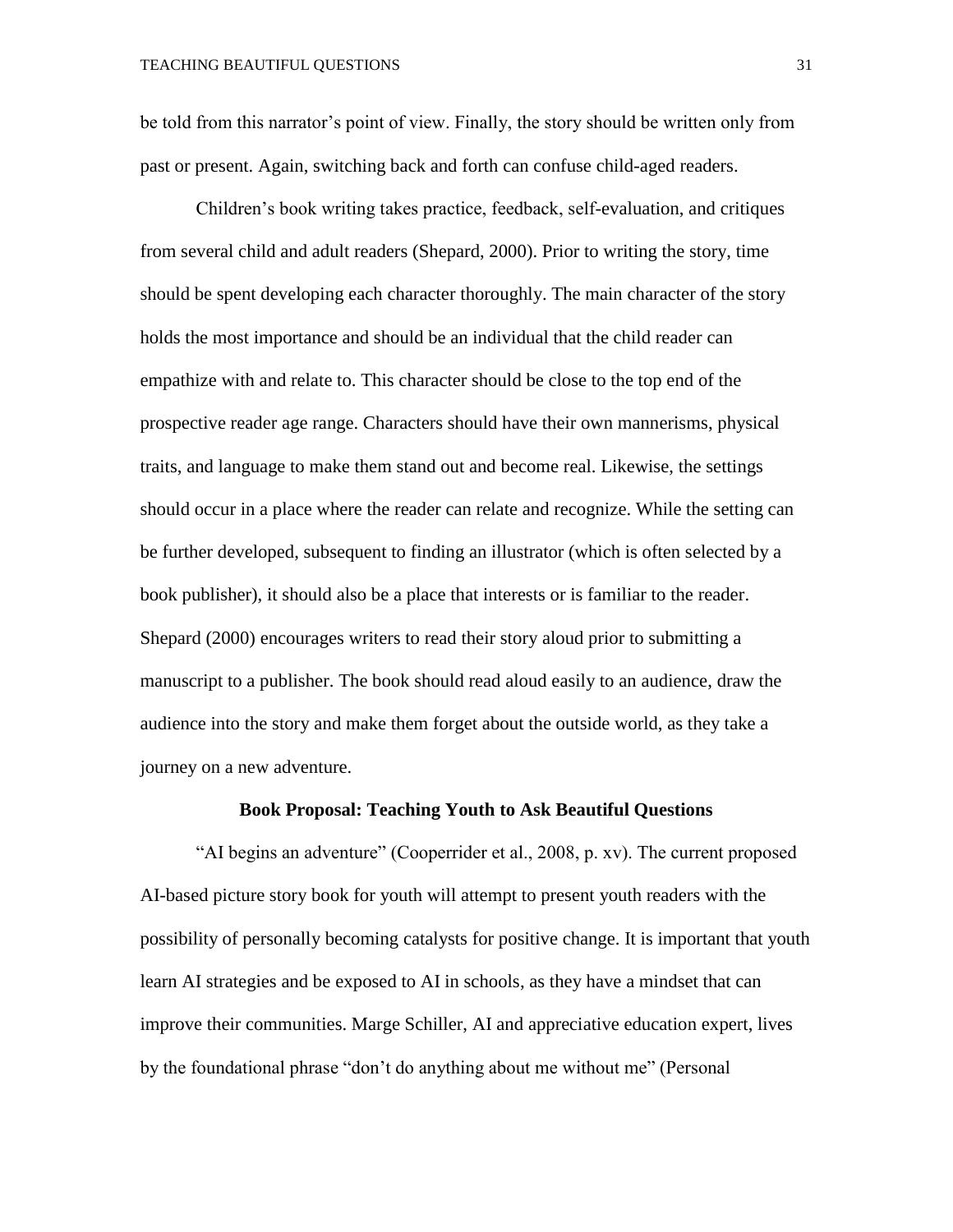be told from this narrator's point of view. Finally, the story should be written only from past or present. Again, switching back and forth can confuse child-aged readers.

Children's book writing takes practice, feedback, self-evaluation, and critiques from several child and adult readers (Shepard, 2000). Prior to writing the story, time should be spent developing each character thoroughly. The main character of the story holds the most importance and should be an individual that the child reader can empathize with and relate to. This character should be close to the top end of the prospective reader age range. Characters should have their own mannerisms, physical traits, and language to make them stand out and become real. Likewise, the settings should occur in a place where the reader can relate and recognize. While the setting can be further developed, subsequent to finding an illustrator (which is often selected by a book publisher), it should also be a place that interests or is familiar to the reader. Shepard (2000) encourages writers to read their story aloud prior to submitting a manuscript to a publisher. The book should read aloud easily to an audience, draw the audience into the story and make them forget about the outside world, as they take a journey on a new adventure.

#### **Book Proposal: Teaching Youth to Ask Beautiful Questions**

"AI begins an adventure" (Cooperrider et al., 2008, p. xv). The current proposed AI-based picture story book for youth will attempt to present youth readers with the possibility of personally becoming catalysts for positive change. It is important that youth learn AI strategies and be exposed to AI in schools, as they have a mindset that can improve their communities. Marge Schiller, AI and appreciative education expert, lives by the foundational phrase "don't do anything about me without me" (Personal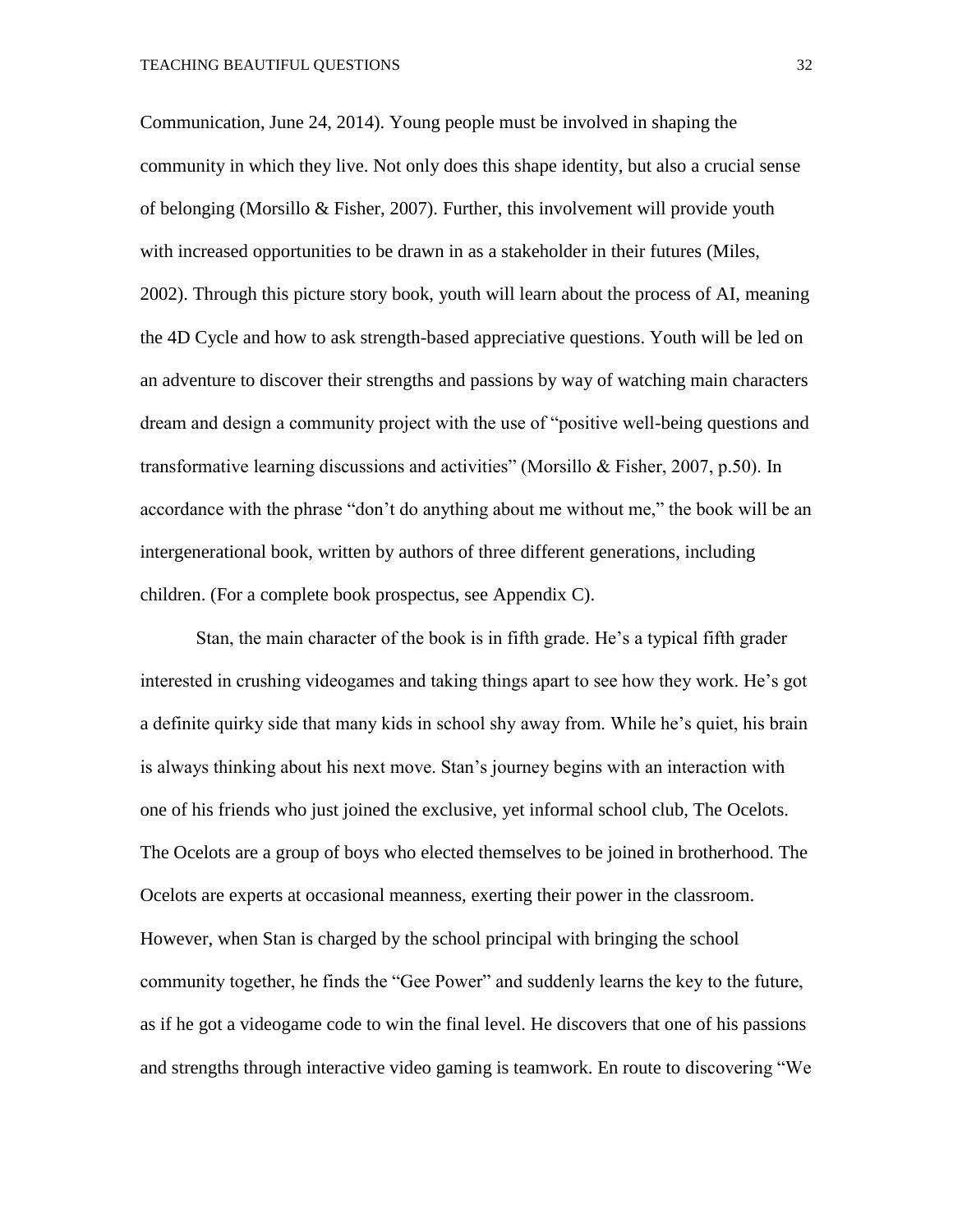Communication, June 24, 2014). Young people must be involved in shaping the community in which they live. Not only does this shape identity, but also a crucial sense of belonging (Morsillo & Fisher, 2007). Further, this involvement will provide youth with increased opportunities to be drawn in as a stakeholder in their futures (Miles, 2002). Through this picture story book, youth will learn about the process of AI, meaning the 4D Cycle and how to ask strength-based appreciative questions. Youth will be led on an adventure to discover their strengths and passions by way of watching main characters dream and design a community project with the use of "positive well-being questions and transformative learning discussions and activities" (Morsillo & Fisher, 2007, p.50). In accordance with the phrase "don't do anything about me without me," the book will be an intergenerational book, written by authors of three different generations, including children. (For a complete book prospectus, see Appendix C).

Stan, the main character of the book is in fifth grade. He's a typical fifth grader interested in crushing videogames and taking things apart to see how they work. He's got a definite quirky side that many kids in school shy away from. While he's quiet, his brain is always thinking about his next move. Stan's journey begins with an interaction with one of his friends who just joined the exclusive, yet informal school club, The Ocelots. The Ocelots are a group of boys who elected themselves to be joined in brotherhood. The Ocelots are experts at occasional meanness, exerting their power in the classroom. However, when Stan is charged by the school principal with bringing the school community together, he finds the "Gee Power" and suddenly learns the key to the future, as if he got a videogame code to win the final level. He discovers that one of his passions and strengths through interactive video gaming is teamwork. En route to discovering "We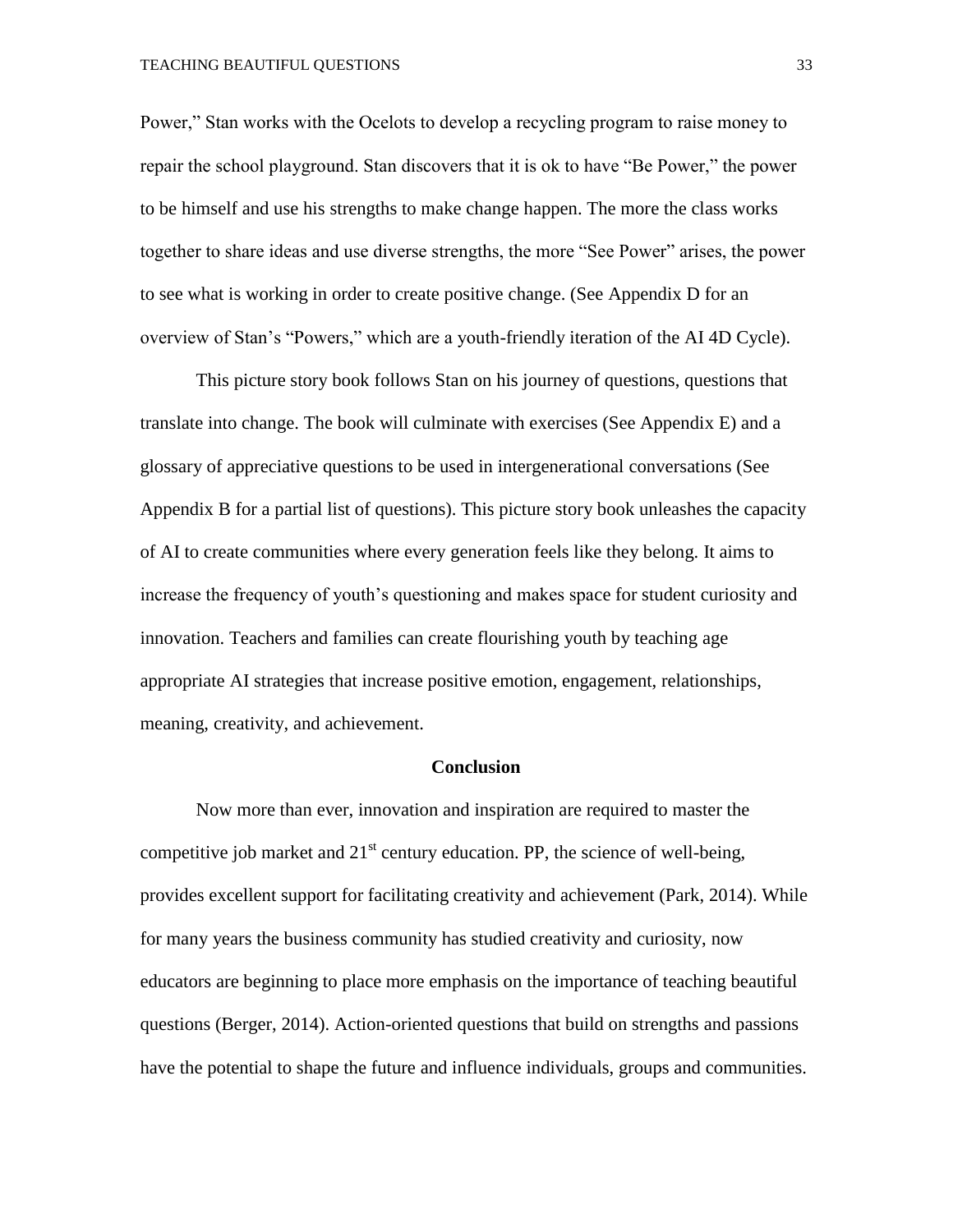#### TEACHING BEAUTIFUL QUESTIONS 33

Power," Stan works with the Ocelots to develop a recycling program to raise money to repair the school playground. Stan discovers that it is ok to have "Be Power," the power to be himself and use his strengths to make change happen. The more the class works together to share ideas and use diverse strengths, the more "See Power" arises, the power to see what is working in order to create positive change. (See Appendix D for an overview of Stan's "Powers," which are a youth-friendly iteration of the AI 4D Cycle).

This picture story book follows Stan on his journey of questions, questions that translate into change. The book will culminate with exercises (See Appendix E) and a glossary of appreciative questions to be used in intergenerational conversations (See Appendix B for a partial list of questions). This picture story book unleashes the capacity of AI to create communities where every generation feels like they belong. It aims to increase the frequency of youth's questioning and makes space for student curiosity and innovation. Teachers and families can create flourishing youth by teaching age appropriate AI strategies that increase positive emotion, engagement, relationships, meaning, creativity, and achievement.

#### **Conclusion**

Now more than ever, innovation and inspiration are required to master the competitive job market and  $21<sup>st</sup>$  century education. PP, the science of well-being, provides excellent support for facilitating creativity and achievement (Park, 2014). While for many years the business community has studied creativity and curiosity, now educators are beginning to place more emphasis on the importance of teaching beautiful questions (Berger, 2014). Action-oriented questions that build on strengths and passions have the potential to shape the future and influence individuals, groups and communities.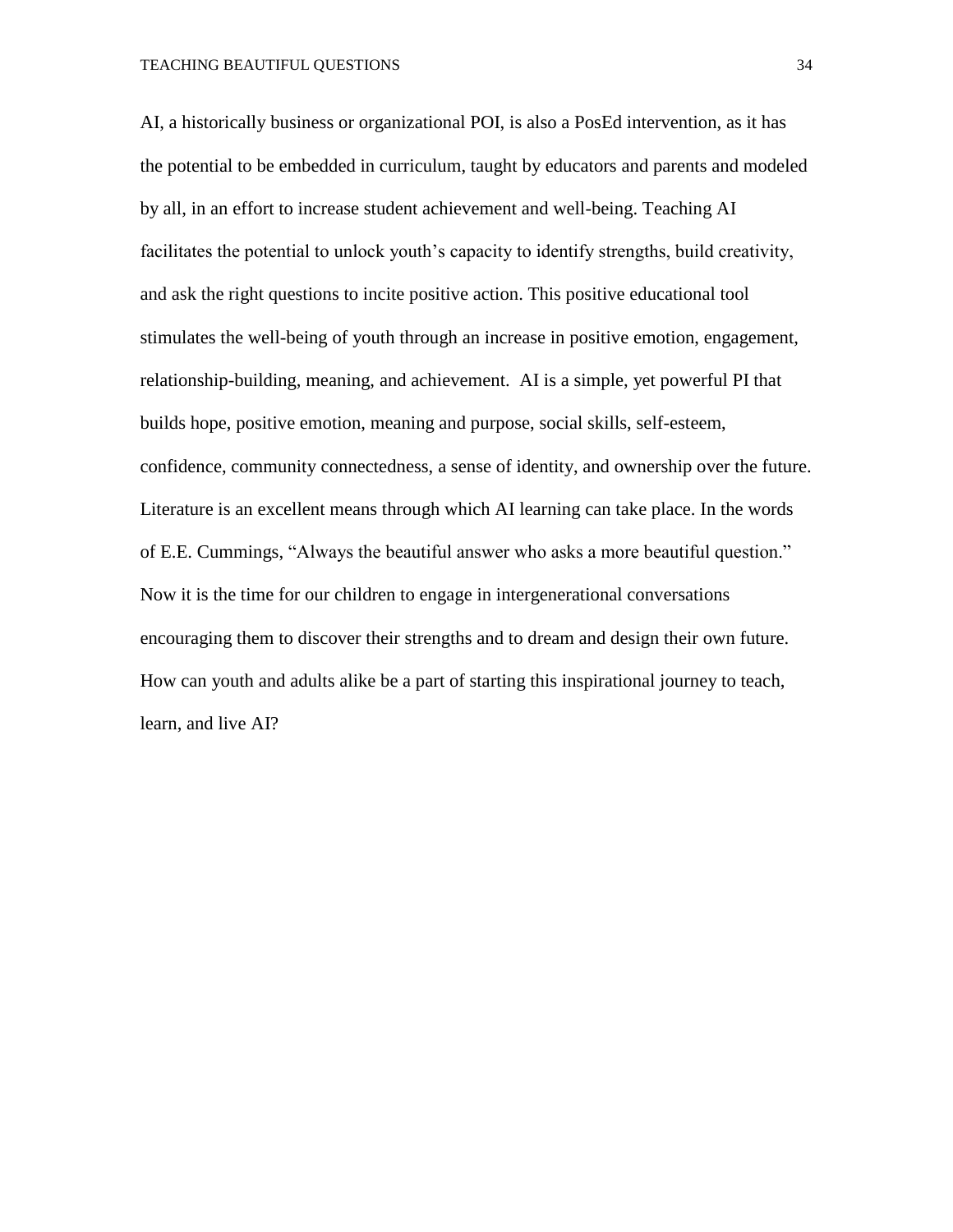AI, a historically business or organizational POI, is also a PosEd intervention, as it has the potential to be embedded in curriculum, taught by educators and parents and modeled by all, in an effort to increase student achievement and well-being. Teaching AI facilitates the potential to unlock youth's capacity to identify strengths, build creativity, and ask the right questions to incite positive action. This positive educational tool stimulates the well-being of youth through an increase in positive emotion, engagement, relationship-building, meaning, and achievement. AI is a simple, yet powerful PI that builds hope, positive emotion, meaning and purpose, social skills, self-esteem, confidence, community connectedness, a sense of identity, and ownership over the future. Literature is an excellent means through which AI learning can take place. In the words of E.E. Cummings, "Always the beautiful answer who asks a more beautiful question." Now it is the time for our children to engage in intergenerational conversations encouraging them to discover their strengths and to dream and design their own future. How can youth and adults alike be a part of starting this inspirational journey to teach, learn, and live AI?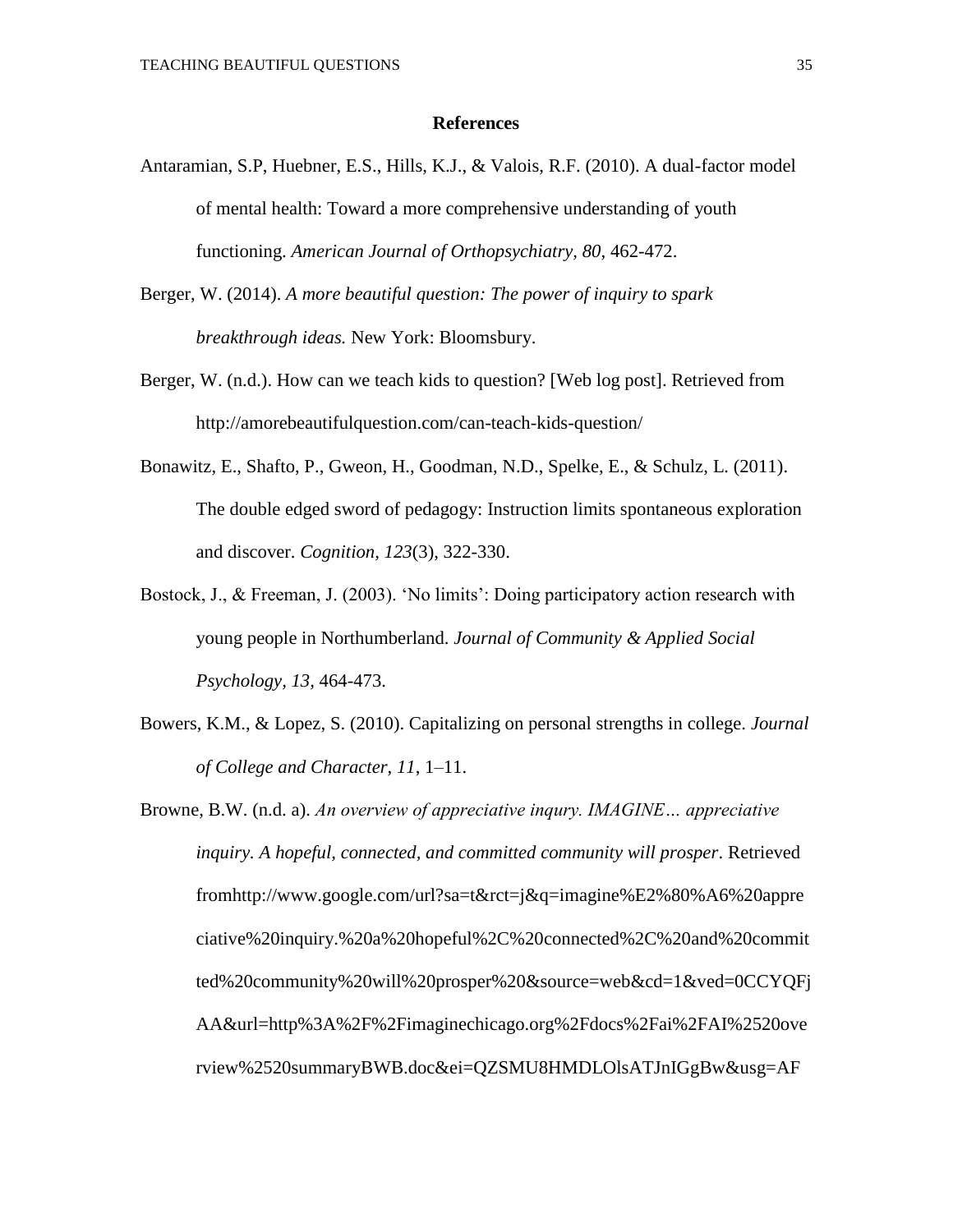#### **References**

- Antaramian, S.P, Huebner, E.S., Hills, K.J., & Valois, R.F. (2010). A dual-factor model of mental health: Toward a more comprehensive understanding of youth functioning. *American Journal of Orthopsychiatry, 80,* 462-472.
- Berger, W. (2014). *A more beautiful question: The power of inquiry to spark breakthrough ideas.* New York: Bloomsbury.
- Berger, W. (n.d.). How can we teach kids to question? [Web log post]. Retrieved from http://amorebeautifulquestion.com/can-teach-kids-question/
- Bonawitz, E., Shafto, P., Gweon, H., Goodman, N.D., Spelke, E., & Schulz, L. (2011). The double edged sword of pedagogy: Instruction limits spontaneous exploration and discover. *Cognition, 123*(3), 322-330.
- Bostock, J., & Freeman, J. (2003). 'No limits': Doing participatory action research with young people in Northumberland. *Journal of Community & Applied Social Psychology, 13,* 464-473.
- Bowers, K.M., & Lopez, S. (2010). Capitalizing on personal strengths in college. *Journal of College and Character, 11*, 1–11.
- Browne, B.W. (n.d. a). *An overview of appreciative inqury. IMAGINE… appreciative inquiry. A hopeful, connected, and committed community will prosper*. Retrieved fromhttp://www.google.com/url?sa=t&rct=j&q=imagine%E2%80%A6%20appre ciative%20inquiry.%20a%20hopeful%2C%20connected%2C%20and%20commit ted%20community%20will%20prosper%20&source=web&cd=1&ved=0CCYQFj AA&url=http%3A%2F%2Fimaginechicago.org%2Fdocs%2Fai%2FAI%2520ove rview%2520summaryBWB.doc&ei=QZSMU8HMDLOlsATJnIGgBw&usg=AF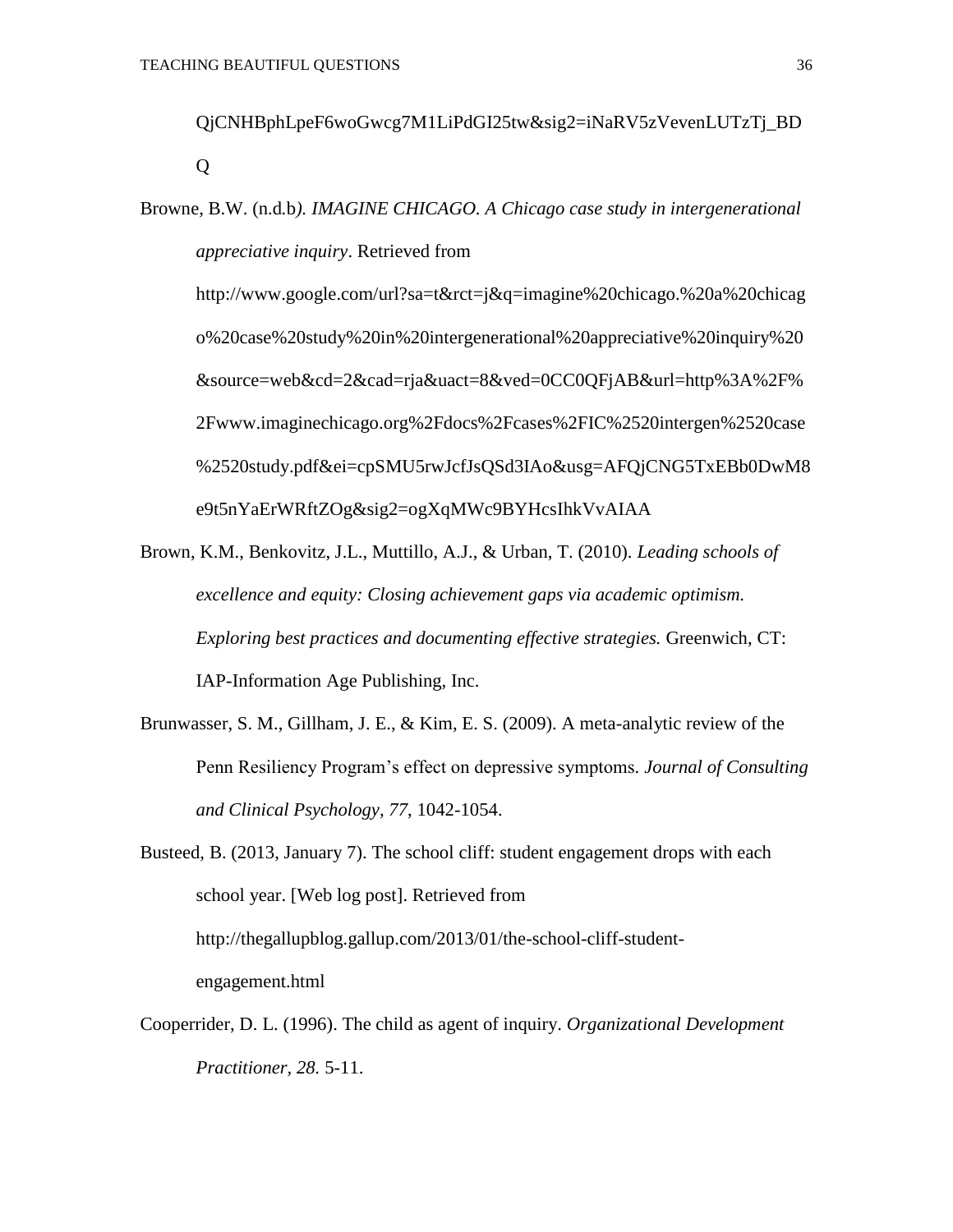QjCNHBphLpeF6woGwcg7M1LiPdGI25tw&sig2=iNaRV5zVevenLUTzTj\_BD Q

Browne, B.W. (n.d*.*b*). IMAGINE CHICAGO. A Chicago case study in intergenerational appreciative inquiry*. Retrieved from

http://www.google.com/url?sa=t&rct=j&q=imagine%20chicago.%20a%20chicag o%20case%20study%20in%20intergenerational%20appreciative%20inquiry%20 &source=web&cd=2&cad=rja&uact=8&ved=0CC0QFjAB&url=http%3A%2F% 2Fwww.imaginechicago.org%2Fdocs%2Fcases%2FIC%2520intergen%2520case %2520study.pdf&ei=cpSMU5rwJcfJsQSd3IAo&usg=AFQjCNG5TxEBb0DwM8 e9t5nYaErWRftZOg&sig2=ogXqMWc9BYHcsIhkVvAIAA

- Brown, K.M., Benkovitz, J.L., Muttillo, A.J., & Urban, T. (2010). *Leading schools of excellence and equity: Closing achievement gaps via academic optimism. Exploring best practices and documenting effective strategies.* Greenwich, CT: IAP-Information Age Publishing, Inc.
- Brunwasser, S. M., Gillham, J. E., & Kim, E. S. (2009). A meta-analytic review of the Penn Resiliency Program's effect on depressive symptoms*. Journal of Consulting and Clinical Psychology, 77*, 1042-1054.

Busteed, B. (2013, January 7). The school cliff: student engagement drops with each school year. [Web log post]. Retrieved from http://thegallupblog.gallup.com/2013/01/the-school-cliff-studentengagement.html

Cooperrider, D. L. (1996). The child as agent of inquiry. *Organizational Development Practitioner, 28.* 5-11.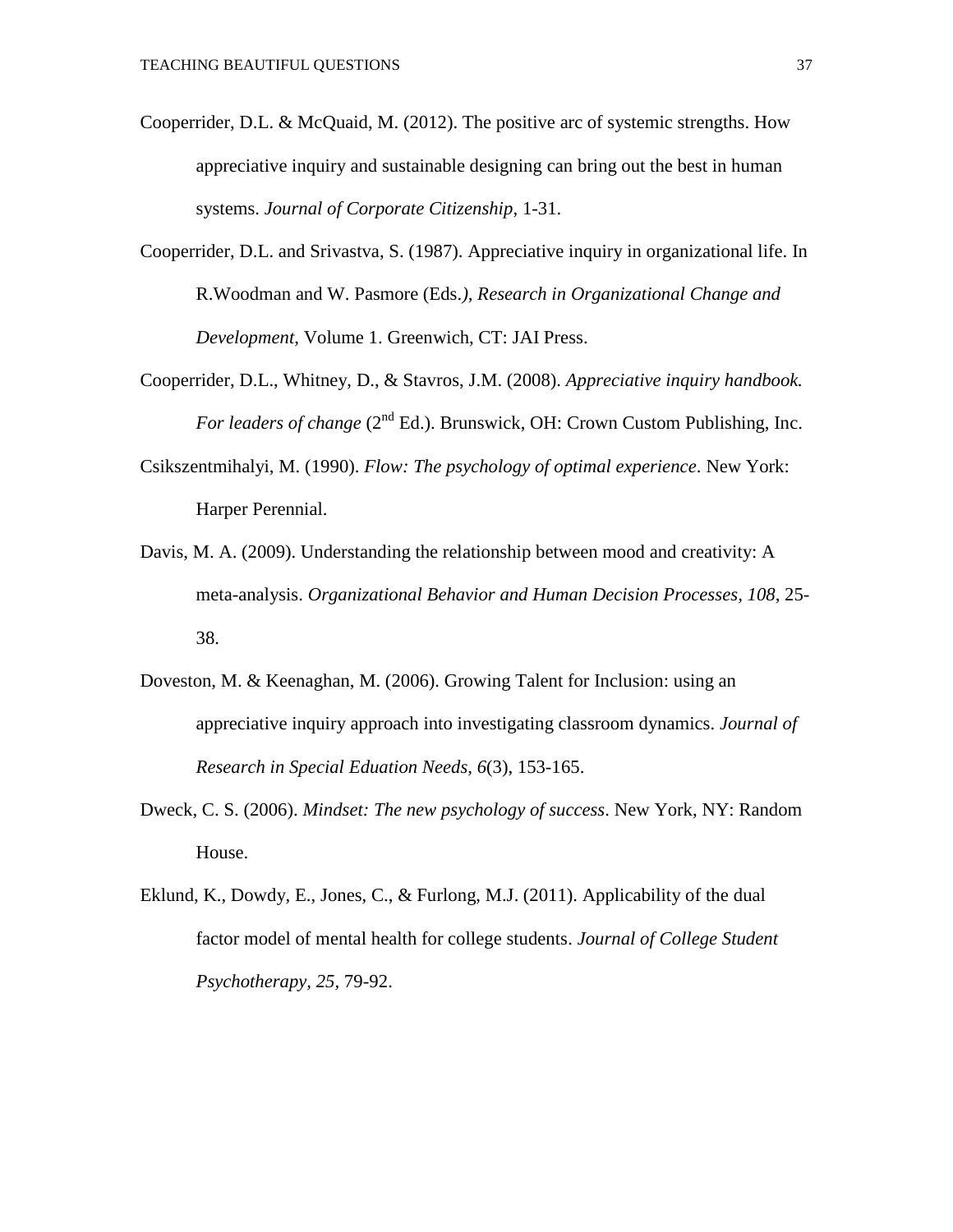- Cooperrider, D.L. & McQuaid, M. (2012). The positive arc of systemic strengths. How appreciative inquiry and sustainable designing can bring out the best in human systems. *Journal of Corporate Citizenship*, 1-31.
- Cooperrider, D.L. and Srivastva, S. (1987). Appreciative inquiry in organizational life. In R.Woodman and W. Pasmore (Eds.*), Research in Organizational Change and Development*, Volume 1. Greenwich, CT: JAI Press.
- Cooperrider, D.L., Whitney, D., & Stavros, J.M. (2008). *Appreciative inquiry handbook. For leaders of change* (2<sup>nd</sup> Ed.). Brunswick, OH: Crown Custom Publishing, Inc.
- Csikszentmihalyi, M. (1990). *Flow: The psychology of optimal experience*. New York: Harper Perennial.
- Davis, M. A. (2009). Understanding the relationship between mood and creativity: A meta-analysis. *Organizational Behavior and Human Decision Processes, 108*, 25- 38.
- Doveston, M. & Keenaghan, M. (2006). Growing Talent for Inclusion: using an appreciative inquiry approach into investigating classroom dynamics. *Journal of Research in Special Eduation Needs, 6*(3), 153-165.
- Dweck, C. S. (2006). *Mindset: The new psychology of success*. New York, NY: Random House.
- Eklund, K., Dowdy, E., Jones, C., & Furlong, M.J. (2011). Applicability of the dual factor model of mental health for college students. *Journal of College Student Psychotherapy, 25,* 79-92.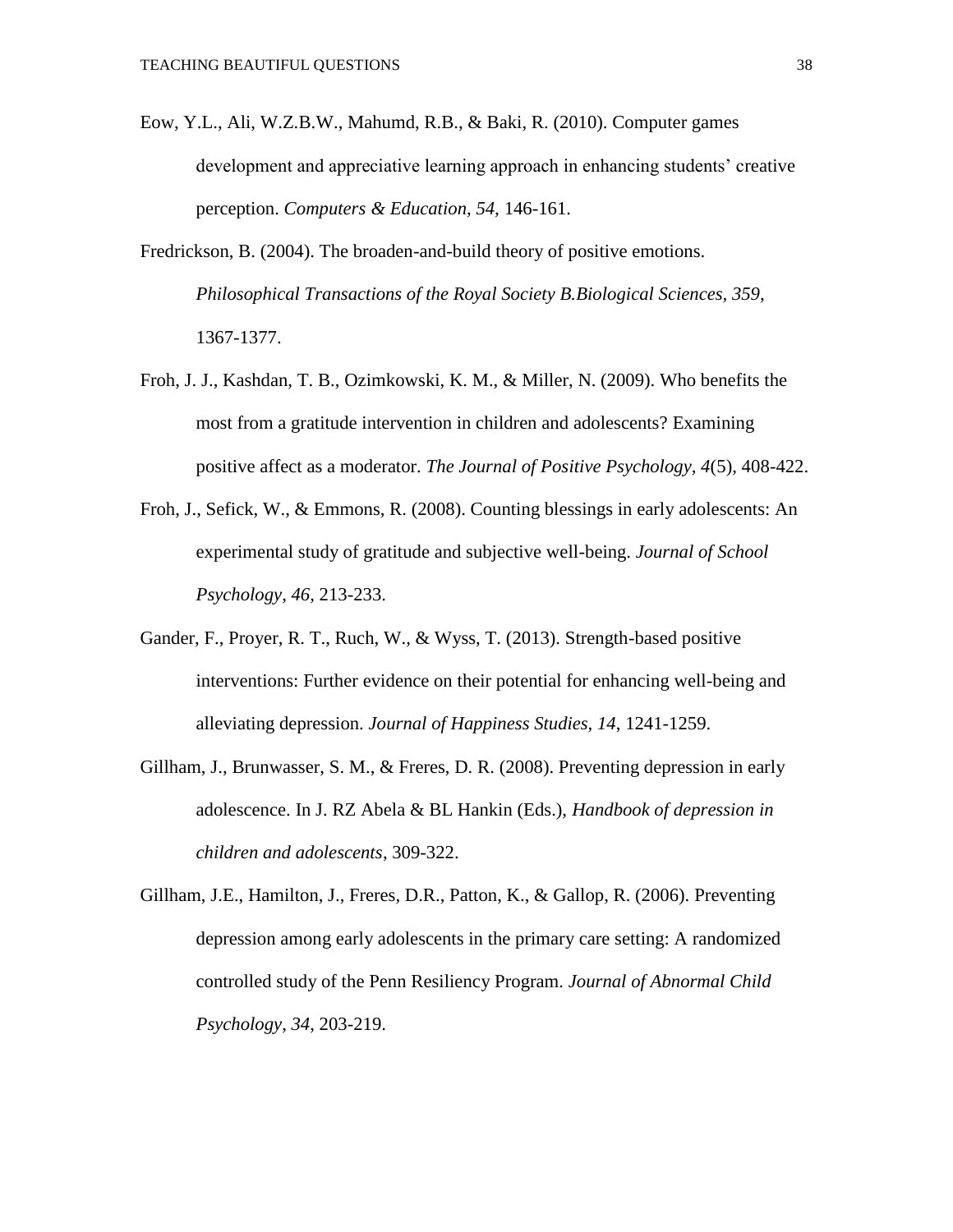- Eow, Y.L., Ali, W.Z.B.W., Mahumd, R.B., & Baki, R. (2010). Computer games development and appreciative learning approach in enhancing students' creative perception. *Computers & Education, 54,* 146-161.
- Fredrickson, B. (2004). The broaden-and-build theory of positive emotions. *Philosophical Transactions of the Royal Society B.Biological Sciences, 359,*  1367-1377.
- Froh, J. J., Kashdan, T. B., Ozimkowski, K. M., & Miller, N. (2009). Who benefits the most from a gratitude intervention in children and adolescents? Examining positive affect as a moderator. *The Journal of Positive Psychology, 4*(5), 408-422.
- Froh, J., Sefick, W., & Emmons, R. (2008). Counting blessings in early adolescents: An experimental study of gratitude and subjective well-being. *Journal of School Psychology, 46,* 213-233.
- Gander, F., Proyer, R. T., Ruch, W., & Wyss, T. (2013). Strength-based positive interventions: Further evidence on their potential for enhancing well-being and alleviating depression. *Journal of Happiness Studies, 14*, 1241-1259.
- Gillham, J., Brunwasser, S. M., & Freres, D. R. (2008). Preventing depression in early adolescence. In J. RZ Abela & BL Hankin (Eds.), *Handbook of depression in children and adolescents*, 309-322.
- Gillham, J.E., Hamilton, J., Freres, D.R., Patton, K., & Gallop, R. (2006). Preventing depression among early adolescents in the primary care setting: A randomized controlled study of the Penn Resiliency Program. *Journal of Abnormal Child Psychology, 34*, 203-219.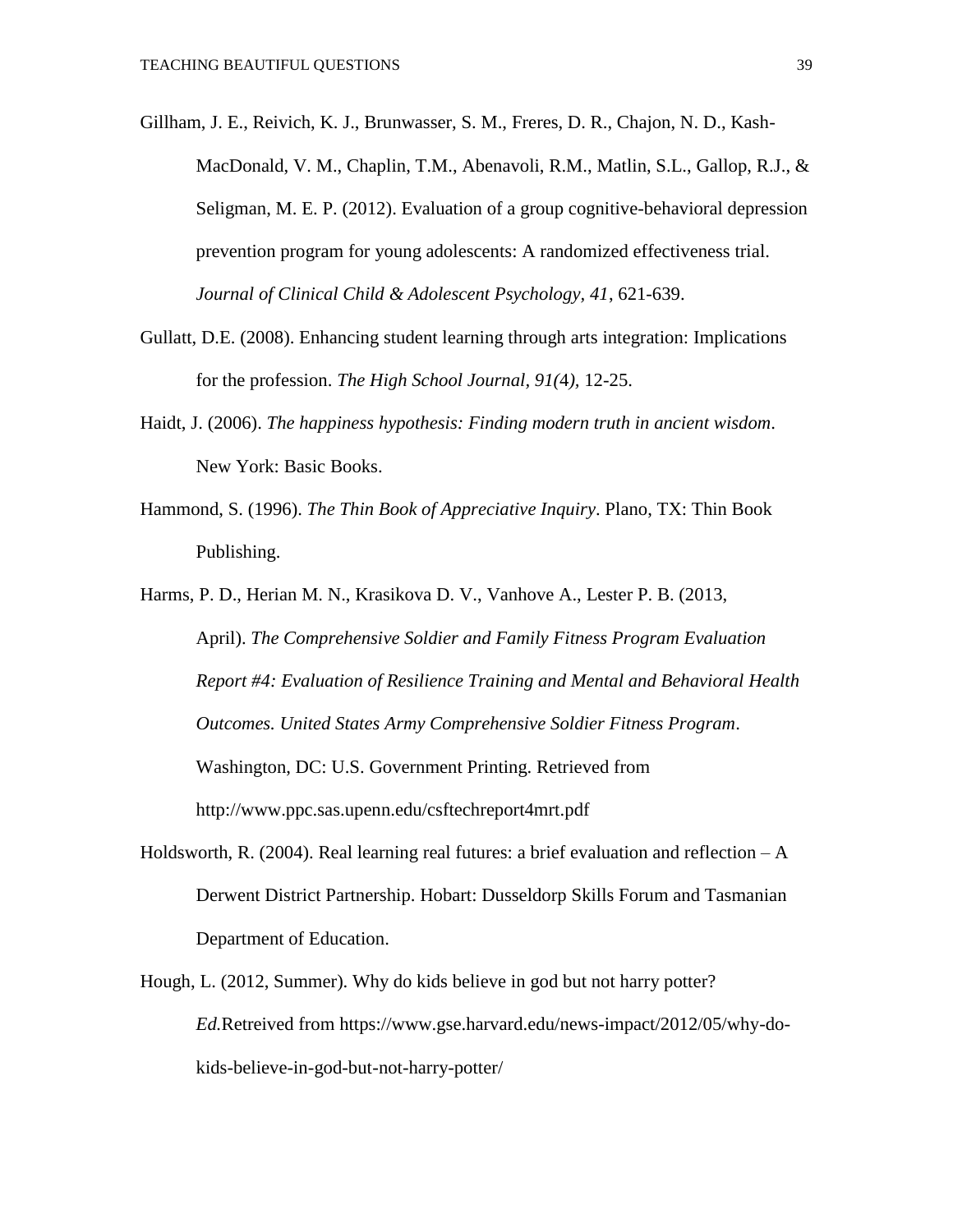- Gillham, J. E., Reivich, K. J., Brunwasser, S. M., Freres, D. R., Chajon, N. D., Kash-MacDonald, V. M., Chaplin, T.M., Abenavoli, R.M., Matlin, S.L., Gallop, R.J., & Seligman, M. E. P. (2012). Evaluation of a group cognitive-behavioral depression prevention program for young adolescents: A randomized effectiveness trial. *Journal of Clinical Child & Adolescent Psychology, 41*, 621-639.
- Gullatt, D.E. (2008). Enhancing student learning through arts integration: Implications for the profession. *The High School Journal, 91(*4*),* 12-25.
- Haidt, J. (2006). *The happiness hypothesis: Finding modern truth in ancient wisdom*. New York: Basic Books.
- Hammond, S. (1996). *The Thin Book of Appreciative Inquiry*. Plano, TX: Thin Book Publishing.

Harms, P. D., Herian M. N., Krasikova D. V., Vanhove A., Lester P. B. (2013, April). *The Comprehensive Soldier and Family Fitness Program Evaluation Report #4: Evaluation of Resilience Training and Mental and Behavioral Health Outcomes. United States Army Comprehensive Soldier Fitness Program*. Washington, DC: U.S. Government Printing. Retrieved from http://www.ppc.sas.upenn.edu/csftechreport4mrt.pdf

- Holdsworth, R. (2004). Real learning real futures: a brief evaluation and reflection  $-A$ Derwent District Partnership. Hobart: Dusseldorp Skills Forum and Tasmanian Department of Education.
- Hough, L. (2012, Summer). Why do kids believe in god but not harry potter? *Ed.*Retreived from https://www.gse.harvard.edu/news-impact/2012/05/why-dokids-believe-in-god-but-not-harry-potter/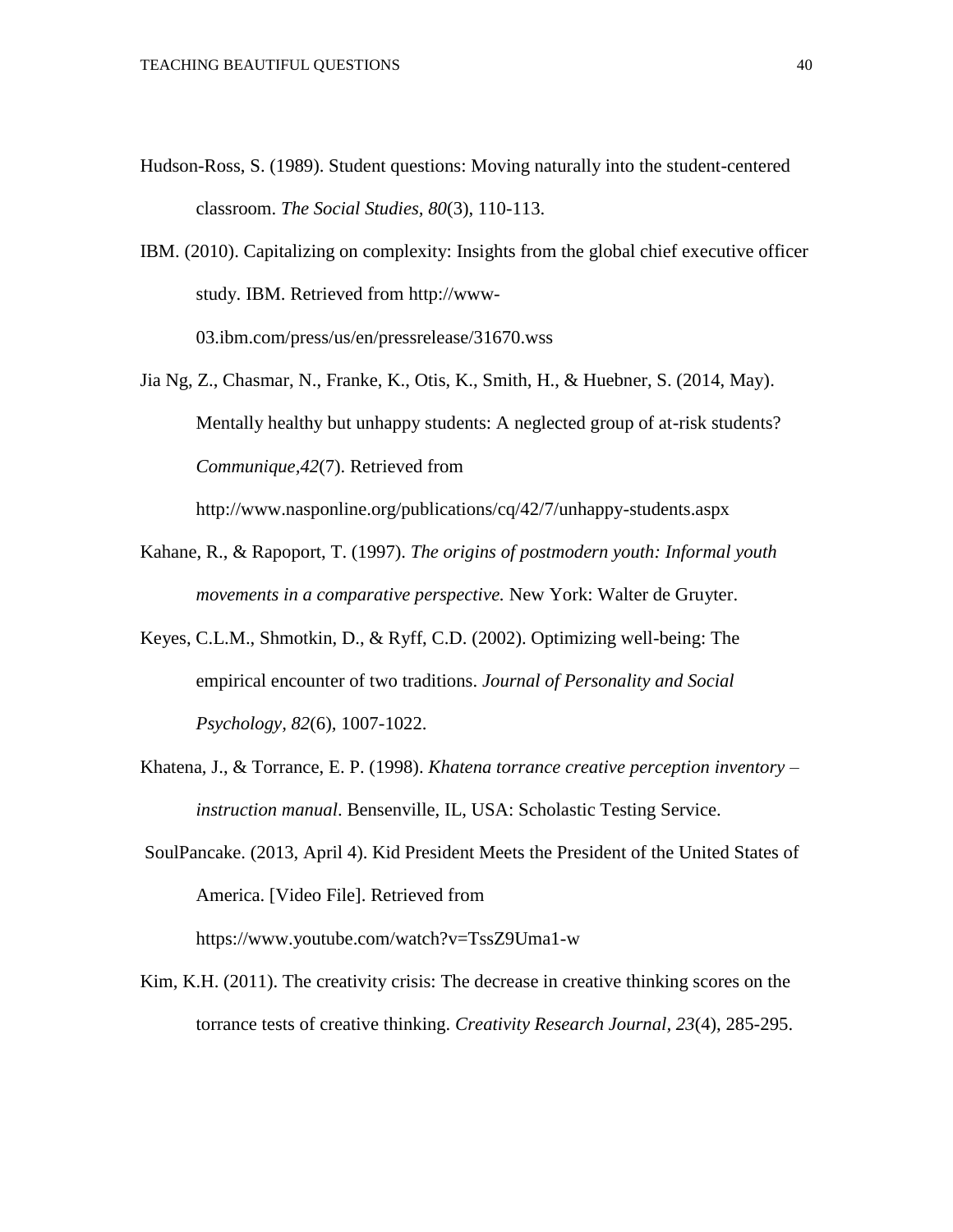- Hudson-Ross, S. (1989). Student questions: Moving naturally into the student-centered classroom. *The Social Studies, 80*(3), 110-113.
- IBM. (2010). Capitalizing on complexity: Insights from the global chief executive officer study. IBM. Retrieved fro[m](http://www-03.ibm.com/press/us/en/pressrelease/31670.wss) http://www-03.ibm.com/press/us/en/pressrelease/31670.wss

Jia Ng, Z., Chasmar, N., Franke, K., Otis, K., Smith, H., & Huebner, S. (2014, May). Mentally healthy but unhappy students: A neglected group of at-risk students? *Communique,42*(7). Retrieved from

http://www.nasponline.org/publications/cq/42/7/unhappy-students.aspx

- Kahane, R., & Rapoport, T. (1997). *The origins of postmodern youth: Informal youth movements in a comparative perspective.* New York: Walter de Gruyter.
- Keyes, C.L.M., Shmotkin, D., & Ryff, C.D. (2002). Optimizing well-being: The empirical encounter of two traditions. *Journal of Personality and Social Psychology, 82*(6)*,* 1007-1022.
- Khatena, J., & Torrance, E. P. (1998). *Khatena torrance creative perception inventory – instruction manual*. Bensenville, IL, USA: Scholastic Testing Service.
- SoulPancake. (2013, April 4). Kid President Meets the President of the United States of America. [Video File]. Retrieved from

https://www.youtube.com/watch?v=TssZ9Uma1-w

Kim, K.H. (2011). The creativity crisis: The decrease in creative thinking scores on the torrance tests of creative thinking. *Creativity Research Journal, 23*(4), 285-295.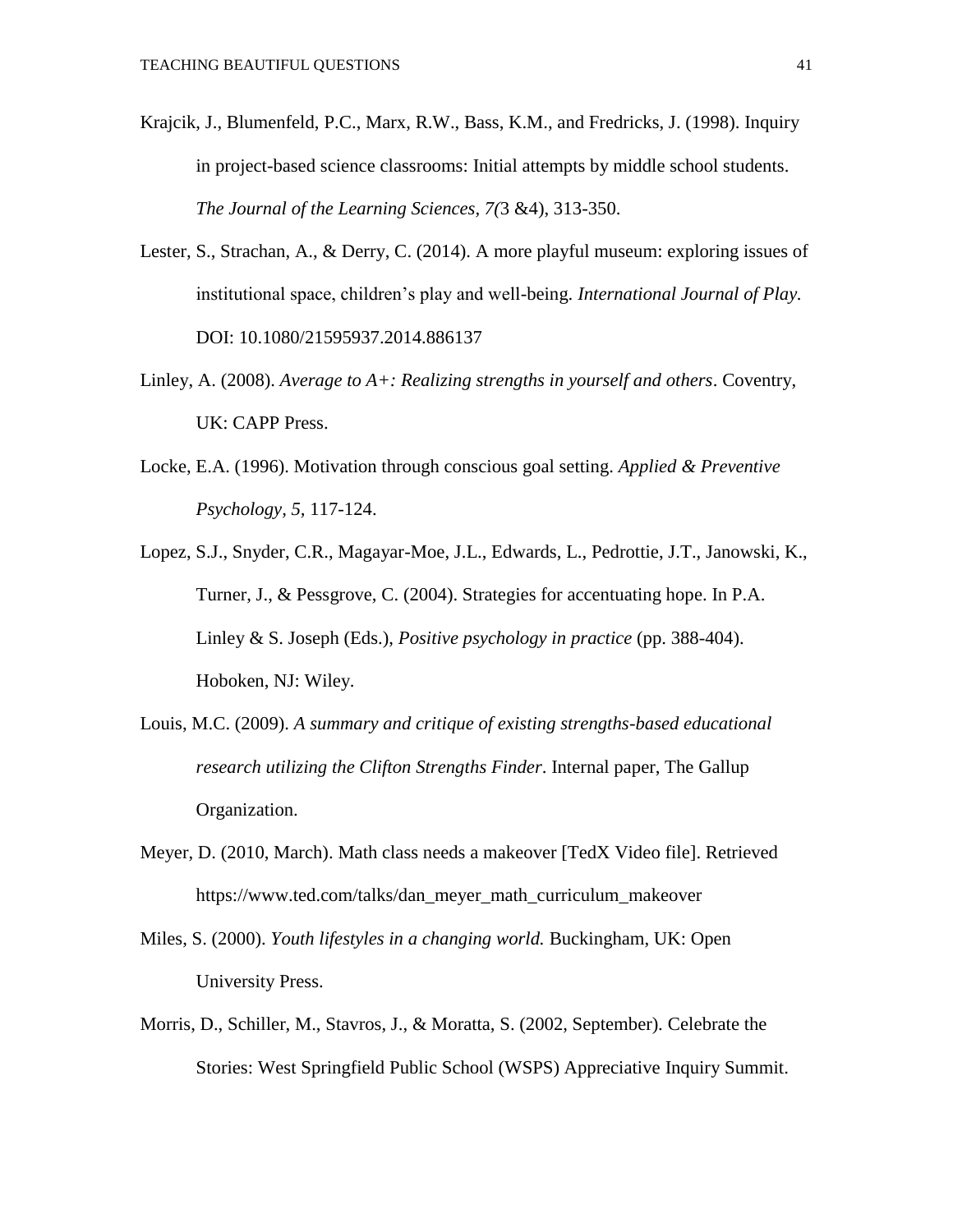- Krajcik, J., Blumenfeld, P.C., Marx, R.W., Bass, K.M., and Fredricks, J. (1998). Inquiry in project-based science classrooms: Initial attempts by middle school students. *The Journal of the Learning Sciences, 7(*3 &4), 313-350.
- Lester, S., Strachan, A., & Derry, C. (2014). A more playful museum: exploring issues of institutional space, children's play and well-being. *International Journal of Play.*  DOI: 10.1080/21595937.2014.886137
- Linley, A. (2008). *Average to A+: Realizing strengths in yourself and others*. Coventry, UK: CAPP Press.
- Locke, E.A. (1996). Motivation through conscious goal setting. *Applied & Preventive Psychology, 5,* 117-124.
- Lopez, S.J., Snyder, C.R., Magayar-Moe, J.L., Edwards, L., Pedrottie, J.T., Janowski, K., Turner, J., & Pessgrove, C. (2004). Strategies for accentuating hope. In P.A. Linley & S. Joseph (Eds.), *Positive psychology in practice* (pp. 388-404). Hoboken, NJ: Wiley.
- Louis, M.C. (2009). *A summary and critique of existing strengths-based educational research utilizing the Clifton Strengths Finder*. Internal paper, The Gallup Organization.
- Meyer, D. (2010, March). Math class needs a makeover [TedX Video file]. Retrieved https://www.ted.com/talks/dan\_meyer\_math\_curriculum\_makeover
- Miles, S. (2000). *Youth lifestyles in a changing world.* Buckingham, UK: Open University Press.
- Morris, D., Schiller, M., Stavros, J., & Moratta, S. (2002, September). Celebrate the Stories: West Springfield Public School (WSPS) Appreciative Inquiry Summit.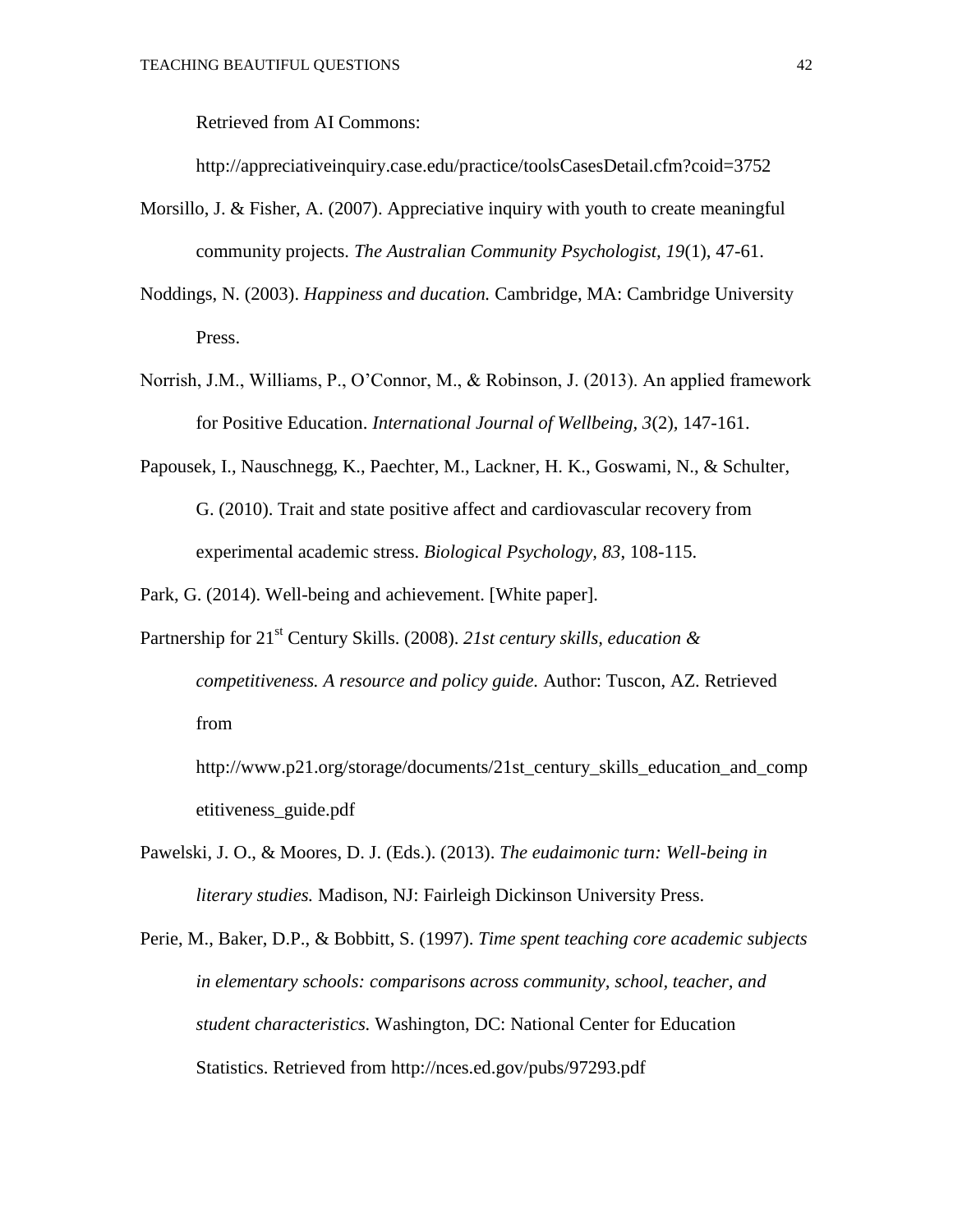Retrieved from AI Commons:

http://appreciativeinquiry.case.edu/practice/toolsCasesDetail.cfm?coid=3752

- Morsillo, J. & Fisher, A. (2007). Appreciative inquiry with youth to create meaningful community projects. *The Australian Community Psychologist, 19*(1), 47-61.
- Noddings, N. (2003). *Happiness and ducation.* Cambridge, MA: Cambridge University Press.
- Norrish, J.M., Williams, P., O'Connor, M., & Robinson, J. (2013). An applied framework for Positive Education. *International Journal of Wellbeing, 3*(2)*,* 147-161.
- Papousek, I., Nauschnegg, K., Paechter, M., Lackner, H. K., Goswami, N., & Schulter, G. (2010). Trait and state positive affect and cardiovascular recovery from experimental academic stress. *Biological Psychology, 83*, 108-115.

Park, G. (2014). Well-being and achievement. [White paper].

Partnership for 21<sup>st</sup> Century Skills. (2008). 21st century skills, education & *competitiveness. A resource and policy guide.* Author: Tuscon, AZ. Retrieved from

http://www.p21.org/storage/documents/21st\_century\_skills\_education\_and\_comp etitiveness\_guide.pdf

Pawelski, J. O., & Moores, D. J. (Eds.). (2013). *The eudaimonic turn: Well-being in literary studies.* Madison, NJ: Fairleigh Dickinson University Press.

Perie, M., Baker, D.P., & Bobbitt, S. (1997). *Time spent teaching core academic subjects in elementary schools: comparisons across community, school, teacher, and student characteristics.* Washington, DC: National Center for Education Statistics. Retrieved from http://nces.ed.gov/pubs/97293.pdf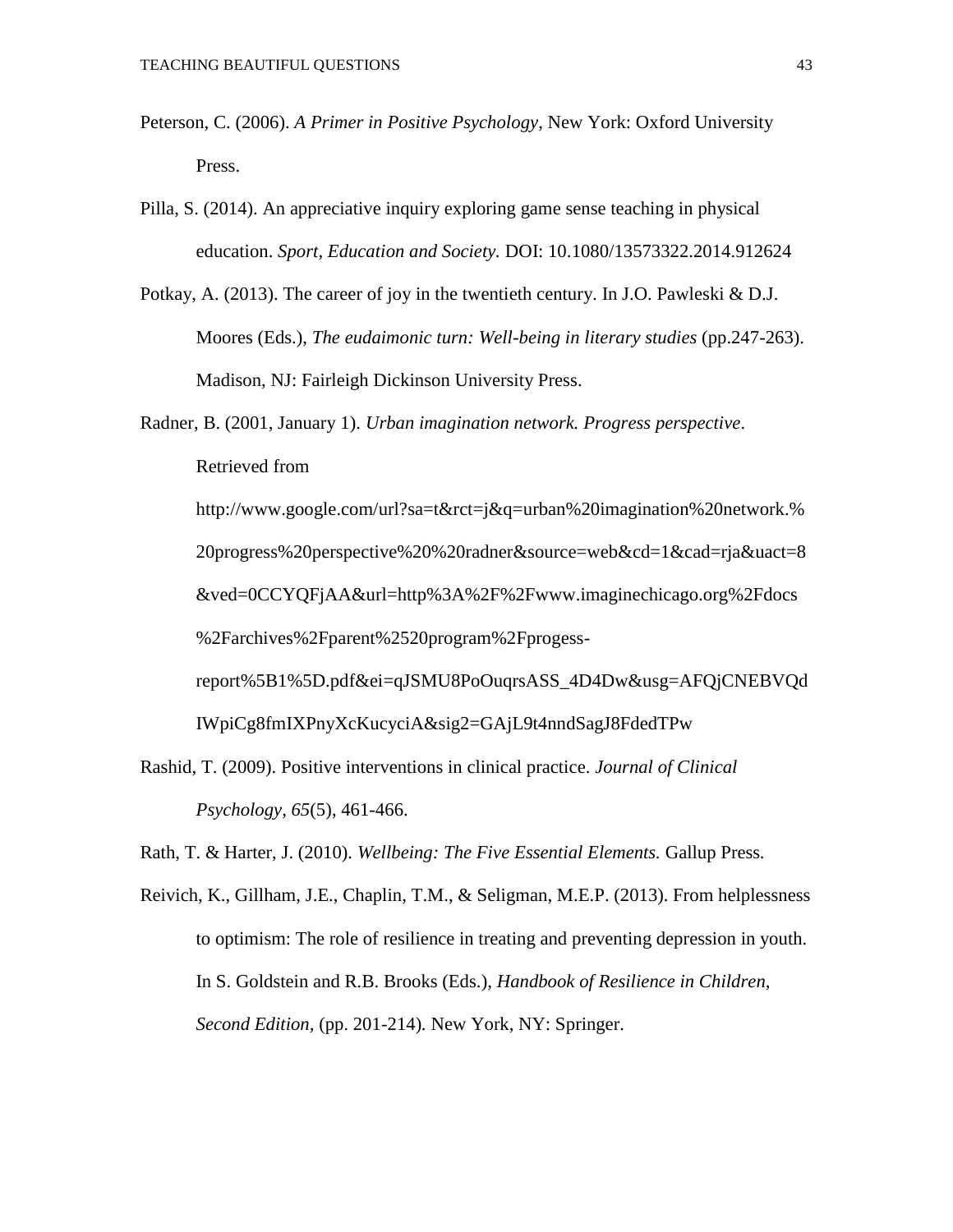- Peterson, C. (2006). *A Primer in Positive Psychology*, New York: Oxford University Press.
- Pilla, S. (2014). An appreciative inquiry exploring game sense teaching in physical education. *Sport, Education and Society.* DOI: 10.1080/13573322.2014.912624
- Potkay, A. (2013). The career of joy in the twentieth century. In J.O. Pawleski & D.J. Moores (Eds.), *The eudaimonic turn: Well-being in literary studies* (pp.247-263). Madison, NJ: Fairleigh Dickinson University Press.

Radner, B. (2001, January 1). *Urban imagination network. Progress perspective*. Retrieved from http://www.google.com/url?sa=t&rct=j&q=urban%20imagination%20network.% 20progress%20perspective%20%20radner&source=web&cd=1&cad=rja&uact=8 &ved=0CCYQFjAA&url=http%3A%2F%2Fwww.imaginechicago.org%2Fdocs %2Farchives%2Fparent%2520program%2Fprogessreport%5B1%5D.pdf&ei=qJSMU8PoOuqrsASS\_4D4Dw&usg=AFQjCNEBVQd IWpiCg8fmIXPnyXcKucyciA&sig2=GAjL9t4nndSagJ8FdedTPw

Rashid, T. (2009). Positive interventions in clinical practice. *Journal of Clinical Psychology, 65*(5), 461-466.

Rath, T. & Harter, J. (2010). *Wellbeing: The Five Essential Elements.* Gallup Press*.*

Reivich, K., Gillham, J.E., Chaplin, T.M., & Seligman, M.E.P. (2013). From helplessness to optimism: The role of resilience in treating and preventing depression in youth. In S. Goldstein and R.B. Brooks (Eds.), *Handbook of Resilience in Children, Second Edition,* (pp. 201-214)*.* New York, NY: Springer.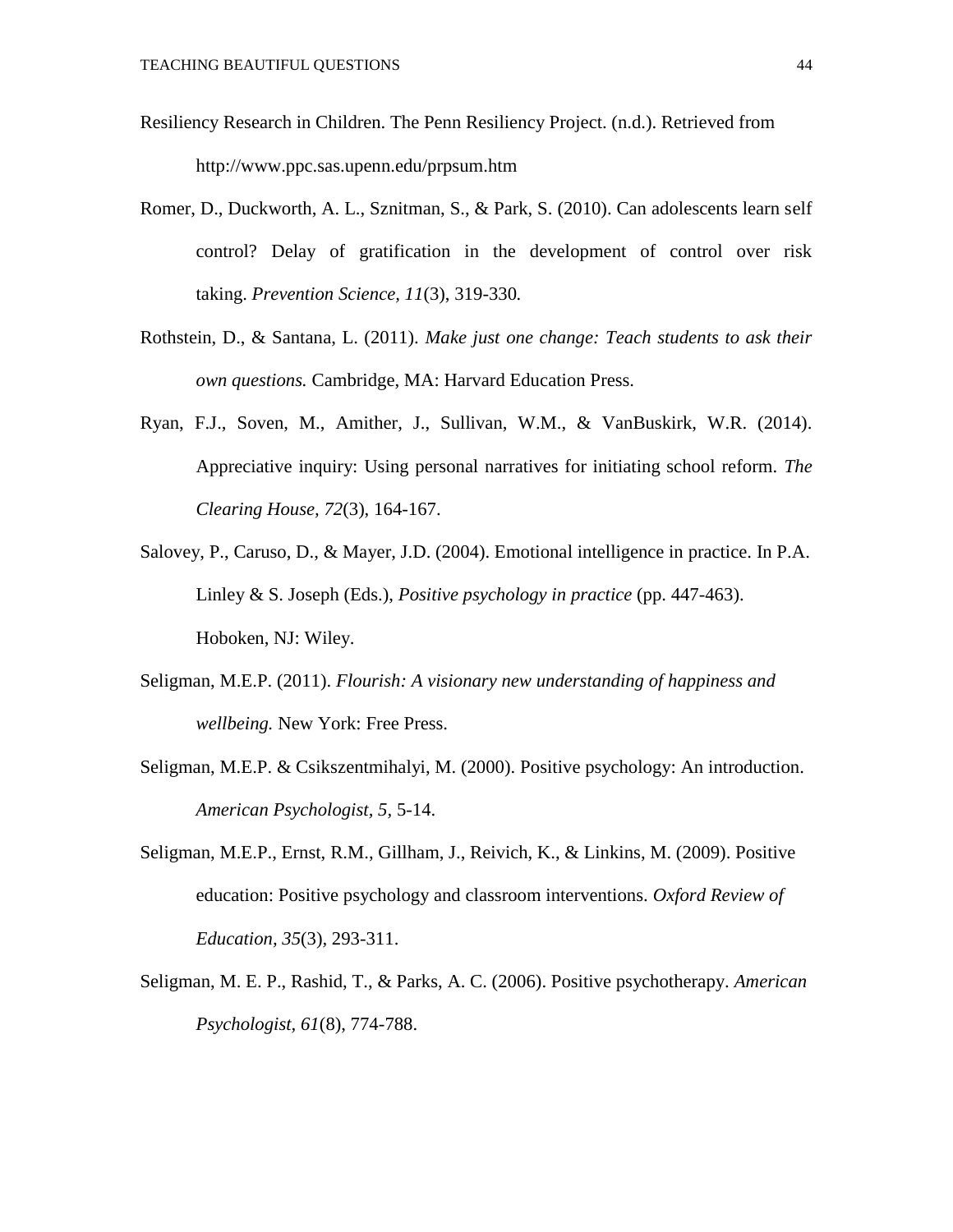- Resiliency Research in Children. The Penn Resiliency Project. (n.d.). Retrieved from http://www.ppc.sas.upenn.edu/prpsum.htm
- Romer, D., Duckworth, A. L., Sznitman, S., & Park, S. (2010). Can adolescents learn self control? Delay of gratification in the development of control over risk taking. *Prevention Science, 11*(3), 319-330*.*
- Rothstein, D., & Santana, L. (2011). *Make just one change: Teach students to ask their own questions.* Cambridge, MA: Harvard Education Press.
- Ryan, F.J., Soven, M., Amither, J., Sullivan, W.M., & VanBuskirk, W.R. (2014). Appreciative inquiry: Using personal narratives for initiating school reform. *The Clearing House, 72*(3), 164-167.
- Salovey, P., Caruso, D., & Mayer, J.D. (2004). Emotional intelligence in practice. In P.A. Linley & S. Joseph (Eds.), *Positive psychology in practice* (pp. 447-463). Hoboken, NJ: Wiley.
- Seligman, M.E.P. (2011). *Flourish: A visionary new understanding of happiness and wellbeing.* New York: Free Press.
- Seligman, M.E.P. & Csikszentmihalyi, M. (2000). Positive psychology: An introduction. *American Psychologist, 5,* 5-14.
- Seligman, M.E.P., Ernst, R.M., Gillham, J., Reivich, K., & Linkins, M. (2009). Positive education: Positive psychology and classroom interventions. *Oxford Review of Education, 35*(3)*,* 293-311.
- Seligman, M. E. P., Rashid, T., & Parks, A. C. (2006). Positive psychotherapy. *American Psychologist, 61*(8), 774-788.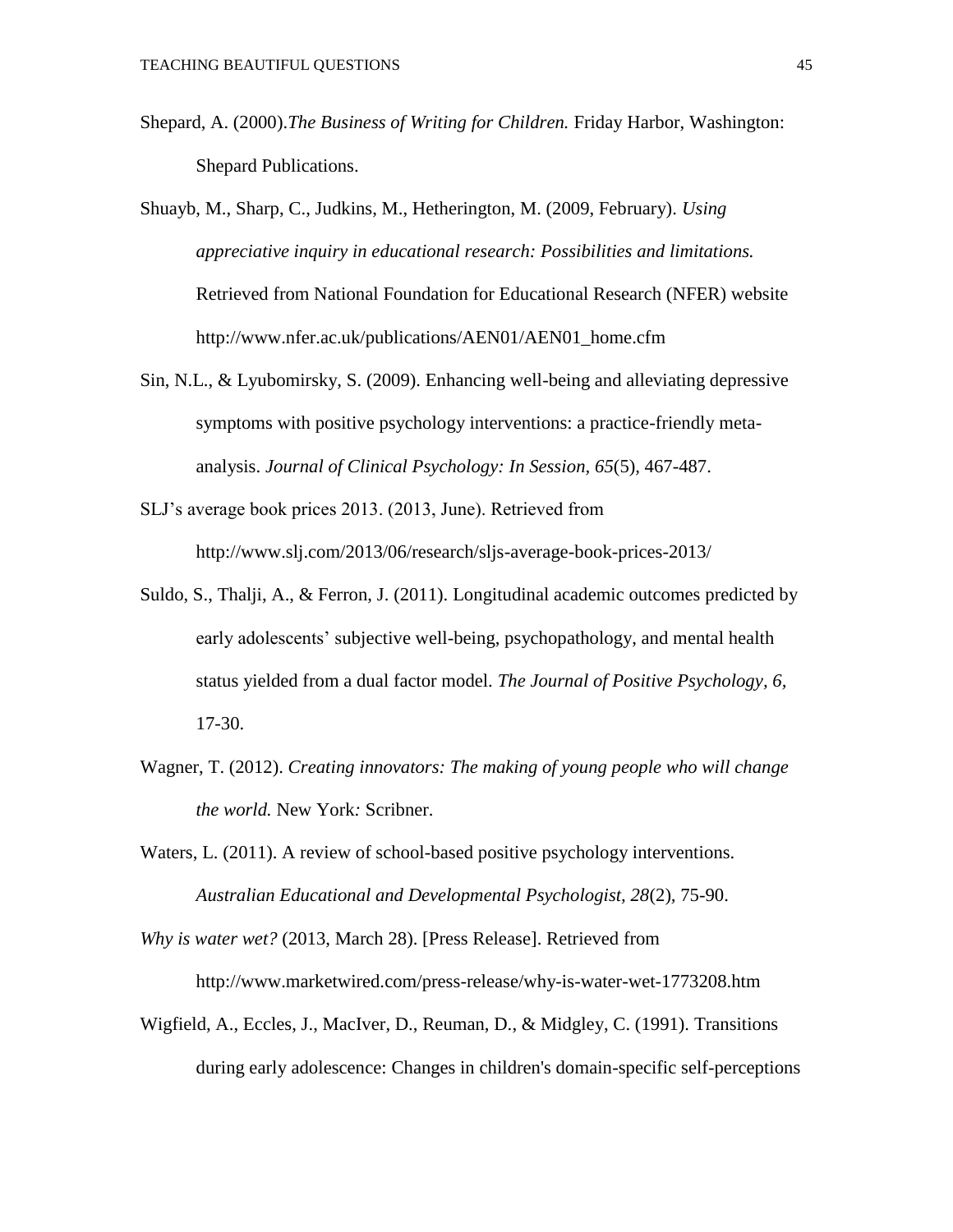- Shepard, A. (2000).*The Business of Writing for Children.* Friday Harbor, Washington: Shepard Publications.
- Shuayb, M., Sharp, C., Judkins, M., Hetherington, M. (2009, February). *Using appreciative inquiry in educational research: Possibilities and limitations.*  Retrieved from National Foundation for Educational Research (NFER) website http://www.nfer.ac.uk/publications/AEN01/AEN01\_home.cfm
- Sin, N.L., & Lyubomirsky, S. (2009). Enhancing well-being and alleviating depressive symptoms with positive psychology interventions: a practice-friendly metaanalysis. *Journal of Clinical Psychology: In Session, 65*(5)*,* 467-487.
- SLJ's average book prices 2013. (2013, June). Retrieved from http://www.slj.com/2013/06/research/sljs-average-book-prices-2013/
- Suldo, S., Thalji, A., & Ferron, J. (2011). Longitudinal academic outcomes predicted by early adolescents' subjective well-being, psychopathology, and mental health status yielded from a dual factor model. *The Journal of Positive Psychology, 6,* 17-30.
- Wagner, T. (2012). *Creating innovators: The making of young people who will change the world.* New York*:* Scribner.
- Waters, L. (2011). A review of school-based positive psychology interventions. *Australian Educational and Developmental Psychologist, 28*(2)*,* 75-90.

*Why is water wet?* (2013, March 28). [Press Release]. Retrieved from http://www.marketwired.com/press-release/why-is-water-wet-1773208.htm

Wigfield, A., Eccles, J., MacIver, D., Reuman, D., & Midgley, C. (1991). Transitions during early adolescence: Changes in children's domain-specific self-perceptions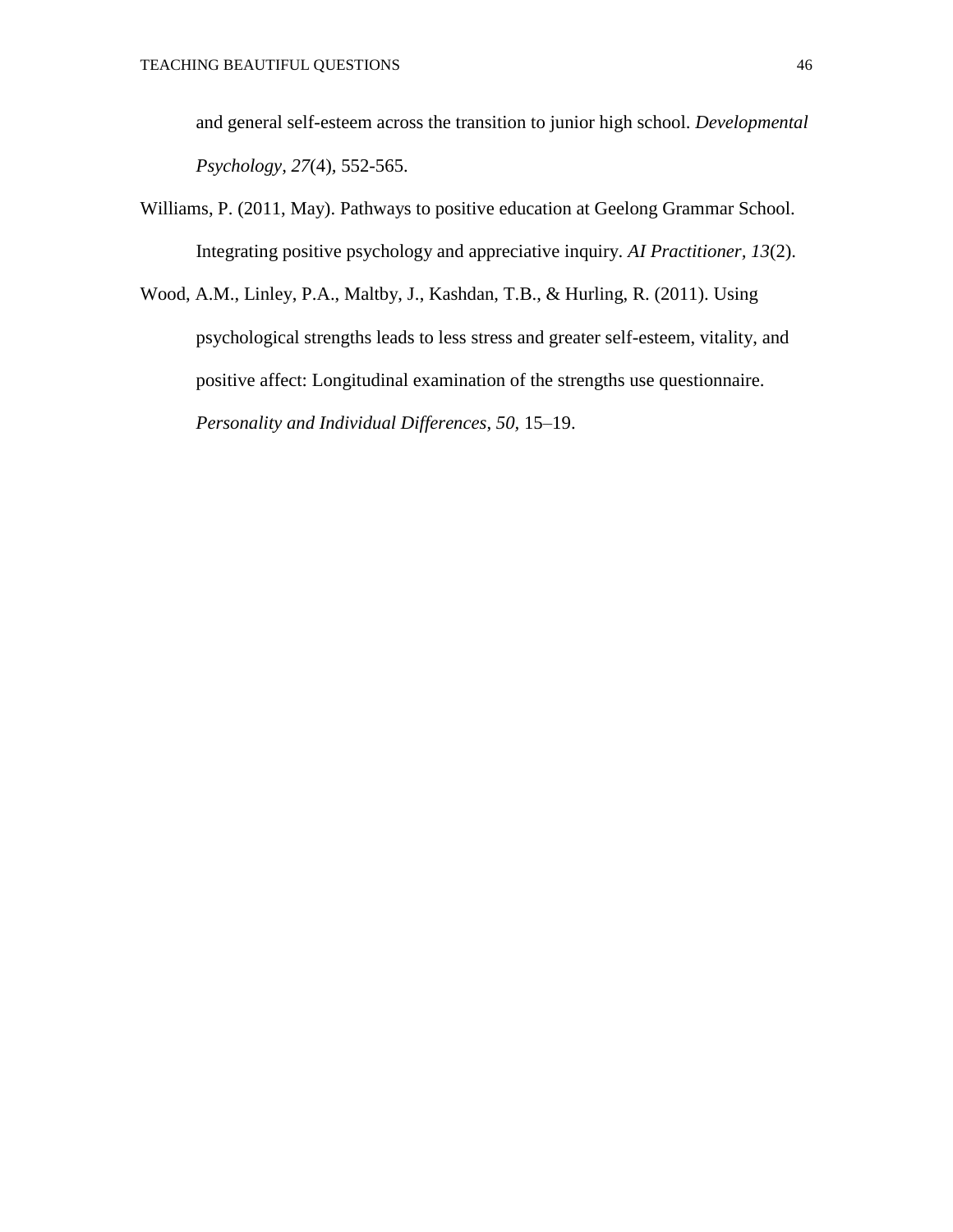and general self-esteem across the transition to junior high school. *Developmental Psychology, 27*(4)*,* 552-565.

- Williams, P. (2011, May). Pathways to positive education at Geelong Grammar School. Integrating positive psychology and appreciative inquiry. *AI Practitioner, 13*(2).
- Wood, A.M., Linley, P.A., Maltby, J., Kashdan, T.B., & Hurling, R. (2011). Using psychological strengths leads to less stress and greater self-esteem, vitality, and positive affect: Longitudinal examination of the strengths use questionnaire. *Personality and Individual Differences*, *50,* 15–19.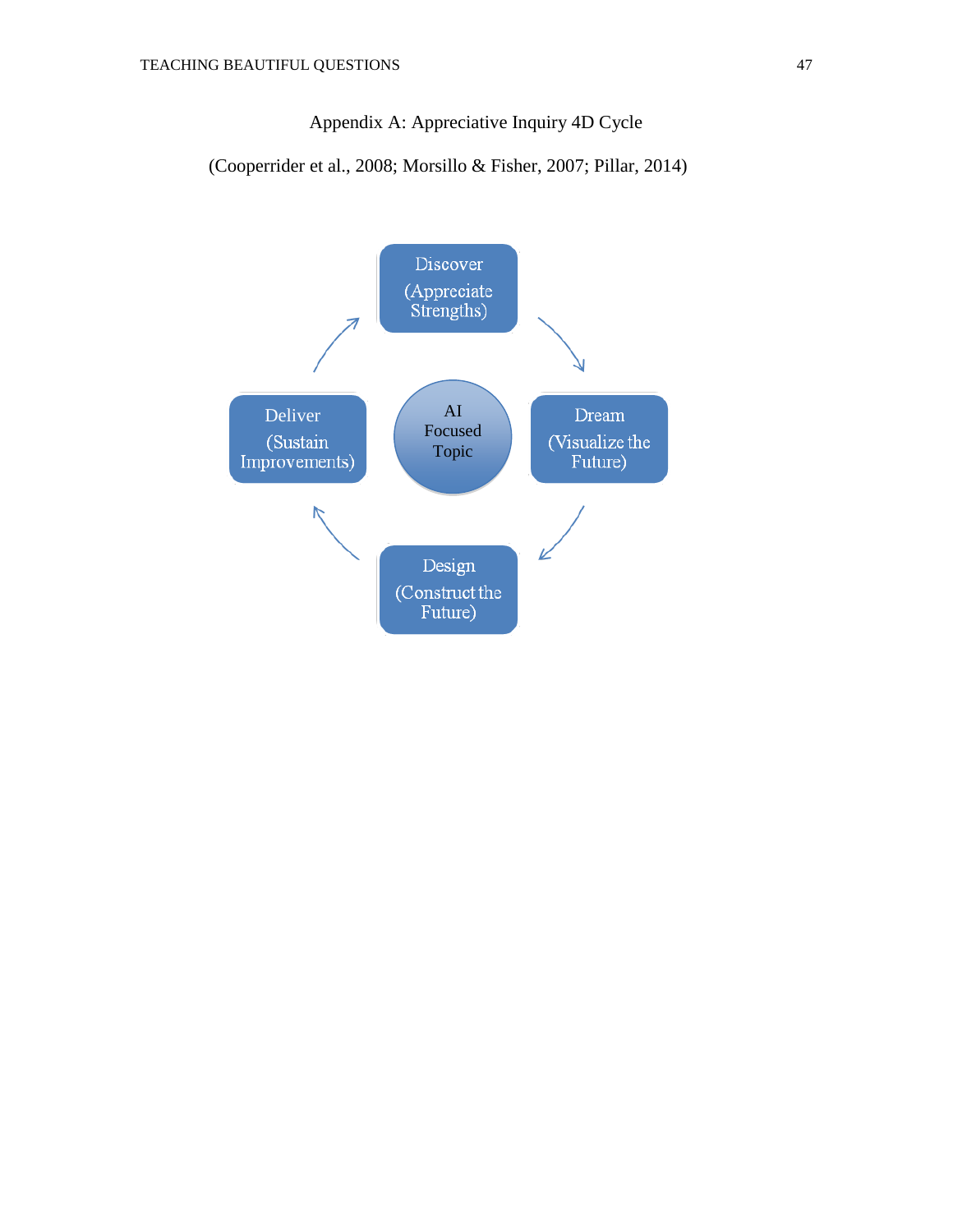Appendix A: Appreciative Inquiry 4D Cycle

(Cooperrider et al., 2008; Morsillo & Fisher, 2007; Pillar, 2014)

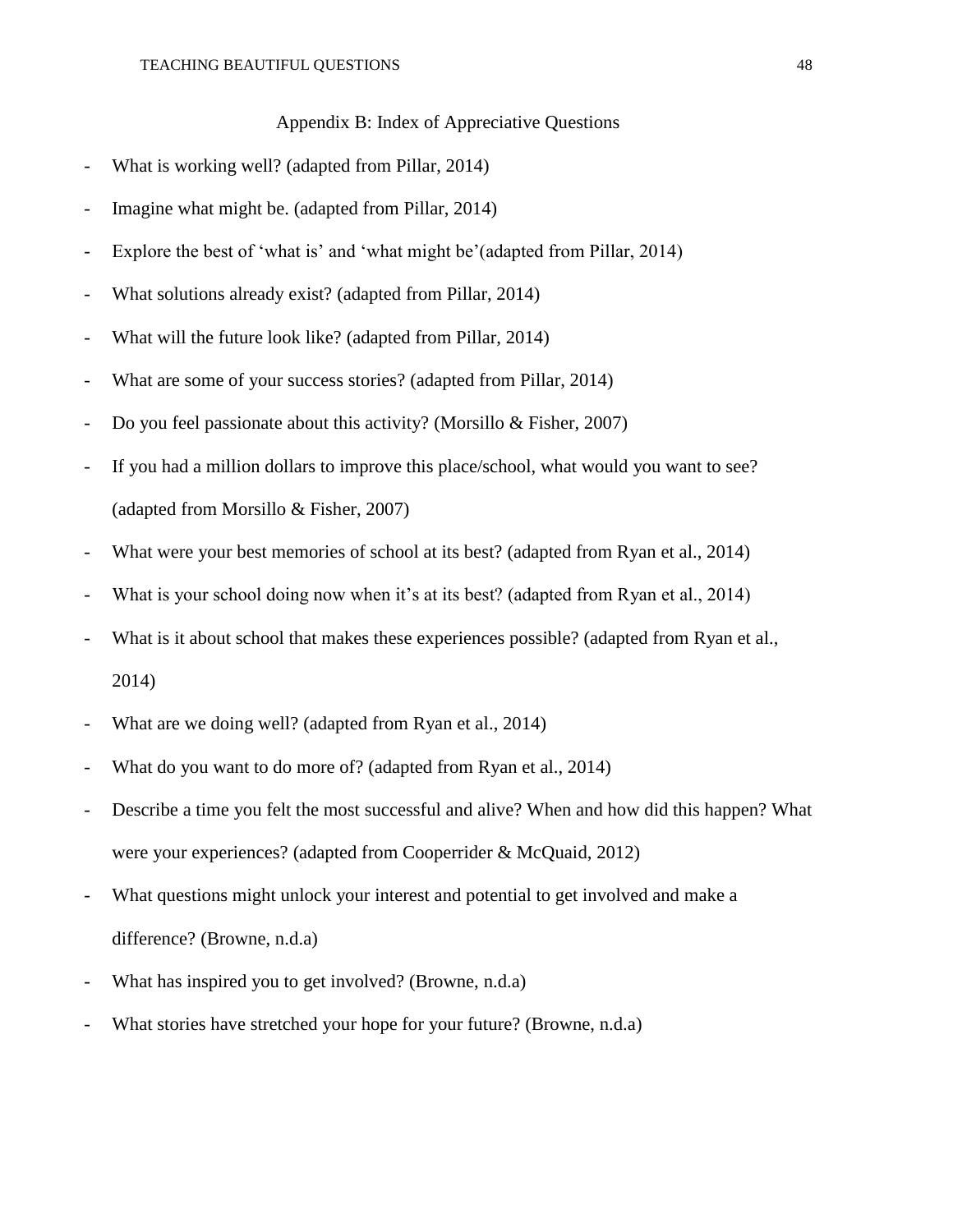Appendix B: Index of Appreciative Questions

- What is working well? (adapted from Pillar, 2014)
- Imagine what might be. (adapted from Pillar, 2014)
- Explore the best of 'what is' and 'what might be'(adapted from Pillar, 2014)
- What solutions already exist? (adapted from Pillar, 2014)
- What will the future look like? (adapted from Pillar, 2014)
- What are some of your success stories? (adapted from Pillar, 2014)
- Do you feel passionate about this activity? (Morsillo  $& Fisher, 2007$ )
- If you had a million dollars to improve this place/school, what would you want to see? (adapted from Morsillo & Fisher, 2007)
- What were your best memories of school at its best? (adapted from Ryan et al., 2014)
- What is your school doing now when it's at its best? (adapted from Ryan et al., 2014)
- What is it about school that makes these experiences possible? (adapted from Ryan et al., 2014)
- What are we doing well? (adapted from Ryan et al., 2014)
- What do you want to do more of? (adapted from Ryan et al., 2014)
- Describe a time you felt the most successful and alive? When and how did this happen? What were your experiences? (adapted from Cooperrider & McQuaid, 2012)
- What questions might unlock your interest and potential to get involved and make a difference? (Browne, n.d.a)
- What has inspired you to get involved? (Browne, n.d.a)
- What stories have stretched your hope for your future? (Browne, n.d.a)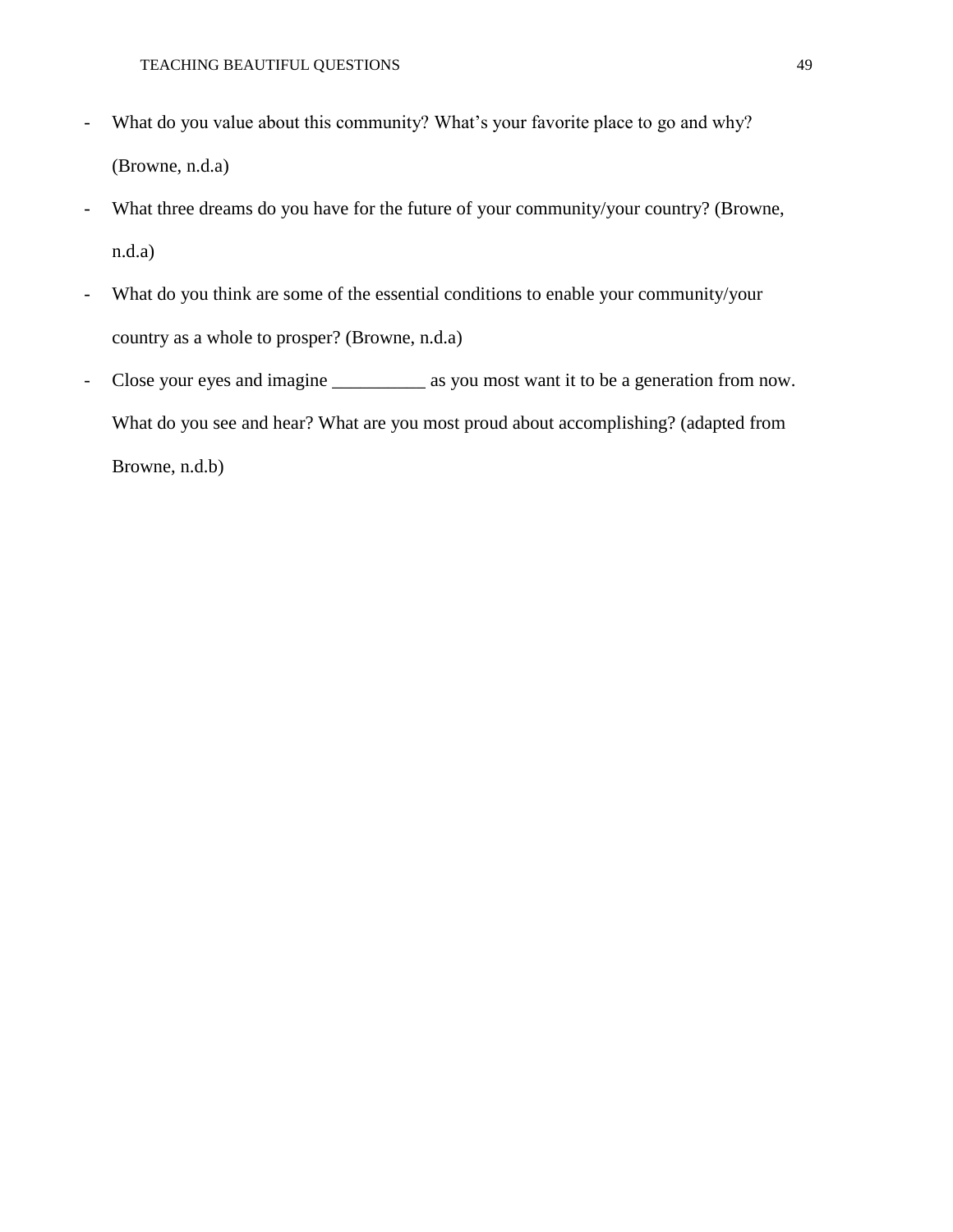- What do you value about this community? What's your favorite place to go and why? (Browne, n.d.a)
- What three dreams do you have for the future of your community/your country? (Browne, n.d.a)
- What do you think are some of the essential conditions to enable your community/your country as a whole to prosper? (Browne, n.d.a)
- Close your eyes and imagine \_\_\_\_\_\_\_\_\_\_\_ as you most want it to be a generation from now. What do you see and hear? What are you most proud about accomplishing? (adapted from Browne, n.d.b)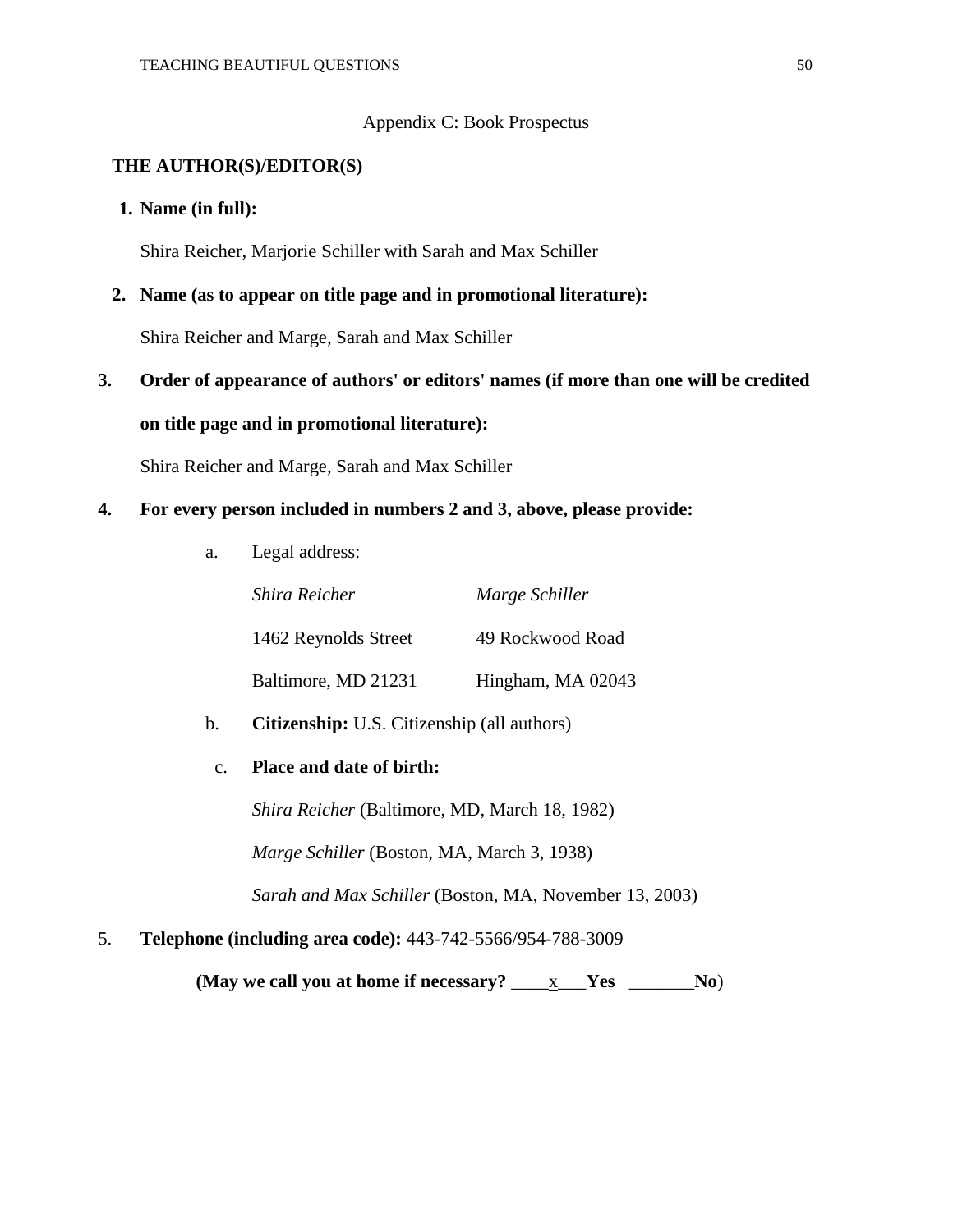#### Appendix C: Book Prospectus

#### **THE AUTHOR(S)/EDITOR(S)**

#### **1. Name (in full):**

Shira Reicher, Marjorie Schiller with Sarah and Max Schiller

# **2. Name (as to appear on title page and in promotional literature):**

Shira Reicher and Marge, Sarah and Max Schiller

 **3. Order of appearance of authors' or editors' names (if more than one will be credited on title page and in promotional literature):**

Shira Reicher and Marge, Sarah and Max Schiller

#### **4. For every person included in numbers 2 and 3, above, please provide:**

a. Legal address:

| Shira Reicher        | Marge Schiller    |
|----------------------|-------------------|
| 1462 Reynolds Street | 49 Rockwood Road  |
| Baltimore, MD 21231  | Hingham, MA 02043 |

b. **Citizenship:** U.S. Citizenship (all authors)

#### c. **Place and date of birth:**

*Shira Reicher* (Baltimore, MD, March 18, 1982)

*Marge Schiller* (Boston, MA, March 3, 1938)

*Sarah and Max Schiller* (Boston, MA, November 13, 2003)

5. **Telephone (including area code):** 443-742-5566/954-788-3009

**(May we call you at home if necessary?** \_\_\_\_x\_\_\_**Yes** \_\_\_\_\_\_\_**No**)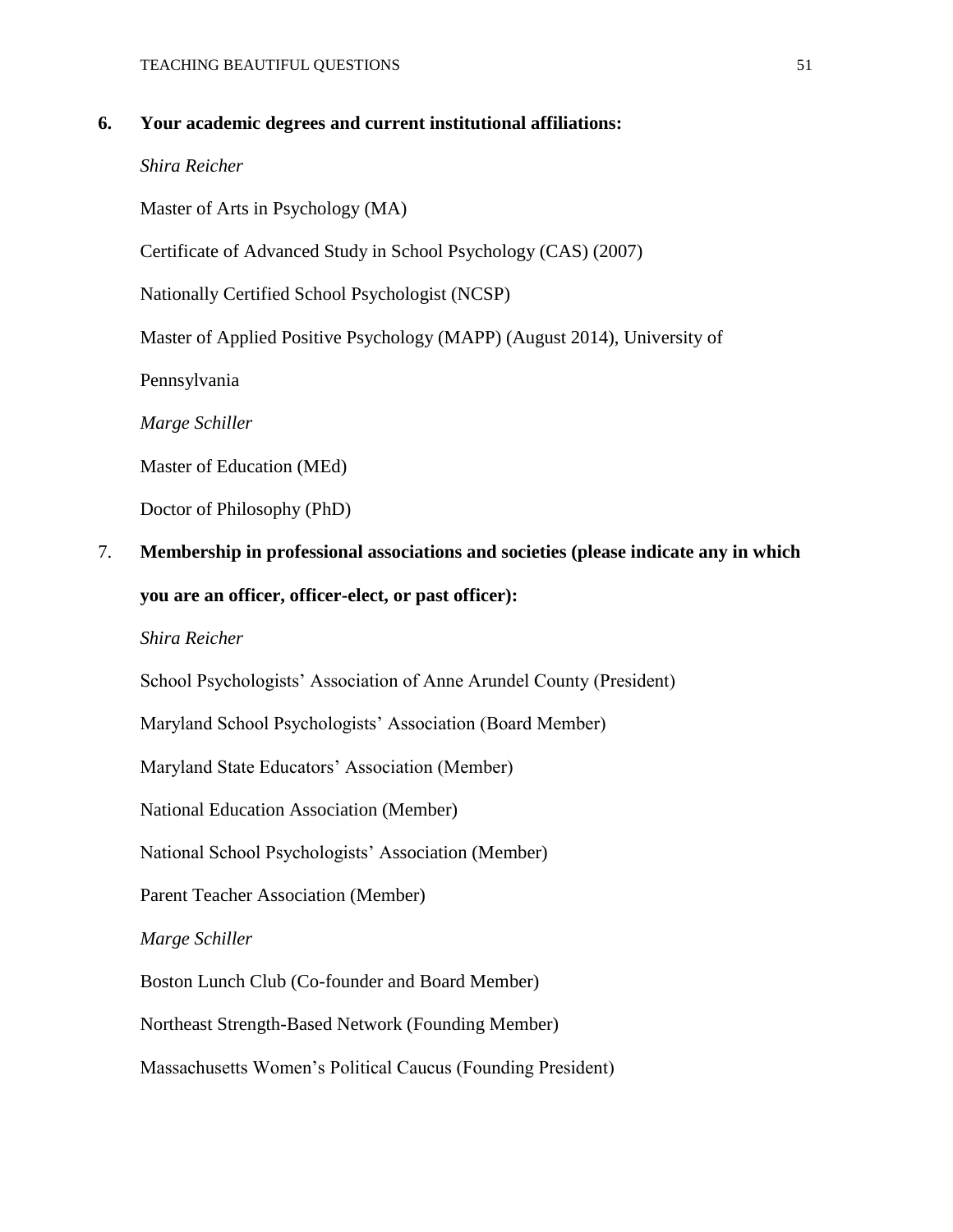#### **6. Your academic degrees and current institutional affiliations:**

#### *Shira Reicher*

Master of Arts in Psychology (MA)

Certificate of Advanced Study in School Psychology (CAS) (2007)

Nationally Certified School Psychologist (NCSP)

Master of Applied Positive Psychology (MAPP) (August 2014), University of

Pennsylvania

*Marge Schiller*

Master of Education (MEd)

Doctor of Philosophy (PhD)

### 7. **Membership in professional associations and societies (please indicate any in which you are an officer, officer-elect, or past officer):**

#### *Shira Reicher*

School Psychologists' Association of Anne Arundel County (President)

Maryland School Psychologists' Association (Board Member)

Maryland State Educators' Association (Member)

National Education Association (Member)

National School Psychologists' Association (Member)

Parent Teacher Association (Member)

#### *Marge Schiller*

Boston Lunch Club (Co-founder and Board Member)

Northeast Strength-Based Network (Founding Member)

Massachusetts Women's Political Caucus (Founding President)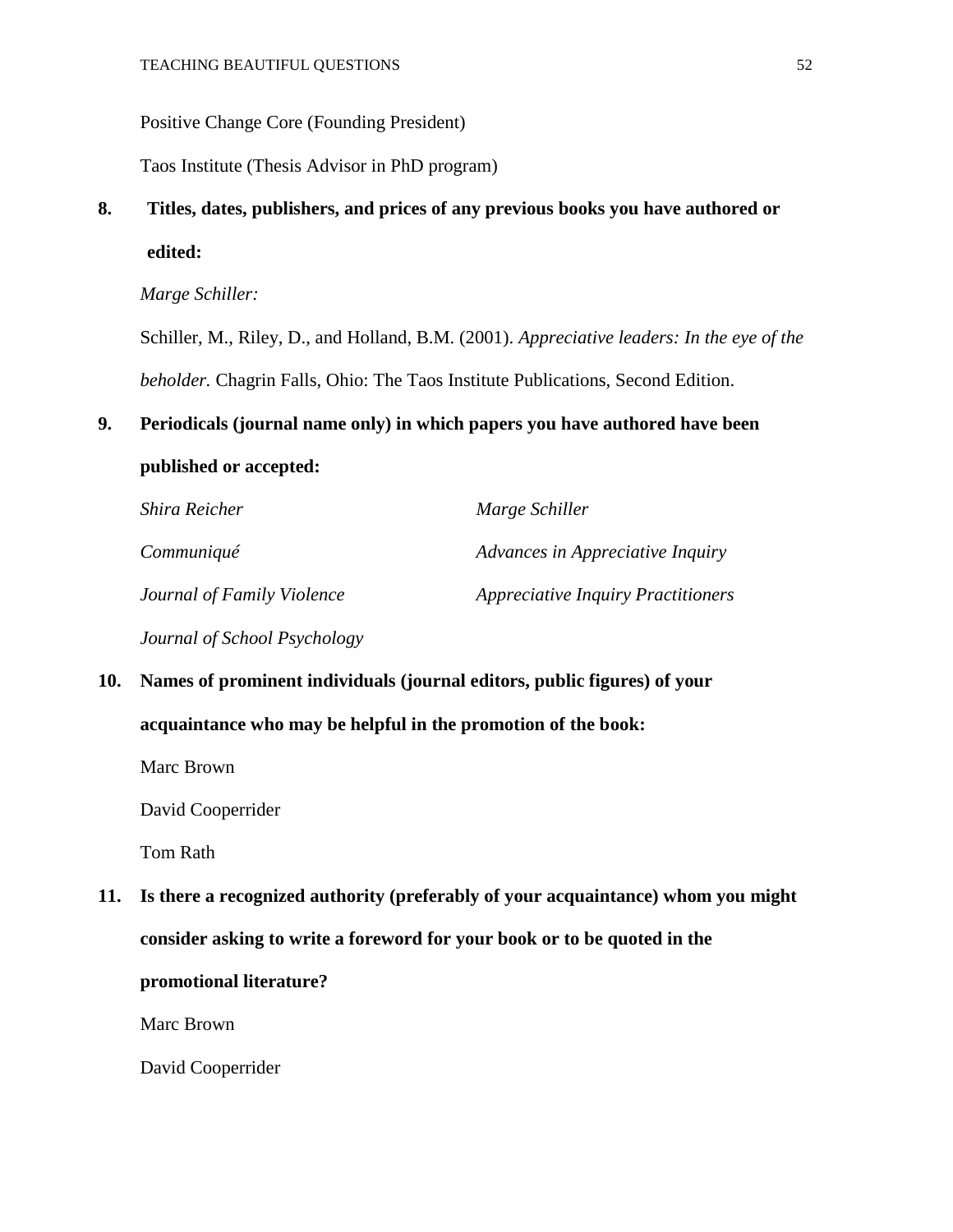Positive Change Core (Founding President)

Taos Institute (Thesis Advisor in PhD program)

### **8. Titles, dates, publishers, and prices of any previous books you have authored or edited:**

*Marge Schiller:*

Schiller, M., Riley, D., and Holland, B.M. (2001). *Appreciative leaders: In the eye of the beholder.* Chagrin Falls, Ohio: The Taos Institute Publications, Second Edition.

#### **9. Periodicals (journal name only) in which papers you have authored have been**

#### **published or accepted:**

| Shira Reicher                | Marge Schiller                            |
|------------------------------|-------------------------------------------|
| Communiqué                   | Advances in Appreciative Inquiry          |
| Journal of Family Violence   | <b>Appreciative Inquiry Practitioners</b> |
| Journal of School Psychology |                                           |

 **10. Names of prominent individuals (journal editors, public figures) of your acquaintance who may be helpful in the promotion of the book:**

Marc Brown

David Cooperrider

Tom Rath

 **11. Is there a recognized authority (preferably of your acquaintance) whom you might consider asking to write a foreword for your book or to be quoted in the** 

#### **promotional literature?**

Marc Brown

David Cooperrider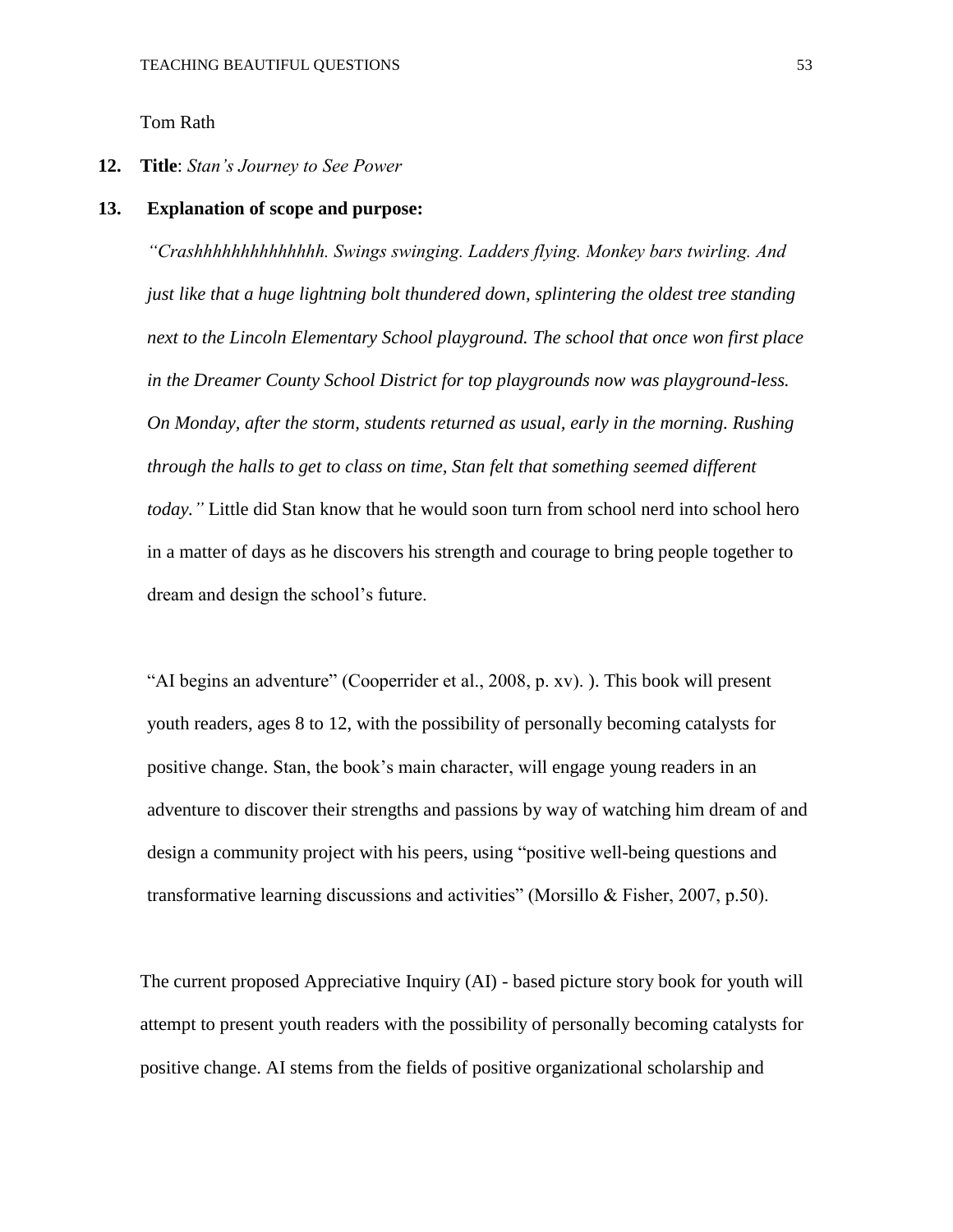Tom Rath

#### **12. Title**: *Stan's Journey to See Power*

#### **13. Explanation of scope and purpose:**

*"Crashhhhhhhhhhhhhh. Swings swinging. Ladders flying. Monkey bars twirling. And just like that a huge lightning bolt thundered down, splintering the oldest tree standing next to the Lincoln Elementary School playground. The school that once won first place in the Dreamer County School District for top playgrounds now was playground-less. On Monday, after the storm, students returned as usual, early in the morning. Rushing through the halls to get to class on time, Stan felt that something seemed different today."* Little did Stan know that he would soon turn from school nerd into school hero in a matter of days as he discovers his strength and courage to bring people together to dream and design the school's future.

"AI begins an adventure" (Cooperrider et al., 2008, p. xv). ). This book will present youth readers, ages 8 to 12, with the possibility of personally becoming catalysts for positive change. Stan, the book's main character, will engage young readers in an adventure to discover their strengths and passions by way of watching him dream of and design a community project with his peers, using "positive well-being questions and transformative learning discussions and activities" (Morsillo & Fisher, 2007, p.50).

The current proposed Appreciative Inquiry (AI) - based picture story book for youth will attempt to present youth readers with the possibility of personally becoming catalysts for positive change. AI stems from the fields of positive organizational scholarship and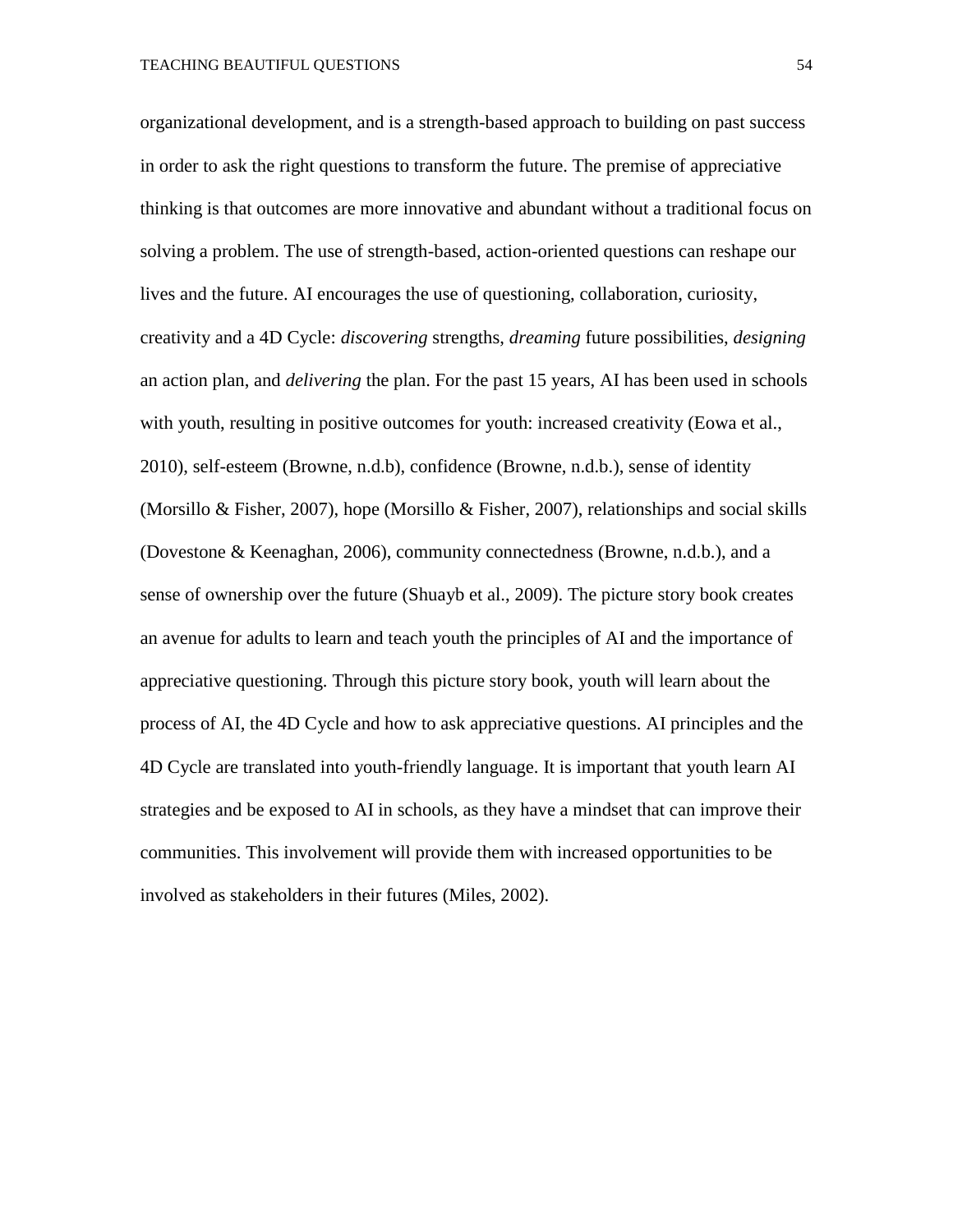organizational development, and is a strength-based approach to building on past success in order to ask the right questions to transform the future. The premise of appreciative thinking is that outcomes are more innovative and abundant without a traditional focus on solving a problem. The use of strength-based, action-oriented questions can reshape our lives and the future. AI encourages the use of questioning, collaboration, curiosity, creativity and a 4D Cycle: *discovering* strengths, *dreaming* future possibilities, *designing* an action plan, and *delivering* the plan. For the past 15 years, AI has been used in schools with youth, resulting in positive outcomes for youth: increased creativity (Eowa et al., 2010), self-esteem (Browne, n.d.b), confidence (Browne, n.d.b.), sense of identity (Morsillo & Fisher, 2007), hope (Morsillo & Fisher, 2007), relationships and social skills (Dovestone & Keenaghan, 2006), community connectedness (Browne, n.d.b.), and a sense of ownership over the future (Shuayb et al., 2009). The picture story book creates an avenue for adults to learn and teach youth the principles of AI and the importance of appreciative questioning. Through this picture story book, youth will learn about the process of AI, the 4D Cycle and how to ask appreciative questions. AI principles and the 4D Cycle are translated into youth-friendly language. It is important that youth learn AI strategies and be exposed to AI in schools, as they have a mindset that can improve their communities. This involvement will provide them with increased opportunities to be involved as stakeholders in their futures (Miles, 2002).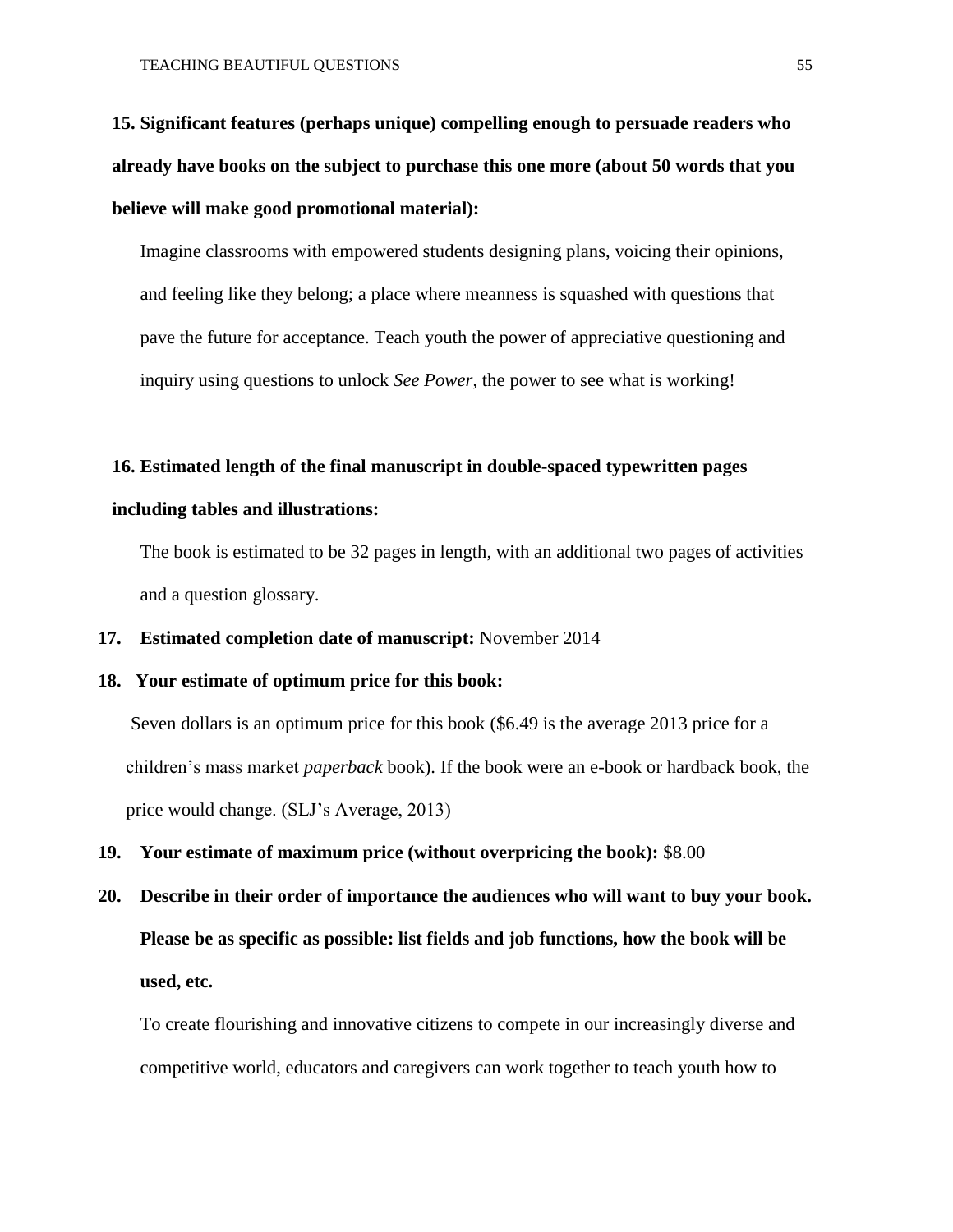**15. Significant features (perhaps unique) compelling enough to persuade readers who already have books on the subject to purchase this one more (about 50 words that you believe will make good promotional material):** 

Imagine classrooms with empowered students designing plans, voicing their opinions, and feeling like they belong; a place where meanness is squashed with questions that pave the future for acceptance. Teach youth the power of appreciative questioning and inquiry using questions to unlock *See Power*, the power to see what is working!

#### **16. Estimated length of the final manuscript in double-spaced typewritten pages**

#### **including tables and illustrations:**

The book is estimated to be 32 pages in length, with an additional two pages of activities and a question glossary.

#### **17. Estimated completion date of manuscript:** November 2014

#### **18. Your estimate of optimum price for this book:**

Seven dollars is an optimum price for this book (\$6.49 is the average 2013 price for a children's mass market *paperback* book). If the book were an e-book or hardback book, the price would change. (SLJ's Average, 2013)

- **19. Your estimate of maximum price (without overpricing the book):** \$8.00
- **20. Describe in their order of importance the audiences who will want to buy your book. Please be as specific as possible: list fields and job functions, how the book will be used, etc.**

To create flourishing and innovative citizens to compete in our increasingly diverse and competitive world, educators and caregivers can work together to teach youth how to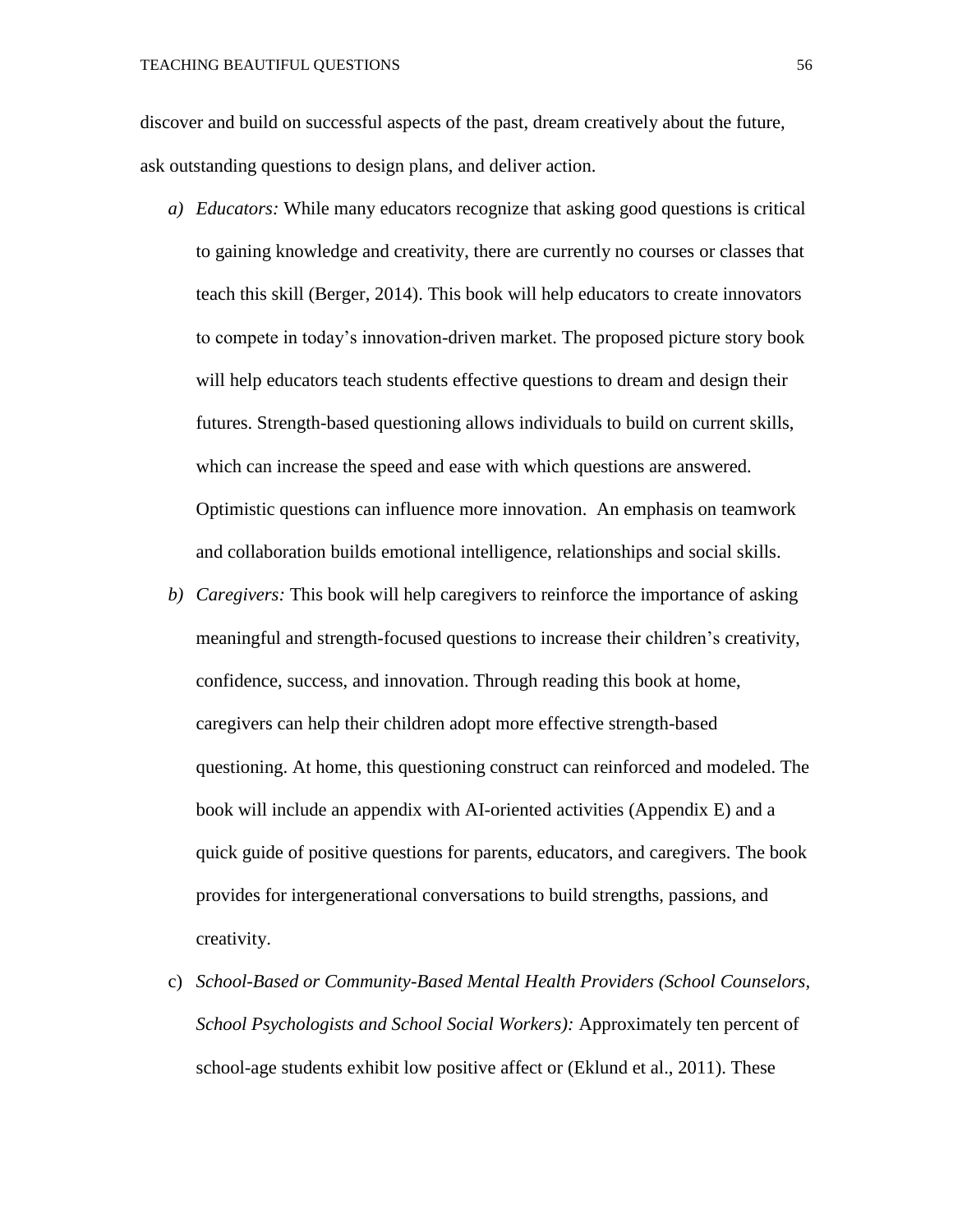discover and build on successful aspects of the past, dream creatively about the future, ask outstanding questions to design plans, and deliver action.

- *a) Educators:* While many educators recognize that asking good questions is critical to gaining knowledge and creativity, there are currently no courses or classes that teach this skill (Berger, 2014). This book will help educators to create innovators to compete in today's innovation-driven market. The proposed picture story book will help educators teach students effective questions to dream and design their futures. Strength-based questioning allows individuals to build on current skills, which can increase the speed and ease with which questions are answered. Optimistic questions can influence more innovation. An emphasis on teamwork and collaboration builds emotional intelligence, relationships and social skills.
- *b) Caregivers:* This book will help caregivers to reinforce the importance of asking meaningful and strength-focused questions to increase their children's creativity, confidence, success, and innovation. Through reading this book at home, caregivers can help their children adopt more effective strength-based questioning. At home, this questioning construct can reinforced and modeled. The book will include an appendix with AI-oriented activities (Appendix E) and a quick guide of positive questions for parents, educators, and caregivers. The book provides for intergenerational conversations to build strengths, passions, and creativity.
- c) *School-Based or Community-Based Mental Health Providers (School Counselors, School Psychologists and School Social Workers):* Approximately ten percent of school-age students exhibit low positive affect or (Eklund et al., 2011). These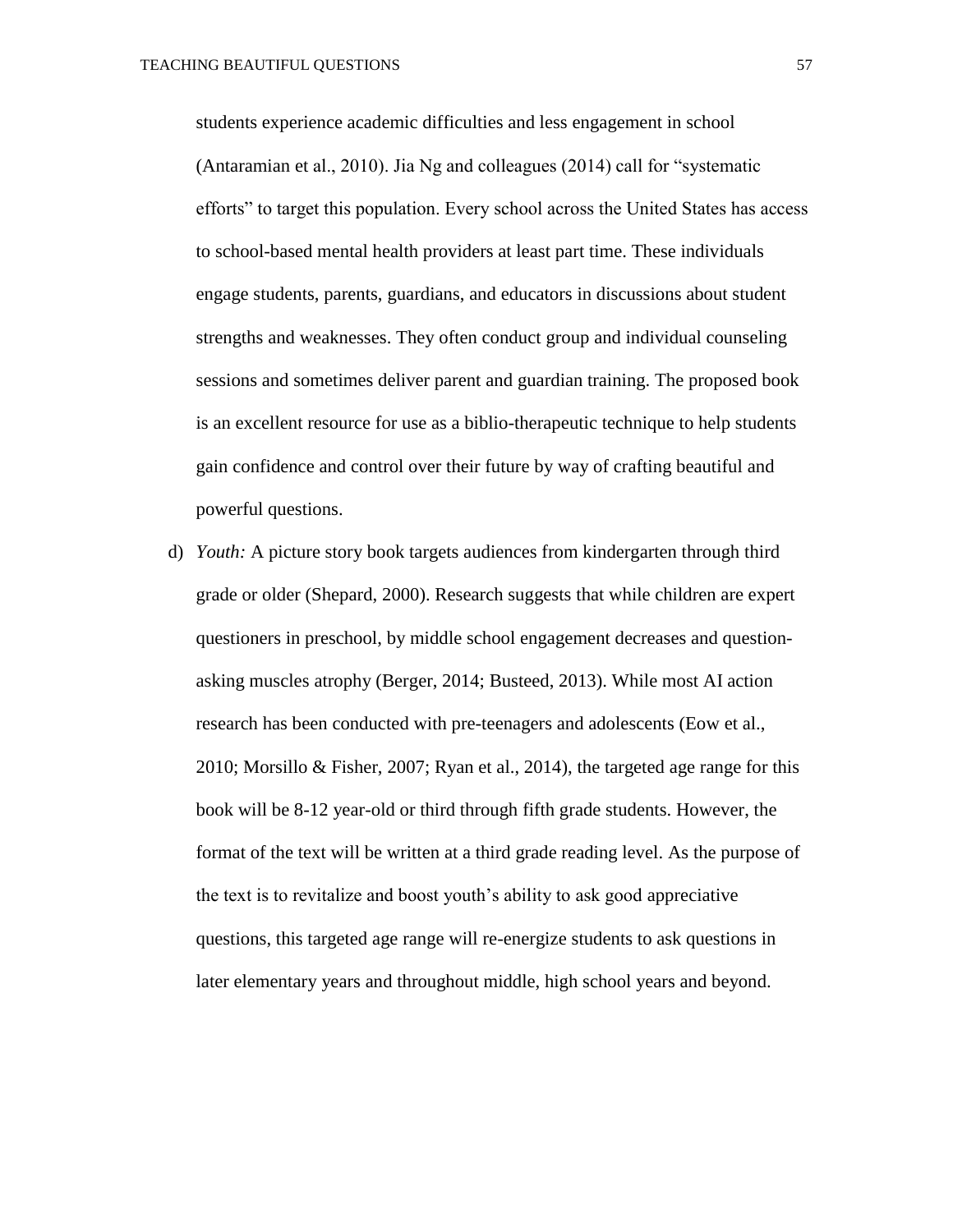students experience academic difficulties and less engagement in school (Antaramian et al., 2010). Jia Ng and colleagues (2014) call for "systematic efforts" to target this population. Every school across the United States has access to school-based mental health providers at least part time. These individuals engage students, parents, guardians, and educators in discussions about student strengths and weaknesses. They often conduct group and individual counseling sessions and sometimes deliver parent and guardian training. The proposed book is an excellent resource for use as a biblio-therapeutic technique to help students gain confidence and control over their future by way of crafting beautiful and powerful questions.

d) *Youth:* A picture story book targets audiences from kindergarten through third grade or older (Shepard, 2000). Research suggests that while children are expert questioners in preschool, by middle school engagement decreases and questionasking muscles atrophy (Berger, 2014; Busteed, 2013). While most AI action research has been conducted with pre-teenagers and adolescents (Eow et al., 2010; Morsillo & Fisher, 2007; Ryan et al., 2014), the targeted age range for this book will be 8-12 year-old or third through fifth grade students. However, the format of the text will be written at a third grade reading level. As the purpose of the text is to revitalize and boost youth's ability to ask good appreciative questions, this targeted age range will re-energize students to ask questions in later elementary years and throughout middle, high school years and beyond.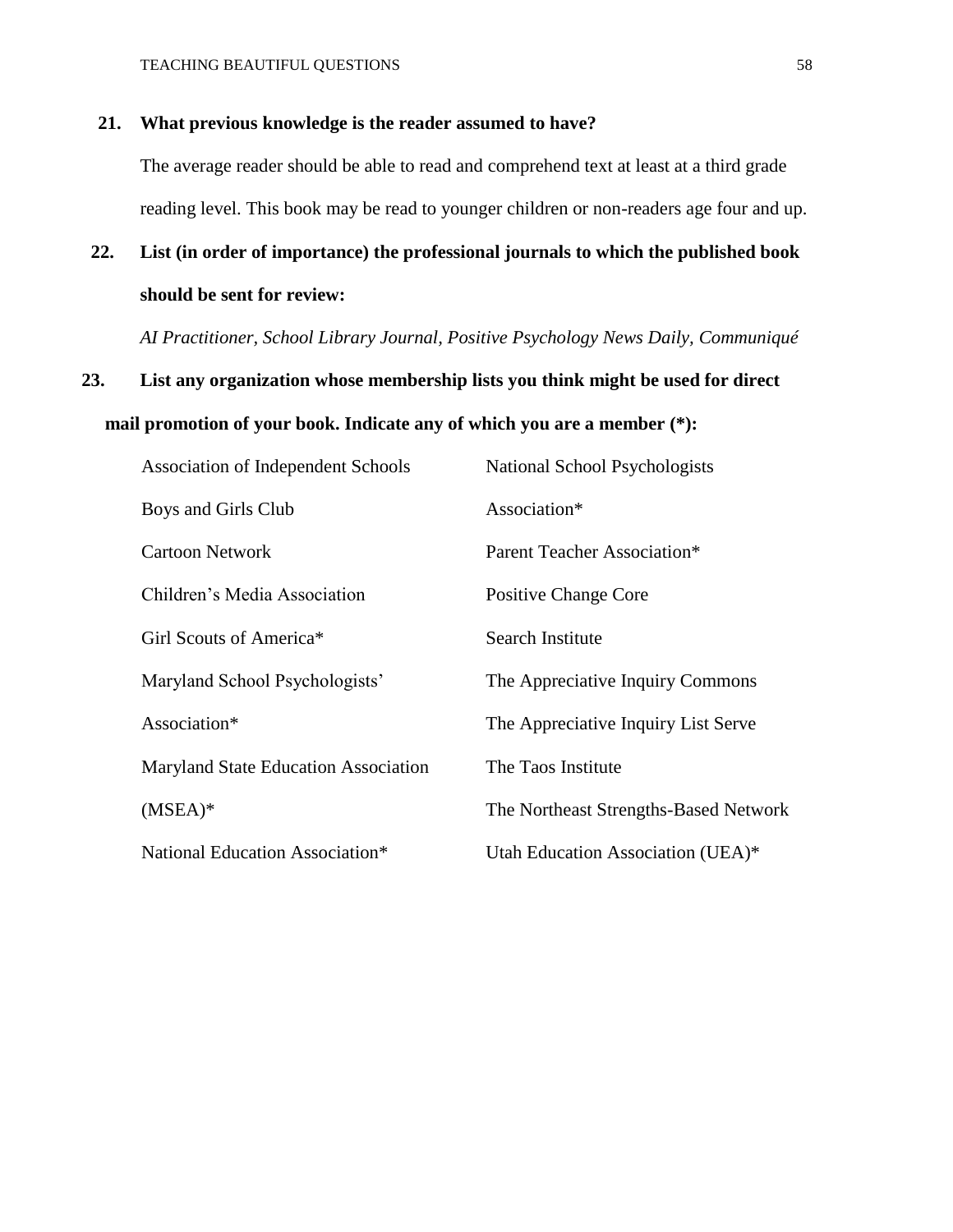#### **21. What previous knowledge is the reader assumed to have?**

The average reader should be able to read and comprehend text at least at a third grade reading level. This book may be read to younger children or non-readers age four and up.

### **22. List (in order of importance) the professional journals to which the published book should be sent for review:**

*AI Practitioner, School Library Journal, Positive Psychology News Daily, Communiqué* 

## **23. List any organization whose membership lists you think might be used for direct mail promotion of your book. Indicate any of which you are a member (\*):**

| Association of Independent Schools   | National School Psychologists         |
|--------------------------------------|---------------------------------------|
| Boys and Girls Club                  | Association*                          |
| Cartoon Network                      | Parent Teacher Association*           |
| Children's Media Association         | Positive Change Core                  |
| Girl Scouts of America*              | <b>Search Institute</b>               |
| Maryland School Psychologists'       | The Appreciative Inquiry Commons      |
| Association*                         | The Appreciative Inquiry List Serve   |
| Maryland State Education Association | The Taos Institute                    |
| $(MSEA)*$                            | The Northeast Strengths-Based Network |
| National Education Association*      | Utah Education Association (UEA)*     |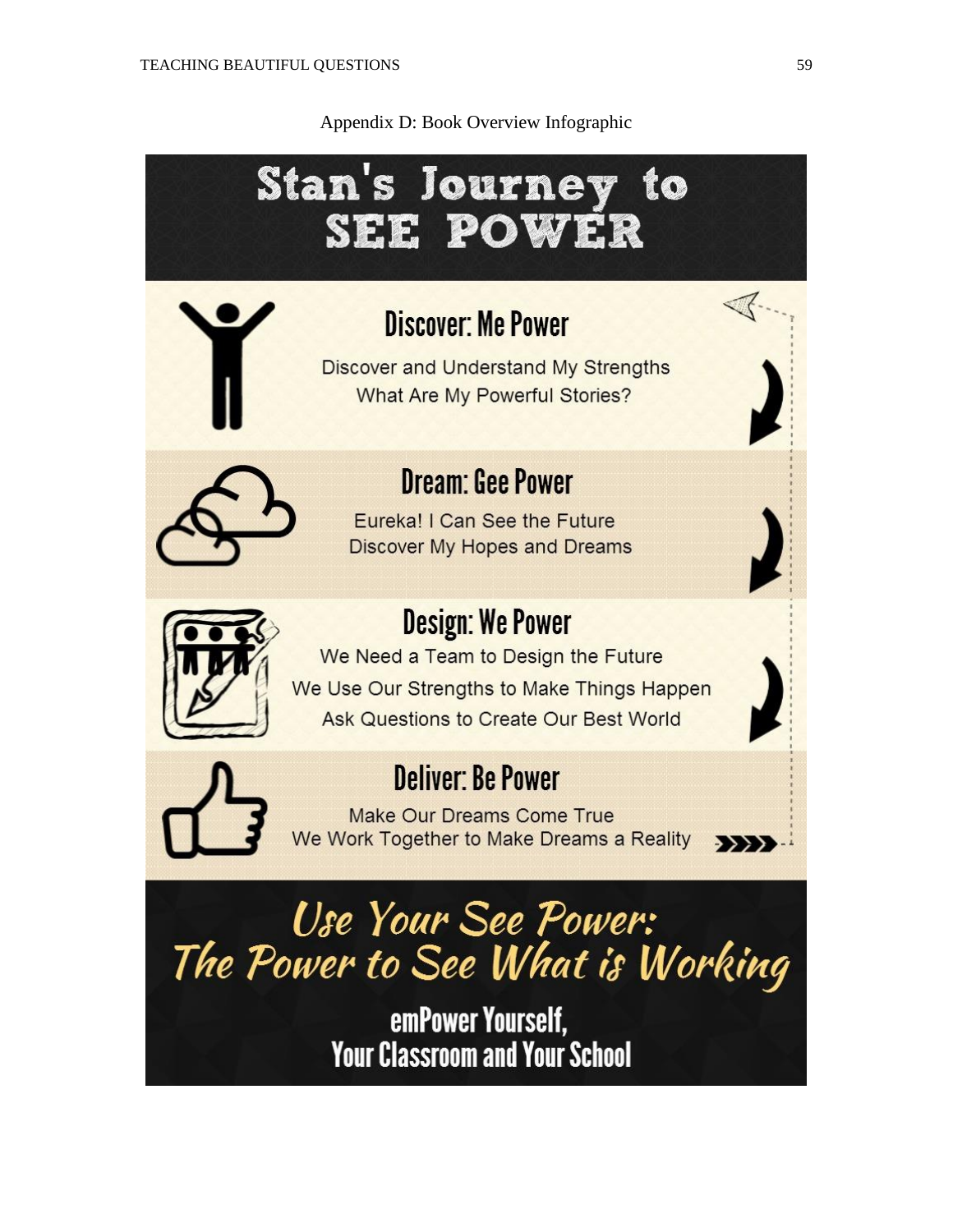Appendix D: Book Overview Infographic

# **Stan's Journey** to SEE POWER **Discover: Me Power** Discover and Understand My Strengths **What Are My Powerful Stories? Dream: Gee Power** Eureka! I Can See the Future **Discover My Hopes and Dreams Design: We Power** We Need a Team to Design the Future We Use Our Strengths to Make Things Happen Ask Questions to Create Our Best World **Deliver: Be Power Make Our Dreams Come True** We Work Together to Make Dreams a Reality  $\rightarrow$ Use Your See Power: The Power to See What is Working

emPower Yourself, **Your Classroom and Your School**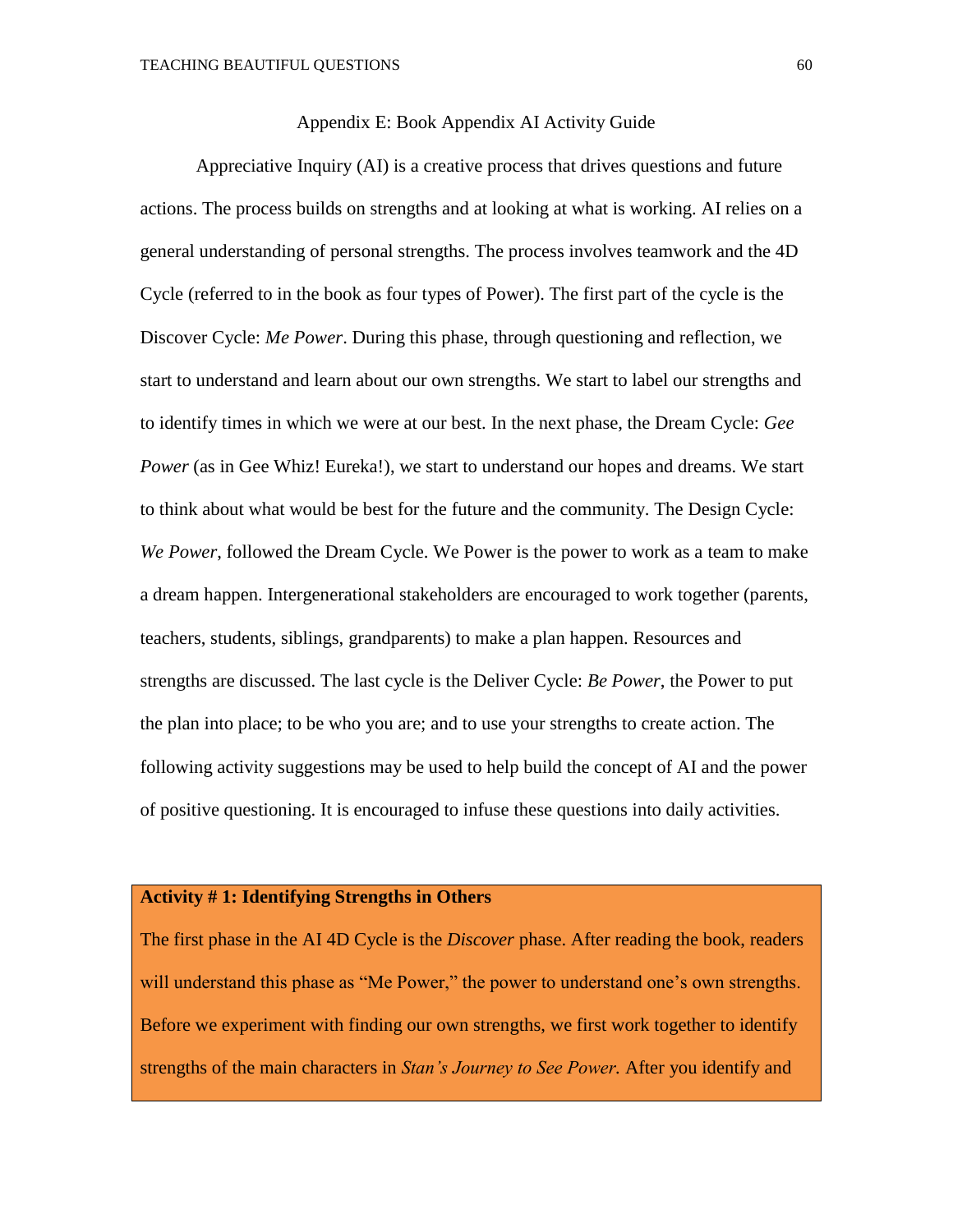#### Appendix E: Book Appendix AI Activity Guide

Appreciative Inquiry (AI) is a creative process that drives questions and future actions. The process builds on strengths and at looking at what is working. AI relies on a general understanding of personal strengths. The process involves teamwork and the 4D Cycle (referred to in the book as four types of Power). The first part of the cycle is the Discover Cycle: *Me Power*. During this phase, through questioning and reflection, we start to understand and learn about our own strengths. We start to label our strengths and to identify times in which we were at our best. In the next phase, the Dream Cycle: *Gee Power* (as in Gee Whiz! Eureka!), we start to understand our hopes and dreams. We start to think about what would be best for the future and the community. The Design Cycle: *We Power*, followed the Dream Cycle. We Power is the power to work as a team to make a dream happen. Intergenerational stakeholders are encouraged to work together (parents, teachers, students, siblings, grandparents) to make a plan happen. Resources and strengths are discussed. The last cycle is the Deliver Cycle: *Be Power*, the Power to put the plan into place; to be who you are; and to use your strengths to create action. The following activity suggestions may be used to help build the concept of AI and the power of positive questioning. It is encouraged to infuse these questions into daily activities.

#### **Activity # 1: Identifying Strengths in Others**

The first phase in the AI 4D Cycle is the *Discover* phase. After reading the book, readers will understand this phase as "Me Power," the power to understand one's own strengths. Before we experiment with finding our own strengths, we first work together to identify strengths of the main characters in *Stan's Journey to See Power.* After you identify and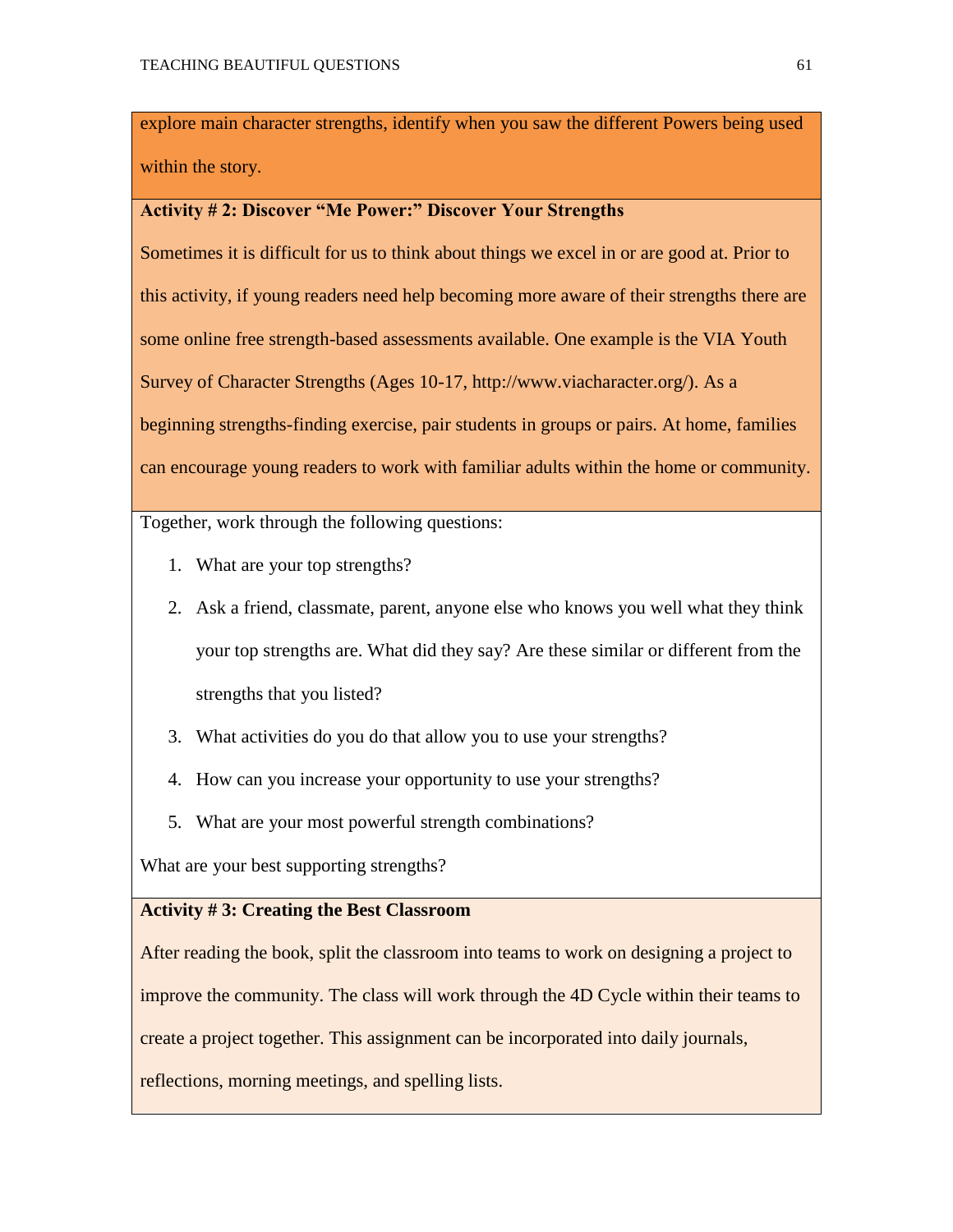explore main character strengths, identify when you saw the different Powers being used within the story.

#### **Activity # 2: Discover "Me Power:" Discover Your Strengths**

Sometimes it is difficult for us to think about things we excel in or are good at. Prior to this activity, if young readers need help becoming more aware of their strengths there are some online free strength-based assessments available. One example is the VIA Youth Survey of Character Strengths (Ages 10-17, http://www.viacharacter.org/). As a beginning strengths-finding exercise, pair students in groups or pairs. At home, families can encourage young readers to work with familiar adults within the home or community.

Together, work through the following questions:

- 1. What are your top strengths?
- 2. Ask a friend, classmate, parent, anyone else who knows you well what they think your top strengths are. What did they say? Are these similar or different from the strengths that you listed?
- 3. What activities do you do that allow you to use your strengths?
- 4. How can you increase your opportunity to use your strengths?
- 5. What are your most powerful strength combinations?

What are your best supporting strengths?

#### **Activity # 3: Creating the Best Classroom**

After reading the book, split the classroom into teams to work on designing a project to improve the community. The class will work through the 4D Cycle within their teams to create a project together. This assignment can be incorporated into daily journals,

reflections, morning meetings, and spelling lists.